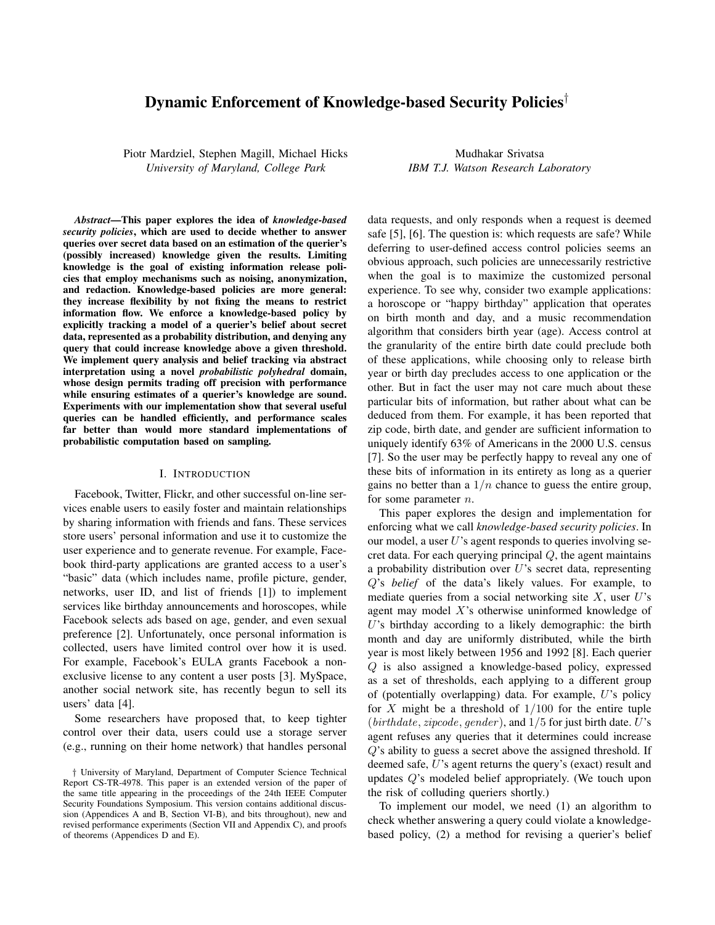# Dynamic Enforcement of Knowledge-based Security Policies†

Piotr Mardziel, Stephen Magill, Michael Hicks *University of Maryland, College Park*

Mudhakar Srivatsa *IBM T.J. Watson Research Laboratory*

*Abstract*—This paper explores the idea of *knowledge-based security policies*, which are used to decide whether to answer queries over secret data based on an estimation of the querier's (possibly increased) knowledge given the results. Limiting knowledge is the goal of existing information release policies that employ mechanisms such as noising, anonymization, and redaction. Knowledge-based policies are more general: they increase flexibility by not fixing the means to restrict information flow. We enforce a knowledge-based policy by explicitly tracking a model of a querier's belief about secret data, represented as a probability distribution, and denying any query that could increase knowledge above a given threshold. We implement query analysis and belief tracking via abstract interpretation using a novel *probabilistic polyhedral* domain, whose design permits trading off precision with performance while ensuring estimates of a querier's knowledge are sound. Experiments with our implementation show that several useful queries can be handled efficiently, and performance scales far better than would more standard implementations of probabilistic computation based on sampling.

#### I. INTRODUCTION

Facebook, Twitter, Flickr, and other successful on-line services enable users to easily foster and maintain relationships by sharing information with friends and fans. These services store users' personal information and use it to customize the user experience and to generate revenue. For example, Facebook third-party applications are granted access to a user's "basic" data (which includes name, profile picture, gender, networks, user ID, and list of friends [1]) to implement services like birthday announcements and horoscopes, while Facebook selects ads based on age, gender, and even sexual preference [2]. Unfortunately, once personal information is collected, users have limited control over how it is used. For example, Facebook's EULA grants Facebook a nonexclusive license to any content a user posts [3]. MySpace, another social network site, has recently begun to sell its users' data [4].

Some researchers have proposed that, to keep tighter control over their data, users could use a storage server (e.g., running on their home network) that handles personal data requests, and only responds when a request is deemed safe [5], [6]. The question is: which requests are safe? While deferring to user-defined access control policies seems an obvious approach, such policies are unnecessarily restrictive when the goal is to maximize the customized personal experience. To see why, consider two example applications: a horoscope or "happy birthday" application that operates on birth month and day, and a music recommendation algorithm that considers birth year (age). Access control at the granularity of the entire birth date could preclude both of these applications, while choosing only to release birth year or birth day precludes access to one application or the other. But in fact the user may not care much about these particular bits of information, but rather about what can be deduced from them. For example, it has been reported that zip code, birth date, and gender are sufficient information to uniquely identify 63% of Americans in the 2000 U.S. census [7]. So the user may be perfectly happy to reveal any one of these bits of information in its entirety as long as a querier gains no better than a  $1/n$  chance to guess the entire group, for some parameter n.

This paper explores the design and implementation for enforcing what we call *knowledge-based security policies*. In our model, a user  $U$ 's agent responds to queries involving secret data. For each querying principal Q, the agent maintains a probability distribution over  $U$ 's secret data, representing Q's *belief* of the data's likely values. For example, to mediate queries from a social networking site  $X$ , user  $U$ 's agent may model X's otherwise uninformed knowledge of U's birthday according to a likely demographic: the birth month and day are uniformly distributed, while the birth year is most likely between 1956 and 1992 [8]. Each querier Q is also assigned a knowledge-based policy, expressed as a set of thresholds, each applying to a different group of (potentially overlapping) data. For example,  $U$ 's policy for X might be a threshold of  $1/100$  for the entire tuple  $(birth date, zipcode, gender)$ , and  $1/5$  for just birth date. U's agent refuses any queries that it determines could increase Q's ability to guess a secret above the assigned threshold. If deemed safe, U's agent returns the query's (exact) result and updates Q's modeled belief appropriately. (We touch upon the risk of colluding queriers shortly.)

To implement our model, we need (1) an algorithm to check whether answering a query could violate a knowledgebased policy, (2) a method for revising a querier's belief

<sup>†</sup> University of Maryland, Department of Computer Science Technical Report CS-TR-4978. This paper is an extended version of the paper of the same title appearing in the proceedings of the 24th IEEE Computer Security Foundations Symposium. This version contains additional discussion (Appendices A and B, Section VI-B), and bits throughout), new and revised performance experiments (Section VII and Appendix C), and proofs of theorems (Appendices D and E).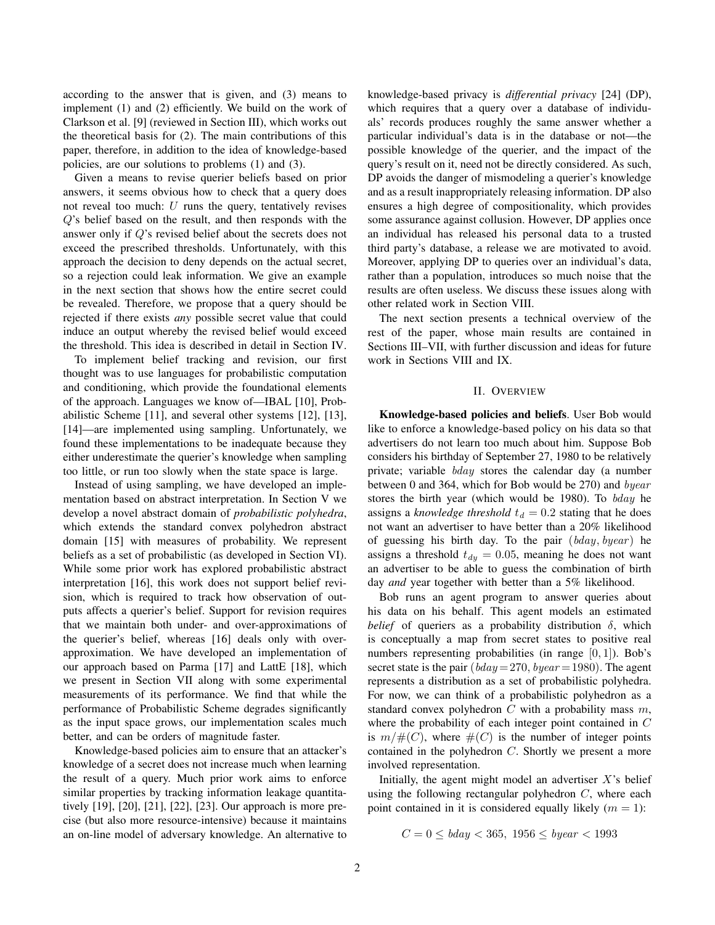according to the answer that is given, and (3) means to implement (1) and (2) efficiently. We build on the work of Clarkson et al. [9] (reviewed in Section III), which works out the theoretical basis for (2). The main contributions of this paper, therefore, in addition to the idea of knowledge-based policies, are our solutions to problems (1) and (3).

Given a means to revise querier beliefs based on prior answers, it seems obvious how to check that a query does not reveal too much:  $U$  runs the query, tentatively revises Q's belief based on the result, and then responds with the answer only if Q's revised belief about the secrets does not exceed the prescribed thresholds. Unfortunately, with this approach the decision to deny depends on the actual secret, so a rejection could leak information. We give an example in the next section that shows how the entire secret could be revealed. Therefore, we propose that a query should be rejected if there exists *any* possible secret value that could induce an output whereby the revised belief would exceed the threshold. This idea is described in detail in Section IV.

To implement belief tracking and revision, our first thought was to use languages for probabilistic computation and conditioning, which provide the foundational elements of the approach. Languages we know of—IBAL [10], Probabilistic Scheme [11], and several other systems [12], [13], [14]—are implemented using sampling. Unfortunately, we found these implementations to be inadequate because they either underestimate the querier's knowledge when sampling too little, or run too slowly when the state space is large.

Instead of using sampling, we have developed an implementation based on abstract interpretation. In Section V we develop a novel abstract domain of *probabilistic polyhedra*, which extends the standard convex polyhedron abstract domain [15] with measures of probability. We represent beliefs as a set of probabilistic (as developed in Section VI). While some prior work has explored probabilistic abstract interpretation [16], this work does not support belief revision, which is required to track how observation of outputs affects a querier's belief. Support for revision requires that we maintain both under- and over-approximations of the querier's belief, whereas [16] deals only with overapproximation. We have developed an implementation of our approach based on Parma [17] and LattE [18], which we present in Section VII along with some experimental measurements of its performance. We find that while the performance of Probabilistic Scheme degrades significantly as the input space grows, our implementation scales much better, and can be orders of magnitude faster.

Knowledge-based policies aim to ensure that an attacker's knowledge of a secret does not increase much when learning the result of a query. Much prior work aims to enforce similar properties by tracking information leakage quantitatively [19], [20], [21], [22], [23]. Our approach is more precise (but also more resource-intensive) because it maintains an on-line model of adversary knowledge. An alternative to knowledge-based privacy is *differential privacy* [24] (DP), which requires that a query over a database of individuals' records produces roughly the same answer whether a particular individual's data is in the database or not—the possible knowledge of the querier, and the impact of the query's result on it, need not be directly considered. As such, DP avoids the danger of mismodeling a querier's knowledge and as a result inappropriately releasing information. DP also ensures a high degree of compositionality, which provides some assurance against collusion. However, DP applies once an individual has released his personal data to a trusted third party's database, a release we are motivated to avoid. Moreover, applying DP to queries over an individual's data, rather than a population, introduces so much noise that the results are often useless. We discuss these issues along with other related work in Section VIII.

The next section presents a technical overview of the rest of the paper, whose main results are contained in Sections III–VII, with further discussion and ideas for future work in Sections VIII and IX.

#### II. OVERVIEW

Knowledge-based policies and beliefs. User Bob would like to enforce a knowledge-based policy on his data so that advertisers do not learn too much about him. Suppose Bob considers his birthday of September 27, 1980 to be relatively private; variable bday stores the calendar day (a number between 0 and 364, which for Bob would be 270) and byear stores the birth year (which would be 1980). To *bday* he assigns a *knowledge threshold*  $t_d = 0.2$  stating that he does not want an advertiser to have better than a 20% likelihood of guessing his birth day. To the pair  $(bday, byear)$  he assigns a threshold  $t_{dy} = 0.05$ , meaning he does not want an advertiser to be able to guess the combination of birth day *and* year together with better than a 5% likelihood.

Bob runs an agent program to answer queries about his data on his behalf. This agent models an estimated *belief* of queriers as a probability distribution  $\delta$ , which is conceptually a map from secret states to positive real numbers representing probabilities (in range  $[0, 1]$ ). Bob's secret state is the pair ( $bday = 270$ ,  $byear = 1980$ ). The agent represents a distribution as a set of probabilistic polyhedra. For now, we can think of a probabilistic polyhedron as a standard convex polyhedron  $C$  with a probability mass  $m$ , where the probability of each integer point contained in C is  $m/\#(C)$ , where  $\#(C)$  is the number of integer points contained in the polyhedron C. Shortly we present a more involved representation.

Initially, the agent might model an advertiser  $X$ 's belief using the following rectangular polyhedron  $C$ , where each point contained in it is considered equally likely  $(m = 1)$ :

$$
C = 0 \leq bday < 365, \ 1956 \leq byear < 1993
$$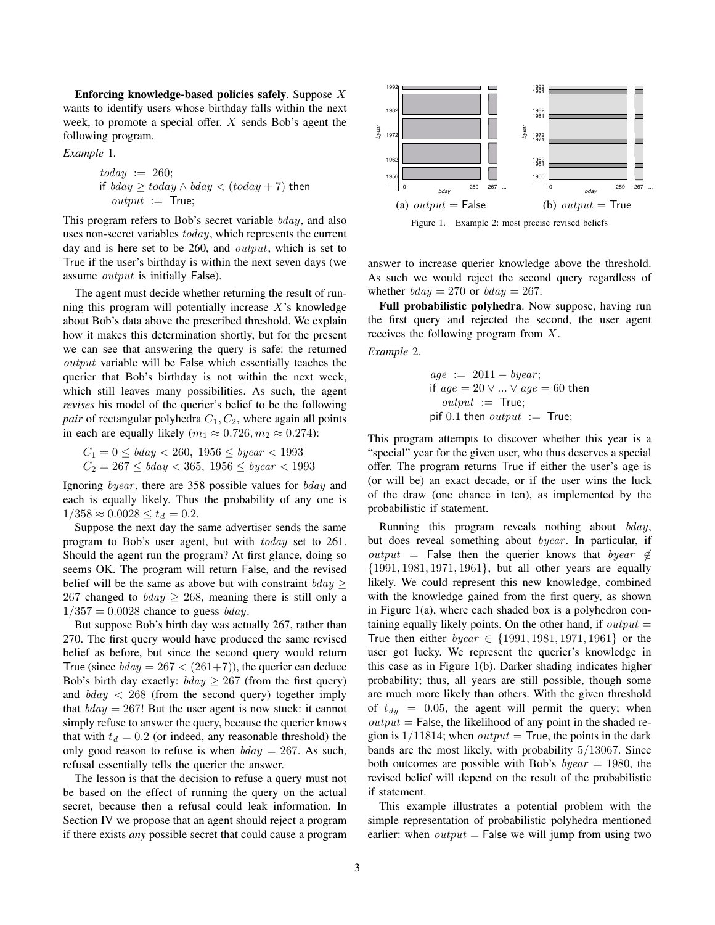Enforcing knowledge-based policies safely. Suppose X wants to identify users whose birthday falls within the next week, to promote a special offer.  $X$  sends Bob's agent the following program.

*Example* 1*.*

\n
$$
\text{today} := 260;
$$
\n

\n\n $\text{if } bday \geq today \land bday < (today + 7) \text{ then } output := True;$ \n

This program refers to Bob's secret variable *bday*, and also uses non-secret variables  $today$ , which represents the current day and is here set to be 260, and *output*, which is set to True if the user's birthday is within the next seven days (we assume output is initially False).

The agent must decide whether returning the result of running this program will potentially increase  $X$ 's knowledge about Bob's data above the prescribed threshold. We explain how it makes this determination shortly, but for the present we can see that answering the query is safe: the returned output variable will be False which essentially teaches the querier that Bob's birthday is not within the next week, which still leaves many possibilities. As such, the agent *revises* his model of the querier's belief to be the following *pair* of rectangular polyhedra  $C_1$ ,  $C_2$ , where again all points in each are equally likely  $(m_1 \approx 0.726, m_2 \approx 0.274)$ :

 $C_1=0\leq bday<260,\ 1956\leq byear<1993$  $C_2 = 267 \leq bday < 365, 1956 \leq byear < 1993$ 

Ignoring byear, there are 358 possible values for bday and each is equally likely. Thus the probability of any one is  $1/358 \approx 0.0028 \le t_d = 0.2.$ 

Suppose the next day the same advertiser sends the same program to Bob's user agent, but with today set to 261. Should the agent run the program? At first glance, doing so seems OK. The program will return False, and the revised belief will be the same as above but with constraint  $bday \geq$ 267 changed to  $bday \ge 268$ , meaning there is still only a  $1/357 = 0.0028$  chance to guess *bday*.

But suppose Bob's birth day was actually 267, rather than 270. The first query would have produced the same revised belief as before, but since the second query would return True (since  $bday = 267 < (261+7)$ ), the querier can deduce Bob's birth day exactly:  $bday \geq 267$  (from the first query) and  $bday < 268$  (from the second query) together imply that  $bday = 267!$  But the user agent is now stuck: it cannot simply refuse to answer the query, because the querier knows that with  $t_d = 0.2$  (or indeed, any reasonable threshold) the only good reason to refuse is when  $bday = 267$ . As such, refusal essentially tells the querier the answer.

The lesson is that the decision to refuse a query must not be based on the effect of running the query on the actual secret, because then a refusal could leak information. In Section IV we propose that an agent should reject a program if there exists *any* possible secret that could cause a program



Figure 1. Example 2: most precise revised beliefs

answer to increase querier knowledge above the threshold. As such we would reject the second query regardless of whether  $bday = 270$  or  $bday = 267$ .

Full probabilistic polyhedra. Now suppose, having run the first query and rejected the second, the user agent receives the following program from X.

*Example* 2*.*

$$
age := 2011 - byear;
$$
  
if  $age = 20 \vee ... \vee age = 60$  then  

$$
output := True;
$$
  
pir 0.1 then output := True;

This program attempts to discover whether this year is a "special" year for the given user, who thus deserves a special offer. The program returns True if either the user's age is (or will be) an exact decade, or if the user wins the luck of the draw (one chance in ten), as implemented by the probabilistic if statement.

Running this program reveals nothing about bday, but does reveal something about byear. In particular, if *output* = False then the querier knows that *byear*  $\notin$ {1991, 1981, 1971, 1961}, but all other years are equally likely. We could represent this new knowledge, combined with the knowledge gained from the first query, as shown in Figure 1(a), where each shaded box is a polyhedron containing equally likely points. On the other hand, if  $output =$ True then either  $byear \in \{1991, 1981, 1971, 1961\}$  or the user got lucky. We represent the querier's knowledge in this case as in Figure 1(b). Darker shading indicates higher probability; thus, all years are still possible, though some are much more likely than others. With the given threshold of  $t_{dy} = 0.05$ , the agent will permit the query; when  $output =$  False, the likelihood of any point in the shaded region is  $1/11814$ ; when  $output = True$ , the points in the dark bands are the most likely, with probability 5/13067. Since both outcomes are possible with Bob's  $byear = 1980$ , the revised belief will depend on the result of the probabilistic if statement.

This example illustrates a potential problem with the simple representation of probabilistic polyhedra mentioned earlier: when  $output =$  False we will jump from using two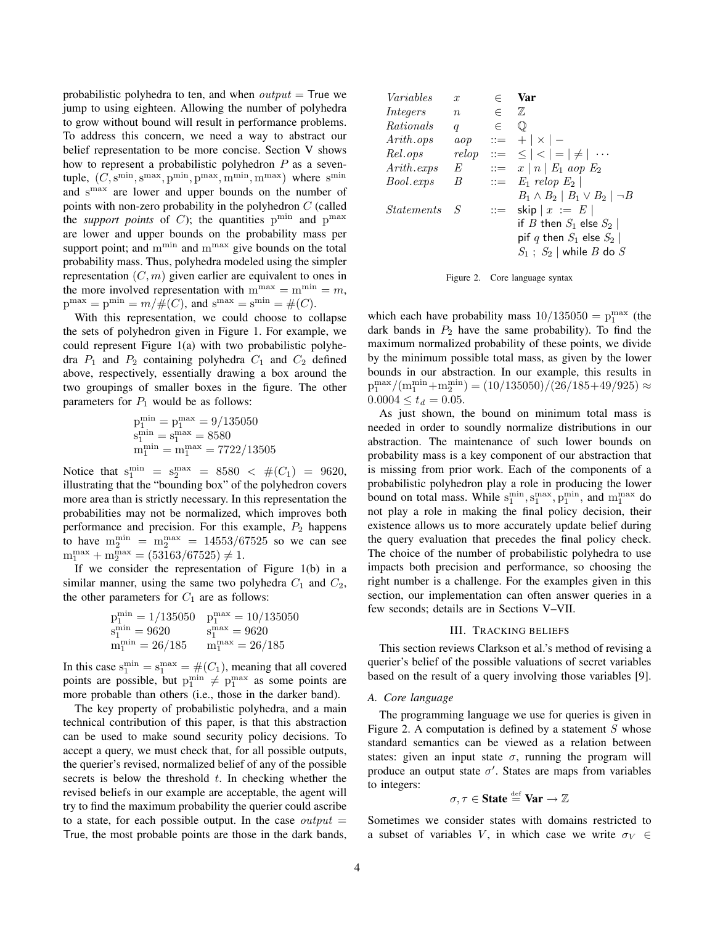probabilistic polyhedra to ten, and when  $output = True$  we jump to using eighteen. Allowing the number of polyhedra to grow without bound will result in performance problems. To address this concern, we need a way to abstract our belief representation to be more concise. Section V shows how to represent a probabilistic polyhedron  $P$  as a seventuple,  $(C, \mathbf{s}^{\min}, \mathbf{s}^{\max}, \mathbf{p}^{\min}, \mathbf{p}^{\max}, \mathbf{m}^{\min}, \mathbf{m}^{\max})$  where  $\mathbf{s}^{\min}$ and s<sup>max</sup> are lower and upper bounds on the number of points with non-zero probability in the polyhedron  $C$  (called the *support points* of C); the quantities  $p^{\min}$  and  $p^{\max}$ are lower and upper bounds on the probability mass per support point; and  $m<sup>min</sup>$  and  $m<sup>max</sup>$  give bounds on the total probability mass. Thus, polyhedra modeled using the simpler representation  $(C, m)$  given earlier are equivalent to ones in the more involved representation with  $m^{max} = m^{min} = m$ ,  $p^{\max} = p^{\min} = m/\#(C)$ , and  $s^{\max} = s^{\min} = \#(C)$ .

With this representation, we could choose to collapse the sets of polyhedron given in Figure 1. For example, we could represent Figure 1(a) with two probabilistic polyhedra  $P_1$  and  $P_2$  containing polyhedra  $C_1$  and  $C_2$  defined above, respectively, essentially drawing a box around the two groupings of smaller boxes in the figure. The other parameters for  $P_1$  would be as follows:

$$
p_1^{\min} = p_1^{\max} = 9/135050
$$
  
\n
$$
s_1^{\min} = s_1^{\max} = 8580
$$
  
\n
$$
m_1^{\min} = m_1^{\max} = 7722/13505
$$

Notice that  $s_1^{\min} = s_2^{\max} = 8580 < \#(C_1) = 9620$ , illustrating that the "bounding box" of the polyhedron covers more area than is strictly necessary. In this representation the probabilities may not be normalized, which improves both performance and precision. For this example,  $P_2$  happens to have  $m_2^{min} = m_2^{max} = 14553/67525$  so we can see  $m_1^{\text{max}} + m_2^{\text{max}} = (53163/67525) \neq 1.$ 

If we consider the representation of Figure 1(b) in a similar manner, using the same two polyhedra  $C_1$  and  $C_2$ , the other parameters for  $C_1$  are as follows:

$$
p_1^{\text{min}} = 1/135050 \quad p_1^{\text{max}} = 10/135050
$$
  
\n
$$
s_1^{\text{min}} = 9620 \quad s_1^{\text{max}} = 9620
$$
  
\n
$$
m_1^{\text{min}} = 26/185 \quad m_1^{\text{max}} = 26/185
$$

In this case  $s_1^{\min} = s_1^{\max} = \#(C_1)$ , meaning that all covered points are possible, but  $p_1^{min} \neq p_1^{max}$  as some points are more probable than others (i.e., those in the darker band).

The key property of probabilistic polyhedra, and a main technical contribution of this paper, is that this abstraction can be used to make sound security policy decisions. To accept a query, we must check that, for all possible outputs, the querier's revised, normalized belief of any of the possible secrets is below the threshold  $t$ . In checking whether the revised beliefs in our example are acceptable, the agent will try to find the maximum probability the querier could ascribe to a state, for each possible output. In the case  $output =$ True, the most probable points are those in the dark bands,

| Variables         | $\boldsymbol{x}$ | $\in$                 | Var                                                                |
|-------------------|------------------|-----------------------|--------------------------------------------------------------------|
| <i>Integers</i>   | $\, n$           | $\in$                 | 7.                                                                 |
| Rationals         | $\boldsymbol{q}$ | $\in$                 | I)                                                                 |
| Arith.ops         | aop              |                       | $\equiv +  \times   -$                                             |
| Rel.ops           | relop            |                       | $\Rightarrow$ $=$ $\leq$ $ $ $\lt$ $ $ $=$ $ $ $\neq$ $ $ $\cdots$ |
| Arith.exps        | E                |                       | $\therefore$ $x   n   E_1$ aop $E_2$                               |
| <i>Bool.exps</i>  | B                | $\mathrel{\mathop:}=$ | $E_1$ relop $E_2$                                                  |
|                   |                  |                       | $B_1 \wedge B_2 \mid B_1 \vee B_2 \mid \neg B$                     |
| <i>Statements</i> | S                | $\mathrel{\mathop:}=$ | skip $x := E$                                                      |
|                   |                  |                       | if B then $S_1$ else $S_2$                                         |
|                   |                  |                       | pif q then $S_1$ else $S_2$                                        |
|                   |                  |                       | $S_1$ ; $S_2$   while B do S                                       |

Figure 2. Core language syntax

which each have probability mass  $10/135050 = p_1^{\text{max}}$  (the dark bands in  $P_2$  have the same probability). To find the maximum normalized probability of these points, we divide by the minimum possible total mass, as given by the lower bounds in our abstraction. In our example, this results in  $p_1^{\text{max}}/(m_1^{\text{min}}+m_2^{\text{min}}) = (10/135050)/(26/185+49/925) \approx$  $0.0004 \le t_d = 0.05.$ 

As just shown, the bound on minimum total mass is needed in order to soundly normalize distributions in our abstraction. The maintenance of such lower bounds on probability mass is a key component of our abstraction that is missing from prior work. Each of the components of a probabilistic polyhedron play a role in producing the lower bound on total mass. While  $s_1^{min}, s_1^{max}, p_1^{min}$ , and  $m_1^{max}$  do not play a role in making the final policy decision, their existence allows us to more accurately update belief during the query evaluation that precedes the final policy check. The choice of the number of probabilistic polyhedra to use impacts both precision and performance, so choosing the right number is a challenge. For the examples given in this section, our implementation can often answer queries in a few seconds; details are in Sections V–VII.

### III. TRACKING BELIEFS

This section reviews Clarkson et al.'s method of revising a querier's belief of the possible valuations of secret variables based on the result of a query involving those variables [9].

#### *A. Core language*

The programming language we use for queries is given in Figure 2. A computation is defined by a statement  $S$  whose standard semantics can be viewed as a relation between states: given an input state  $\sigma$ , running the program will produce an output state  $\sigma'$ . States are maps from variables to integers:

$$
\sigma,\tau\in\mathbf{State}\stackrel{\text{\tiny def}}{=}\mathbf{Var}\to\mathbb{Z}
$$

Sometimes we consider states with domains restricted to a subset of variables V, in which case we write  $\sigma_V \in$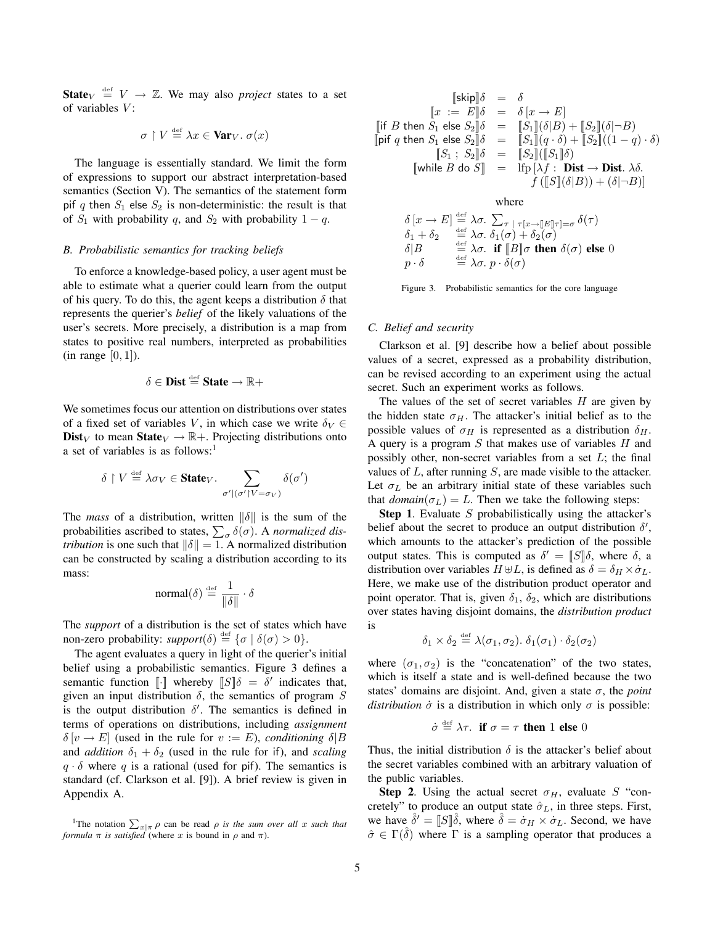**State**<sub>V</sub>  $\stackrel{\text{def}}{=} V \rightarrow \mathbb{Z}$ . We may also *project* states to a set of variables  $V$ :

$$
\sigma \restriction V \stackrel{\scriptscriptstyle\rm def}{=} \lambda x \in \mathbf{Var}_V. \; \sigma(x)
$$

The language is essentially standard. We limit the form of expressions to support our abstract interpretation-based semantics (Section V). The semantics of the statement form pif q then  $S_1$  else  $S_2$  is non-deterministic: the result is that of  $S_1$  with probability q, and  $S_2$  with probability  $1 - q$ .

### *B. Probabilistic semantics for tracking beliefs*

To enforce a knowledge-based policy, a user agent must be able to estimate what a querier could learn from the output of his query. To do this, the agent keeps a distribution  $\delta$  that represents the querier's *belief* of the likely valuations of the user's secrets. More precisely, a distribution is a map from states to positive real numbers, interpreted as probabilities  $(in range [0, 1]).$ 

$$
\delta \in \text{Dist} \stackrel{\text{\tiny def}}{=} \text{State} \rightarrow \mathbb{R}+
$$

We sometimes focus our attention on distributions over states of a fixed set of variables V, in which case we write  $\delta_V \in$ **Dist**<sub>V</sub> to mean **State**<sub>V</sub>  $\rightarrow \mathbb{R}$ +. Projecting distributions onto a set of variables is as follows:<sup>1</sup>

$$
\delta \upharpoonright V \stackrel{\text{def}}{=} \lambda \sigma_V \in \text{State}_V. \sum_{\sigma' \mid (\sigma' \upharpoonright V = \sigma_V)} \delta(\sigma')
$$

The *mass* of a distribution, written  $\|\delta\|$  is the sum of the probabilities ascribed to states,  $\sum_{\sigma} \delta(\sigma)$ . A *normalized distribution* is one such that  $\|\delta\| = 1$ . A normalized distribution can be constructed by scaling a distribution according to its mass:

$$
\mathrm{normal}(\delta) \stackrel{\mathrm{\scriptscriptstyle def}}{=} \frac{1}{\|\delta\|} \cdot \delta
$$

The *support* of a distribution is the set of states which have non-zero probability:  $support(\delta) \stackrel{\text{def}}{=} {\sigma | \delta(\sigma) > 0}.$ 

The agent evaluates a query in light of the querier's initial belief using a probabilistic semantics. Figure 3 defines a semantic function [.] whereby  $\llbracket S \rrbracket \delta = \delta'$  indicates that, given an input distribution  $\delta$ , the semantics of program S is the output distribution  $\delta'$ . The semantics is defined in terms of operations on distributions, including *assignment*  $\delta[v \rightarrow E]$  (used in the rule for  $v := E$ ), *conditioning*  $\delta[B]$ and *addition*  $\delta_1 + \delta_2$  (used in the rule for if), and *scaling*  $q \cdot \delta$  where q is a rational (used for pif). The semantics is standard (cf. Clarkson et al. [9]). A brief review is given in Appendix A.

$$
\begin{array}{rcll} [\![\mathrm{skip}]\!] \delta & = & \delta \\ \hline \mathbb{I} x & := & E \mathbb{I} \delta & = & \delta \left[ x \rightarrow E \right] \\ \hline \mathbb{I} \text{if $B$ then $S_1$ else $S_2$} \delta & = & \mathbb{I} \, S_1 \mathbb{I}(\delta | B) + \mathbb{I} \, S_2 \mathbb{I}(\delta | \neg B) \\ \hline \mathbb{I} \text{pif $q$ then $S_1$ else $S_2$} \delta & = & \mathbb{I} \, S_1 \mathbb{I}(q \cdot \delta) + \mathbb{I} \, S_2 \mathbb{I}((1-q) \cdot \delta) \\ & & \mathbb{I} \, S_1 \, ; \; S_2 \mathbb{I} \delta & = & \mathbb{I} \, S_2 \mathbb{I}(\mathbb{I} \, S_1 \mathbb{I} \delta) \\ & & & \mathbb{I} \text{while $B$ do $S$} \mathbb{I} & = & \mathbb{I} \text{fp} \left[ \lambda f: \; \text{Dist} \rightarrow \text{Dist.} \; \lambda \delta. \\ & & & f \left( \mathbb{I} \, S \mathbb{I}(\delta | B) \right) + (\delta | \neg B) \right] \end{array}
$$

where

$$
\delta[x \to E] \stackrel{\text{def}}{=} \lambda \sigma. \sum_{\tau \upharpoonright \tau[x \to [E]\tau] = \sigma} \delta(\tau)
$$
\n
$$
\delta_1 + \delta_2 \stackrel{\text{def}}{=} \lambda \sigma. \delta_1(\sigma) + \delta_2(\sigma)
$$
\n
$$
\delta|B \stackrel{\text{def}}{=} \lambda \sigma. \text{ if } [B] \sigma \text{ then } \delta(\sigma) \text{ else } 0
$$
\n
$$
p \cdot \delta \stackrel{\text{def}}{=} \lambda \sigma. p \cdot \delta(\sigma)
$$

Figure 3. Probabilistic semantics for the core language

### *C. Belief and security*

Clarkson et al. [9] describe how a belief about possible values of a secret, expressed as a probability distribution, can be revised according to an experiment using the actual secret. Such an experiment works as follows.

The values of the set of secret variables  $H$  are given by the hidden state  $\sigma_H$ . The attacker's initial belief as to the possible values of  $\sigma_H$  is represented as a distribution  $\delta_H$ . A query is a program  $S$  that makes use of variables  $H$  and possibly other, non-secret variables from a set  $L$ ; the final values of  $L$ , after running  $S$ , are made visible to the attacker. Let  $\sigma_L$  be an arbitrary initial state of these variables such that  $domain(\sigma_L) = L$ . Then we take the following steps:

**Step 1.** Evaluate S probabilistically using the attacker's belief about the secret to produce an output distribution  $\delta'$ , which amounts to the attacker's prediction of the possible output states. This is computed as  $\delta' = \llbracket S \rrbracket \delta$ , where  $\delta$ , a distribution over variables  $H \oplus L$ , is defined as  $\delta = \delta_H \times \dot{\sigma}_L$ . Here, we make use of the distribution product operator and point operator. That is, given  $\delta_1$ ,  $\delta_2$ , which are distributions over states having disjoint domains, the *distribution product* is

$$
\delta_1 \times \delta_2 \stackrel{\text{def}}{=} \lambda(\sigma_1, \sigma_2). \ \delta_1(\sigma_1) \cdot \delta_2(\sigma_2)
$$

where  $(\sigma_1, \sigma_2)$  is the "concatenation" of the two states, which is itself a state and is well-defined because the two states' domains are disjoint. And, given a state σ, the *point distribution*  $\dot{\sigma}$  is a distribution in which only  $\sigma$  is possible:

$$
\dot{\sigma} \stackrel{\text{def}}{=} \lambda \tau.
$$
 if  $\sigma = \tau$  then 1 else 0

Thus, the initial distribution  $\delta$  is the attacker's belief about the secret variables combined with an arbitrary valuation of the public variables.

**Step 2.** Using the actual secret  $\sigma_H$ , evaluate S "concretely" to produce an output state  $\hat{\sigma}_L$ , in three steps. First, we have  $\hat{\delta}^{\prime} = [S] \hat{\delta}$ , where  $\hat{\delta} = \dot{\sigma}_H \times \dot{\sigma}_L$ . Second, we have  $\hat{\sigma} \in \Gamma(\delta)$  where  $\Gamma$  is a sampling operator that produces a

<sup>&</sup>lt;sup>1</sup>The notation  $\sum_{x|\pi} \rho$  can be read  $\rho$  *is the sum over all* x *such that formula*  $\pi$  *is satisfied* (where x is bound in  $\rho$  and  $\pi$ ).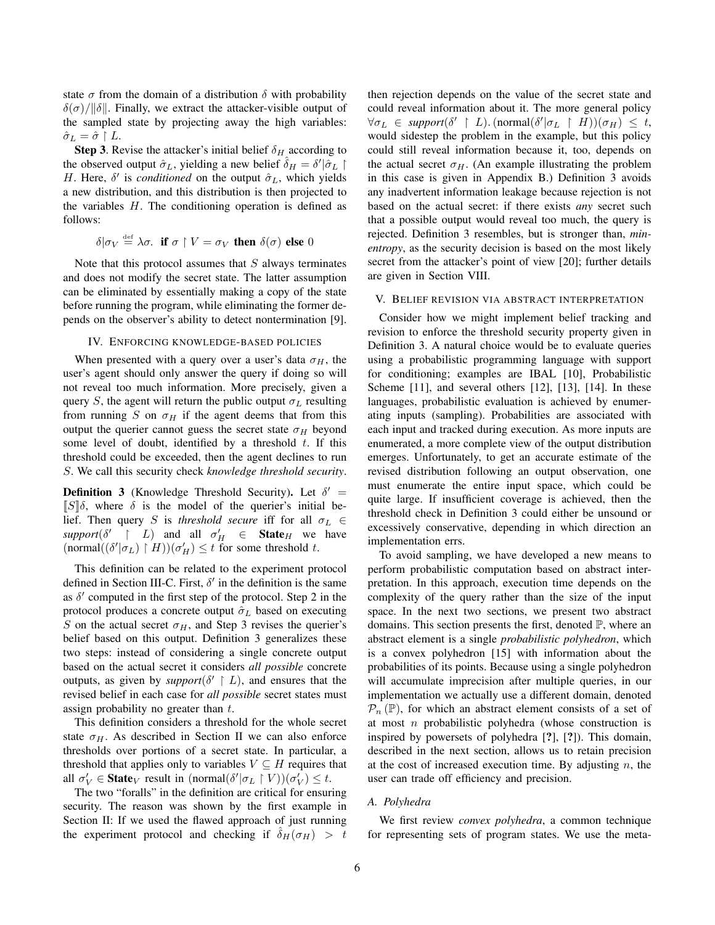state  $\sigma$  from the domain of a distribution  $\delta$  with probability  $\delta(\sigma)/\|\delta\|$ . Finally, we extract the attacker-visible output of the sampled state by projecting away the high variables:  $\hat{\sigma}_L = \hat{\sigma} \restriction L.$ 

**Step 3.** Revise the attacker's initial belief  $\delta_H$  according to the observed output  $\hat{\sigma}_L$ , yielding a new belief  $\hat{\delta}_H = \delta' | \hat{\sigma}_L |$ H. Here,  $\delta'$  is *conditioned* on the output  $\hat{\sigma}_L$ , which yields a new distribution, and this distribution is then projected to the variables  $H$ . The conditioning operation is defined as follows:

 $\delta|\sigma_V \stackrel{\text{def}}{=} \lambda \sigma$ . if  $\sigma \restriction V = \sigma_V$  then  $\delta(\sigma)$  else 0

Note that this protocol assumes that  $S$  always terminates and does not modify the secret state. The latter assumption can be eliminated by essentially making a copy of the state before running the program, while eliminating the former depends on the observer's ability to detect nontermination [9].

### IV. ENFORCING KNOWLEDGE-BASED POLICIES

When presented with a query over a user's data  $\sigma_H$ , the user's agent should only answer the query if doing so will not reveal too much information. More precisely, given a query S, the agent will return the public output  $\sigma_L$  resulting from running S on  $\sigma_H$  if the agent deems that from this output the querier cannot guess the secret state  $\sigma_H$  beyond some level of doubt, identified by a threshold  $t$ . If this threshold could be exceeded, then the agent declines to run S. We call this security check *knowledge threshold security*.

**Definition 3** (Knowledge Threshold Security). Let  $\delta' =$  $\llbracket S \rrbracket \delta$ , where  $\delta$  is the model of the querier's initial belief. Then query S is *threshold secure* iff for all  $\sigma_L \in$  $support(\delta' \mid L)$  and all  $\sigma'_H \in State_H$  we have  $(\text{normal}((\delta'|\sigma_L)\restriction H))(\sigma'_H) \leq t$  for some threshold t.

This definition can be related to the experiment protocol defined in Section III-C. First,  $\delta'$  in the definition is the same as  $\delta'$  computed in the first step of the protocol. Step 2 in the protocol produces a concrete output  $\hat{\sigma}_L$  based on executing S on the actual secret  $\sigma_H$ , and Step 3 revises the querier's belief based on this output. Definition 3 generalizes these two steps: instead of considering a single concrete output based on the actual secret it considers *all possible* concrete outputs, as given by *support*( $\delta'$   $\upharpoonright$  *L*), and ensures that the revised belief in each case for *all possible* secret states must assign probability no greater than t.

This definition considers a threshold for the whole secret state  $\sigma_H$ . As described in Section II we can also enforce thresholds over portions of a secret state. In particular, a threshold that applies only to variables  $V \subseteq H$  requires that all  $\sigma'_V \in \text{State}_V$  result in  $(\text{normal}(\delta'|\sigma_L \restriction V))(\sigma'_V) \leq t$ .

The two "foralls" in the definition are critical for ensuring security. The reason was shown by the first example in Section II: If we used the flawed approach of just running the experiment protocol and checking if  $\delta_H(\sigma_H) > t$  then rejection depends on the value of the secret state and could reveal information about it. The more general policy  $\forall \sigma_L \in support(\delta' \upharpoonright L). (normal(\delta' | \sigma_L \upharpoonright H))(\sigma_H) \leq t$ , would sidestep the problem in the example, but this policy could still reveal information because it, too, depends on the actual secret  $\sigma_H$ . (An example illustrating the problem in this case is given in Appendix B.) Definition 3 avoids any inadvertent information leakage because rejection is not based on the actual secret: if there exists *any* secret such that a possible output would reveal too much, the query is rejected. Definition 3 resembles, but is stronger than, *minentropy*, as the security decision is based on the most likely secret from the attacker's point of view [20]; further details are given in Section VIII.

#### V. BELIEF REVISION VIA ABSTRACT INTERPRETATION

Consider how we might implement belief tracking and revision to enforce the threshold security property given in Definition 3. A natural choice would be to evaluate queries using a probabilistic programming language with support for conditioning; examples are IBAL [10], Probabilistic Scheme [11], and several others [12], [13], [14]. In these languages, probabilistic evaluation is achieved by enumerating inputs (sampling). Probabilities are associated with each input and tracked during execution. As more inputs are enumerated, a more complete view of the output distribution emerges. Unfortunately, to get an accurate estimate of the revised distribution following an output observation, one must enumerate the entire input space, which could be quite large. If insufficient coverage is achieved, then the threshold check in Definition 3 could either be unsound or excessively conservative, depending in which direction an implementation errs.

To avoid sampling, we have developed a new means to perform probabilistic computation based on abstract interpretation. In this approach, execution time depends on the complexity of the query rather than the size of the input space. In the next two sections, we present two abstract domains. This section presents the first, denoted  $\mathbb{P}$ , where an abstract element is a single *probabilistic polyhedron*, which is a convex polyhedron [15] with information about the probabilities of its points. Because using a single polyhedron will accumulate imprecision after multiple queries, in our implementation we actually use a different domain, denoted  $\mathcal{P}_n(\mathbb{P})$ , for which an abstract element consists of a set of at most  $n$  probabilistic polyhedra (whose construction is inspired by powersets of polyhedra [?], [?]). This domain, described in the next section, allows us to retain precision at the cost of increased execution time. By adjusting  $n$ , the user can trade off efficiency and precision.

# *A. Polyhedra*

We first review *convex polyhedra*, a common technique for representing sets of program states. We use the meta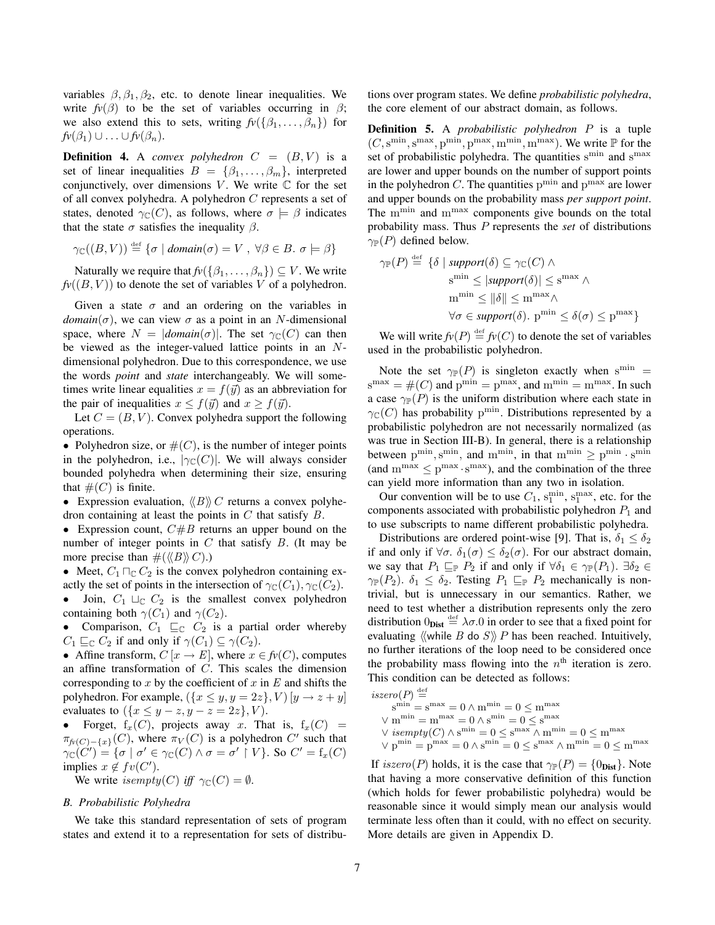variables  $\beta$ ,  $\beta_1$ ,  $\beta_2$ , etc. to denote linear inequalities. We write  $f\nu(\beta)$  to be the set of variables occurring in  $\beta$ ; we also extend this to sets, writing  $f\nu(\{\beta_1,\ldots,\beta_n\})$  for  $f\nu(\beta_1) \cup \ldots \cup f\nu(\beta_n)$ .

**Definition 4.** A *convex polyhedron*  $C = (B, V)$  is a set of linear inequalities  $B = {\beta_1, \ldots, \beta_m}$ , interpreted conjunctively, over dimensions  $V$ . We write  $\mathbb C$  for the set of all convex polyhedra. A polyhedron C represents a set of states, denoted  $\gamma_{\mathbb{C}}(C)$ , as follows, where  $\sigma \models \beta$  indicates that the state  $\sigma$  satisfies the inequality  $\beta$ .

$$
\gamma_{\mathbb{C}}((B, V)) \stackrel{\text{def}}{=} \{ \sigma \mid \text{domain}(\sigma) = V, \ \forall \beta \in B. \ \sigma \models \beta \}
$$

Naturally we require that  $f_V(\{\beta_1,\ldots,\beta_n\}) \subseteq V$ . We write  $f\nu((B, V))$  to denote the set of variables V of a polyhedron.

Given a state  $\sigma$  and an ordering on the variables in  $domain(\sigma)$ , we can view  $\sigma$  as a point in an N-dimensional space, where  $N = |domain(\sigma)|$ . The set  $\gamma_{\mathbb{C}}(C)$  can then be viewed as the integer-valued lattice points in an Ndimensional polyhedron. Due to this correspondence, we use the words *point* and *state* interchangeably. We will sometimes write linear equalities  $x = f(\vec{y})$  as an abbreviation for the pair of inequalities  $x \leq f(\vec{y})$  and  $x \geq f(\vec{y})$ .

Let  $C = (B, V)$ . Convex polyhedra support the following operations.

• Polyhedron size, or  $#(C)$ , is the number of integer points in the polyhedron, i.e.,  $|\gamma_{\mathbb{C}}(C)|$ . We will always consider bounded polyhedra when determining their size, ensuring that  $#(C)$  is finite.

• Expression evaluation,  $\langle\!\langle B \rangle\rangle C$  returns a convex polyhedron containing at least the points in  $C$  that satisfy  $B$ .

• Expression count,  $C \# B$  returns an upper bound on the number of integer points in  $C$  that satisfy  $B$ . (It may be more precise than  $\#(\langle\langle B\rangle\rangle C)$ .)

• Meet,  $C_1 \sqcap_{\mathbb{C}} C_2$  is the convex polyhedron containing exactly the set of points in the intersection of  $\gamma_{\mathbb{C}}(C_1), \gamma_{\mathbb{C}}(C_2)$ .

• Join,  $C_1 \sqcup_{\mathbb{C}} C_2$  is the smallest convex polyhedron containing both  $\gamma(C_1)$  and  $\gamma(C_2)$ .

Comparison,  $C_1 \sqsubseteq_{\mathbb{C}} C_2$  is a partial order whereby  $C_1 \sqsubseteq_{\mathbb{C}} C_2$  if and only if  $\gamma(C_1) \subseteq \gamma(C_2)$ .

• Affine transform,  $C[x \to E]$ , where  $x \in f\nu(C)$ , computes an affine transformation of C. This scales the dimension corresponding to  $x$  by the coefficient of  $x$  in  $E$  and shifts the polyhedron. For example,  $({x \leq y, y = 2z}, V) [y \rightarrow z + y]$ evaluates to  $({x \leq y-z, y-z=2z}, V)$ .

Forget,  $f_x(C)$ , projects away x. That is,  $f_x(C)$  =  $\pi_{f \circ (C) - \{x\}}(C)$ , where  $\pi_V(C)$  is a polyhedron C' such that  $\gamma_{\mathbb{C}}(C') = \{ \sigma \mid \sigma' \in \gamma_{\mathbb{C}}(C) \land \sigma = \sigma' \restriction V \}.$  So  $C' = f_x(C)$ implies  $x \notin fv(C')$ .

We write  $isempty(C)$  *iff*  $\gamma_{\mathbb{C}}(C) = \emptyset$ .

# *B. Probabilistic Polyhedra*

We take this standard representation of sets of program states and extend it to a representation for sets of distributions over program states. We define *probabilistic polyhedra*, the core element of our abstract domain, as follows.

Definition 5. A *probabilistic polyhedron* P is a tuple  $(C, \mathbf{s}^{\min}, \mathbf{s}^{\max}, \mathbf{p}^{\min}, \mathbf{p}^{\max}, \mathbf{m}^{\min}, \mathbf{m}^{\max})$ . We write  $\mathbb P$  for the set of probabilistic polyhedra. The quantities s<sup>min</sup> and s<sup>max</sup> are lower and upper bounds on the number of support points in the polyhedron C. The quantities  $p^{min}$  and  $p^{max}$  are lower and upper bounds on the probability mass *per support point*. The  $m<sup>min</sup>$  and  $m<sup>max</sup>$  components give bounds on the total probability mass. Thus P represents the *set* of distributions  $\gamma_P(P)$  defined below.

$$
\gamma_{\mathbb{P}}(P) \stackrel{\text{def}}{=} \{ \delta \mid support(\delta) \subseteq \gamma_{\mathbb{C}}(C) \land
$$
  

$$
s^{\min} \leq |support(\delta)| \leq s^{\max} \land
$$
  

$$
m^{\min} \leq ||\delta|| \leq m^{\max} \land
$$
  

$$
\forall \sigma \in support(\delta). \ p^{\min} \leq \delta(\sigma) \leq p^{\max} \}
$$

We will write  $f_v(P) \stackrel{\text{def}}{=} f_v(C)$  to denote the set of variables used in the probabilistic polyhedron.

Note the set  $\gamma_P(P)$  is singleton exactly when  $s^{\min}$  =  $s^{\max} = \#(C)$  and  $p^{\min} = p^{\max}$ , and  $m^{\min} = m^{\max}$ . In such a case  $\gamma_{\mathbb{P}}(P)$  is the uniform distribution where each state in  $\gamma_{\mathbb{C}}(C)$  has probability  $p^{\min}$ . Distributions represented by a probabilistic polyhedron are not necessarily normalized (as was true in Section III-B). In general, there is a relationship between  $p^{min}$ ,  $s^{min}$ , and  $m^{min}$ , in that  $m^{min} \geq p^{min} \cdot s^{min}$ (and  $m^{max} \leq p^{max} \cdot s^{max}$ ), and the combination of the three can yield more information than any two in isolation.

Our convention will be to use  $C_1$ ,  $s_1^{\text{min}}$ ,  $s_1^{\text{max}}$ , etc. for the components associated with probabilistic polyhedron  $P_1$  and to use subscripts to name different probabilistic polyhedra.

Distributions are ordered point-wise [9]. That is,  $\delta_1 \leq \delta_2$ if and only if  $\forall \sigma$ .  $\delta_1(\sigma) \leq \delta_2(\sigma)$ . For our abstract domain, we say that  $P_1 \sqsubseteq_{\mathbb{P}} P_2$  if and only if  $\forall \delta_1 \in \gamma_{\mathbb{P}}(P_1)$ .  $\exists \delta_2 \in$  $\gamma_{\mathbb{P}}(P_2)$ .  $\delta_1 \leq \delta_2$ . Testing  $P_1 \sqsubseteq_{\mathbb{P}} P_2$  mechanically is nontrivial, but is unnecessary in our semantics. Rather, we need to test whether a distribution represents only the zero distribution  $0_{\text{Dist}} \stackrel{\text{def}}{=} \lambda \sigma.0$  in order to see that a fixed point for evaluating  $\langle\langle\text{while }B\text{ do }S\rangle\rangle$  P has been reached. Intuitively, no further iterations of the loop need to be considered once the probability mass flowing into the  $n<sup>th</sup>$  iteration is zero. This condition can be detected as follows:

$$
iszero(P) \stackrel{\text{def}}{=} \text{s}^{\min} = \text{s}^{\max} = 0 \land \text{m}^{\min} = 0 \le \text{m}^{\max}
$$
  

$$
\lor \text{m}^{\min} = \text{m}^{\max} = 0 \land \text{s}^{\min} = 0 \le \text{s}^{\max}
$$
  

$$
\lor \text{isempty}(C) \land \text{s}^{\min} = 0 \le \text{s}^{\max} \land \text{m}^{\min} = 0 \le \text{m}^{\max}
$$
  

$$
\lor \text{p}^{\min} = \text{p}^{\max} = 0 \land \text{s}^{\min} = 0 \le \text{s}^{\max} \land \text{m}^{\min} = 0 \le \text{m}^{\max}
$$

If iszero(P) holds, it is the case that  $\gamma_{\mathbb{P}}(P) = \{0_{\text{Dist}}\}$ . Note that having a more conservative definition of this function (which holds for fewer probabilistic polyhedra) would be reasonable since it would simply mean our analysis would terminate less often than it could, with no effect on security. More details are given in Appendix D.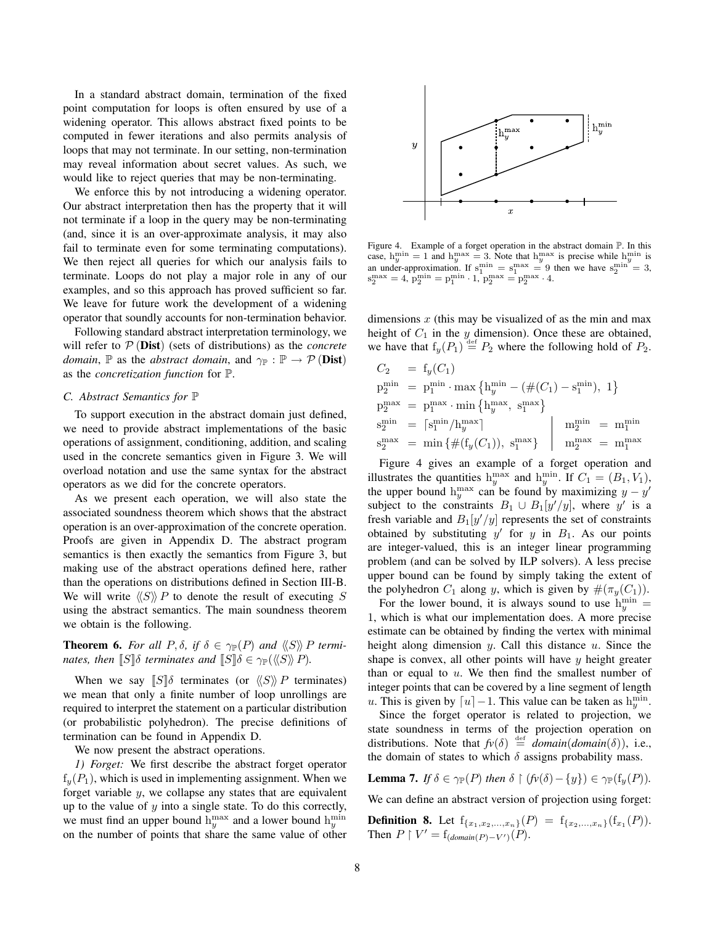In a standard abstract domain, termination of the fixed point computation for loops is often ensured by use of a widening operator. This allows abstract fixed points to be computed in fewer iterations and also permits analysis of loops that may not terminate. In our setting, non-termination may reveal information about secret values. As such, we would like to reject queries that may be non-terminating.

We enforce this by not introducing a widening operator. Our abstract interpretation then has the property that it will not terminate if a loop in the query may be non-terminating (and, since it is an over-approximate analysis, it may also fail to terminate even for some terminating computations). We then reject all queries for which our analysis fails to terminate. Loops do not play a major role in any of our examples, and so this approach has proved sufficient so far. We leave for future work the development of a widening operator that soundly accounts for non-termination behavior.

Following standard abstract interpretation terminology, we will refer to  $P(Dist)$  (sets of distributions) as the *concrete domain*,  $\mathbb P$  as the *abstract domain*, and  $\gamma_{\mathbb P} : \mathbb P \to \mathcal P$  (Dist) as the *concretization function* for P.

### *C. Abstract Semantics for* P

To support execution in the abstract domain just defined, we need to provide abstract implementations of the basic operations of assignment, conditioning, addition, and scaling used in the concrete semantics given in Figure 3. We will overload notation and use the same syntax for the abstract operators as we did for the concrete operators.

As we present each operation, we will also state the associated soundness theorem which shows that the abstract operation is an over-approximation of the concrete operation. Proofs are given in Appendix D. The abstract program semantics is then exactly the semantics from Figure 3, but making use of the abstract operations defined here, rather than the operations on distributions defined in Section III-B. We will write  $\langle S \rangle P$  to denote the result of executing S using the abstract semantics. The main soundness theorem we obtain is the following.

**Theorem 6.** For all  $P, \delta$ , if  $\delta \in \gamma_{\mathbb{P}}(P)$  and  $\langle\langle S \rangle\rangle$  P termi*nates, then*  $\llbracket S \rrbracket \delta$  *terminates and*  $\llbracket S \rrbracket \delta \in \gamma_{\mathbb{P}}(\langle \langle S \rangle \rangle P)$ *.* 

When we say  $\llbracket S \rrbracket \delta$  terminates (or  $\langle\langle S \rangle\rangle$  P terminates) we mean that only a finite number of loop unrollings are required to interpret the statement on a particular distribution (or probabilistic polyhedron). The precise definitions of termination can be found in Appendix D.

We now present the abstract operations.

*1) Forget:* We first describe the abstract forget operator  $f_{\nu}(P_1)$ , which is used in implementing assignment. When we forget variable y, we collapse any states that are equivalent up to the value of  $y$  into a single state. To do this correctly, we must find an upper bound  $h_y^{\text{max}}$  and a lower bound  $h_y^{\text{min}}$ on the number of points that share the same value of other



Figure 4. Example of a forget operation in the abstract domain P. In this case,  $h_y^{\min} = 1$  and  $h_y^{\max} = 3$ . Note that  $h_y^{\max}$  is precise while  $h_y^{\min}$  is an under-approximation. If  $s_1^{\text{min}} = s_1^{\text{max}} = 9$  then we have  $s_2^{\text{min}} = 3$ ,  $s_2^{\text{max}} = 4$ ,  $p_2^{\text{min}} = p_1^{\text{min}} \cdot 1$ ,  $p_2^{\text{max}} = p_2^{\text{max}} \cdot 4$ .

dimensions  $x$  (this may be visualized of as the min and max height of  $C_1$  in the y dimension). Once these are obtained, we have that  $f_y(P_1) \stackrel{\text{def}}{=} P_2$  where the following hold of  $P_2$ .

$$
C_2 = f_y(C_1)
$$
  
\n
$$
p_2^{\min} = p_1^{\min} \cdot \max \{h_y^{\min} - (\#(C_1) - s_1^{\min}), 1\}
$$
  
\n
$$
p_2^{\max} = p_1^{\max} \cdot \min \{h_y^{\max}, s_1^{\max}\}
$$
  
\n
$$
s_2^{\min} = [s_1^{\min}/h_y^{\max}] \qquad m_2^{\min} = m_1^{\min}
$$
  
\n
$$
s_2^{\max} = \min \{ \#(f_y(C_1)), s_1^{\max} \} \qquad m_2^{\max} = m_1^{\max}
$$

Figure 4 gives an example of a forget operation and illustrates the quantities  $h_y^{\text{max}}$  and  $h_y^{\text{min}}$ . If  $C_1 = (B_1, V_1)$ , the upper bound  $h_y^{\text{max}}$  can be found by maximizing  $y - y'$ subject to the constraints  $B_1 \cup B_1[y'/y]$ , where y' is a fresh variable and  $B_1[y'/y]$  represents the set of constraints obtained by substituting  $y'$  for  $y$  in  $B_1$ . As our points are integer-valued, this is an integer linear programming problem (and can be solved by ILP solvers). A less precise upper bound can be found by simply taking the extent of the polyhedron  $C_1$  along y, which is given by  $\#(\pi_y(C_1)).$ 

For the lower bound, it is always sound to use  $h_y^{\text{min}} =$ 1, which is what our implementation does. A more precise estimate can be obtained by finding the vertex with minimal height along dimension  $y$ . Call this distance  $u$ . Since the shape is convex, all other points will have  $y$  height greater than or equal to  $u$ . We then find the smallest number of integer points that can be covered by a line segment of length u. This is given by  $\lceil u \rceil - 1$ . This value can be taken as  $h_y^{\min}$ .

Since the forget operator is related to projection, we state soundness in terms of the projection operation on distributions. Note that  $f\nu(\delta) \stackrel{\text{def}}{=} \text{domain}(\text{domain}(\delta))$ , i.e., the domain of states to which  $\delta$  assigns probability mass.

**Lemma 7.** *If*  $\delta \in \gamma_{\mathbb{P}}(P)$  *then*  $\delta \restriction (f \circ (\delta) - \{y\}) \in \gamma_{\mathbb{P}}(\mathsf{f}_y(P)).$ 

We can define an abstract version of projection using forget:

**Definition 8.** Let  $f_{\{x_1, x_2, ..., x_n\}}(P) = f_{\{x_2, ..., x_n\}}(f_{x_1}(P)).$ Then  $P \restriction V' = f_{(domain(P) - V')}(P)$ .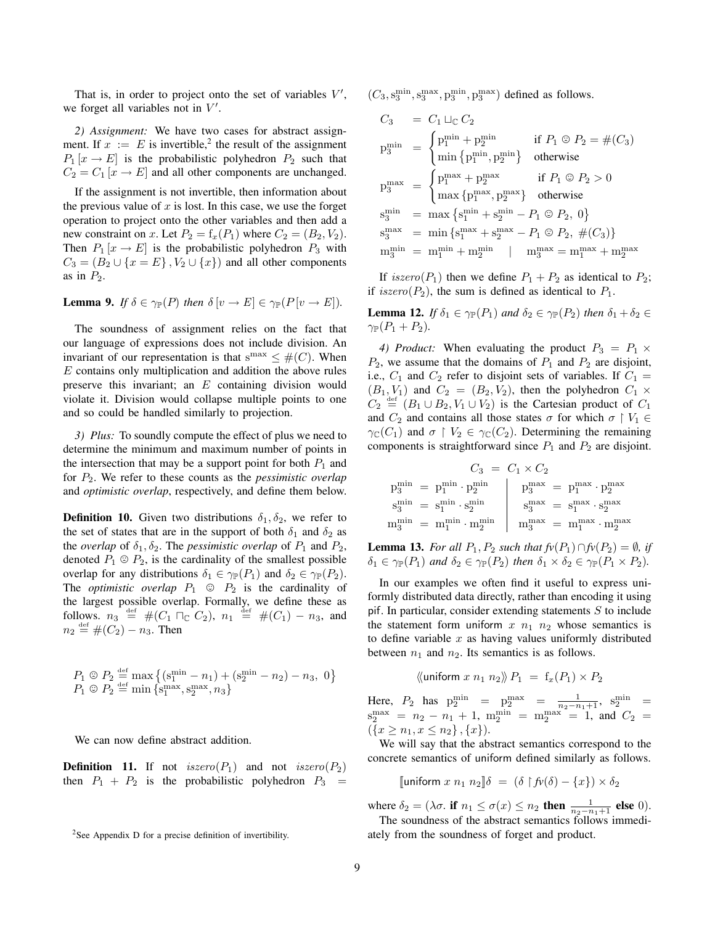That is, in order to project onto the set of variables  $V'$ , we forget all variables not in  $V'$ .

*2) Assignment:* We have two cases for abstract assignment. If  $x := E$  is invertible,<sup>2</sup> the result of the assignment  $P_1[x \rightarrow E]$  is the probabilistic polyhedron  $P_2$  such that  $C_2 = C_1 [x \rightarrow E]$  and all other components are unchanged.

If the assignment is not invertible, then information about the previous value of  $x$  is lost. In this case, we use the forget operation to project onto the other variables and then add a new constraint on x. Let  $P_2 = f_x(P_1)$  where  $C_2 = (B_2, V_2)$ . Then  $P_1[x \rightarrow E]$  is the probabilistic polyhedron  $P_3$  with  $C_3 = (B_2 \cup \{x = E\}, V_2 \cup \{x\})$  and all other components as in  $P_2$ .

**Lemma 9.** *If*  $\delta \in \gamma_{\mathbb{P}}(P)$  *then*  $\delta[v \to E] \in \gamma_{\mathbb{P}}(P[v \to E]).$ 

The soundness of assignment relies on the fact that our language of expressions does not include division. An invariant of our representation is that  $s^{max} \leq \#(C)$ . When  $E$  contains only multiplication and addition the above rules preserve this invariant; an  $E$  containing division would violate it. Division would collapse multiple points to one and so could be handled similarly to projection.

*3) Plus:* To soundly compute the effect of plus we need to determine the minimum and maximum number of points in the intersection that may be a support point for both  $P_1$  and for P2. We refer to these counts as the *pessimistic overlap* and *optimistic overlap*, respectively, and define them below.

**Definition 10.** Given two distributions  $\delta_1, \delta_2$ , we refer to the set of states that are in the support of both  $\delta_1$  and  $\delta_2$  as the *overlap* of  $\delta_1, \delta_2$ . The *pessimistic overlap* of  $P_1$  and  $P_2$ , denoted  $P_1 \otimes P_2$ , is the cardinality of the smallest possible overlap for any distributions  $\delta_1 \in \gamma_{\mathbb{P}}(P_1)$  and  $\delta_2 \in \gamma_{\mathbb{P}}(P_2)$ . The *optimistic overlap*  $P_1 \oplus P_2$  is the cardinality of the largest possible overlap. Formally, we define these as follows.  $n_3 \stackrel{\text{def}}{=} \#(C_1 \sqcap_{\mathbb{C}} C_2)$ ,  $n_1 \stackrel{\text{def}}{=} \#(C_1) - n_3$ , and  $n_2 \stackrel{\text{def}}{=} \#(C_2) - n_3$ . Then

$$
P_1 \otimes P_2 \stackrel{\text{def}}{=} \max \left\{ (\text{s}_1^{\min} - n_1) + (\text{s}_2^{\min} - n_2) - n_3, 0 \right\}
$$
  

$$
P_1 \otimes P_2 \stackrel{\text{def}}{=} \min \left\{ \text{s}_1^{\max}, \text{s}_2^{\max}, n_3 \right\}
$$

We can now define abstract addition.

**Definition 11.** If not *iszero*( $P_1$ ) and not *iszero*( $P_2$ ) then  $P_1 + P_2$  is the probabilistic polyhedron  $P_3$  =  $(C_3, s_3^{\min}, s_3^{\max}, p_3^{\min}, p_3^{\max})$  defined as follows.

$$
C_3 = C_1 \sqcup_{\mathbb{C}} C_2
$$
  
\n
$$
p_3^{\min} = \begin{cases} p_1^{\min} + p_2^{\min} & \text{if } P_1 \odot P_2 = \#(C_3) \\ \min \{p_1^{\min}, p_2^{\min} \} & \text{otherwise} \end{cases}
$$
  
\n
$$
p_3^{\max} = \begin{cases} p_1^{\max} + p_2^{\max} & \text{if } P_1 \odot P_2 > 0 \\ \max \{p_1^{\max}, p_2^{\max} \} & \text{otherwise} \end{cases}
$$
  
\n
$$
s_3^{\min} = \max \{s_1^{\min} + s_2^{\min} - P_1 \odot P_2, 0\}
$$
  
\n
$$
s_3^{\max} = \min \{s_1^{\max} + s_2^{\max} - P_1 \odot P_2, \#(C_3)\}
$$
  
\n
$$
m_3^{\min} = m_1^{\min} + m_2^{\min} \quad | \quad m_3^{\max} = m_1^{\max} + m_2^{\max}
$$

If  $iszero(P_1)$  then we define  $P_1 + P_2$  as identical to  $P_2$ ; if iszero( $P_2$ ), the sum is defined as identical to  $P_1$ .

**Lemma 12.** *If*  $\delta_1 \in \gamma_{\mathbb{P}}(P_1)$  *and*  $\delta_2 \in \gamma_{\mathbb{P}}(P_2)$  *then*  $\delta_1 + \delta_2 \in$  $\gamma_{\mathbb{P}}(P_1+P_2)$ .

*4) Product:* When evaluating the product  $P_3 = P_1 \times$  $P_2$ , we assume that the domains of  $P_1$  and  $P_2$  are disjoint, i.e.,  $C_1$  and  $C_2$  refer to disjoint sets of variables. If  $C_1$  =  $(B_1, V_1)$  and  $C_2 = (B_2, V_2)$ , then the polyhedron  $C_1 \times$  $C_2 \stackrel{\text{def}}{=} (B_1 \cup B_2, V_1 \cup V_2)$  is the Cartesian product of  $C_1$ and  $C_2$  and contains all those states  $\sigma$  for which  $\sigma \restriction V_1 \in$  $\gamma_{\mathbb{C}}(C_1)$  and  $\sigma \restriction V_2 \in \gamma_{\mathbb{C}}(C_2)$ . Determining the remaining components is straightforward since  $P_1$  and  $P_2$  are disjoint.

$$
C_3 = C_1 \times C_2
$$
  
\n
$$
p_3^{\min} = p_1^{\min} \cdot p_2^{\min}
$$
  
\n
$$
s_3^{\min} = s_1^{\min} \cdot s_2^{\min}
$$
  
\n
$$
m_3^{\min} = m_1^{\min} \cdot m_2^{\min}
$$
  
\n
$$
p_3^{\max} = p_1^{\max} \cdot p_2^{\max}
$$
  
\n
$$
s_3^{\max} = s_1^{\max} \cdot s_2^{\max}
$$
  
\n
$$
m_3^{\max} = m_1^{\max} \cdot m_2^{\max}
$$

**Lemma 13.** *For all*  $P_1$ ,  $P_2$  *such that*  $f_1(P_1) \cap f_2(P_2) = \emptyset$ , *if*  $\delta_1 \in \gamma_{\mathbb{P}}(P_1)$  *and*  $\delta_2 \in \gamma_{\mathbb{P}}(P_2)$  *then*  $\delta_1 \times \delta_2 \in \gamma_{\mathbb{P}}(P_1 \times P_2)$ *.* 

In our examples we often find it useful to express uniformly distributed data directly, rather than encoding it using pif. In particular, consider extending statements  $S$  to include the statement form uniform  $x$   $n_1$   $n_2$  whose semantics is to define variable  $x$  as having values uniformly distributed between  $n_1$  and  $n_2$ . Its semantics is as follows.

$$
\langle\langle \text{uniform } x \; n_1 \; n_2 \rangle\rangle \; P_1 \; = \; f_x(P_1) \times P_2
$$

Here,  $P_2$  has  $p_2^{\min} = p_2^{\max} = \frac{1}{n_2 - n_1 + 1}$ ,  $s_2^{\min} =$  $s_2^{\max} = n_2 - n_1 + 1$ ,  $m_2^{\min} = m_2^{\max} = 1$ , and  $C_2 =$  $({x \ge n_1, x \le n_2}, {x}.$ 

We will say that the abstract semantics correspond to the concrete semantics of uniform defined similarly as follows.

$$
[\text{uniform } x \; n_1 \; n_2] \delta \; = \; (\delta \upharpoonright f \mathcal{V}(\delta) - \{x\}) \times \delta_2
$$

where  $\delta_2 = (\lambda \sigma \cdot \textbf{if } n_1 \le \sigma(x) \le n_2 \textbf{ then } \frac{1}{n_2 - n_1 + 1} \textbf{ else } 0).$ The soundness of the abstract semantics follows immedi-

ately from the soundness of forget and product.

<sup>2</sup>See Appendix D for a precise definition of invertibility.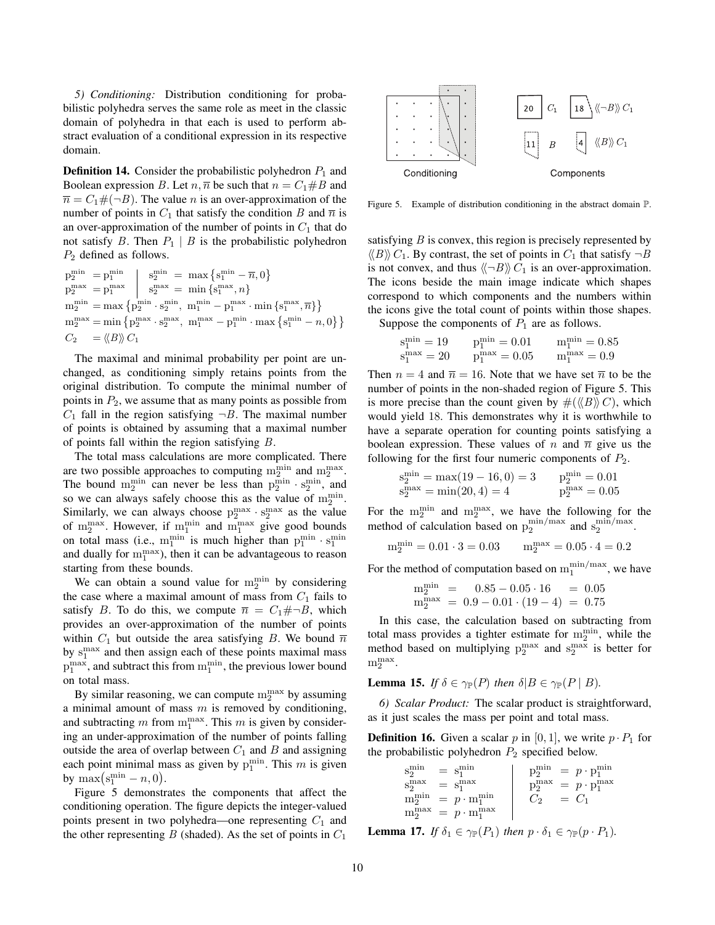*5) Conditioning:* Distribution conditioning for probabilistic polyhedra serves the same role as meet in the classic domain of polyhedra in that each is used to perform abstract evaluation of a conditional expression in its respective domain.

**Definition 14.** Consider the probabilistic polyhedron  $P_1$  and Boolean expression B. Let  $n, \overline{n}$  be such that  $n = C_1 \# B$  and  $\overline{n} = C_1 \# (-B)$ . The value *n* is an over-approximation of the number of points in  $C_1$  that satisfy the condition B and  $\overline{n}$  is an over-approximation of the number of points in  $C_1$  that do not satisfy  $B$ . Then  $P_1 \mid B$  is the probabilistic polyhedron  $P_2$  defined as follows.

$$
p_2^{\min} = p_1^{\min} \n\begin{cases} \ns_2^{\min} = \max \{ s_1^{\min} - \overline{n}, 0 \} \\ \ns_2^{\max} = \min \{ s_1^{\max}, n \} \\ \nm_2^{\min} = \max \{ p_2^{\min} \cdot s_2^{\min}, \ m_1^{\min} - p_1^{\max} \cdot \min \{ s_1^{\max}, \overline{n} \} \} \\ \nm_2^{\max} = \min \{ p_2^{\max} \cdot s_2^{\max}, \ m_1^{\max} - p_1^{\min} \cdot \max \{ s_1^{\min} - n, 0 \} \} \\ C_2 = \langle \!\langle B \rangle \rangle C_1 \n\end{cases}
$$

The maximal and minimal probability per point are unchanged, as conditioning simply retains points from the original distribution. To compute the minimal number of points in  $P_2$ , we assume that as many points as possible from  $C_1$  fall in the region satisfying  $\neg B$ . The maximal number of points is obtained by assuming that a maximal number of points fall within the region satisfying B.

The total mass calculations are more complicated. There are two possible approaches to computing  $m_2^{min}$  and  $m_2^{max}$ . The bound  $m_2^{\text{min}}$  can never be less than  $p_2^{\text{min}} \cdot s_2^{\text{min}}$ , and so we can always safely choose this as the value of  $m_2^{\text{min}}$ . Similarly, we can always choose  $p_2^{\max} \cdot s_2^{\max}$  as the value of  $m_2^{\text{max}}$ . However, if  $m_1^{\text{min}}$  and  $m_1^{\text{max}}$  give good bounds on total mass (i.e.,  $m_1^{min}$  is much higher than  $p_1^{min} \cdot s_1^{min}$ and dually for  $m_1^{\text{max}}$ ), then it can be advantageous to reason starting from these bounds.

We can obtain a sound value for  $m_2^{min}$  by considering the case where a maximal amount of mass from  $C_1$  fails to satisfy B. To do this, we compute  $\overline{n} = C_1 \# \neg B$ , which provides an over-approximation of the number of points within  $C_1$  but outside the area satisfying B. We bound  $\overline{n}$ by  $s_1^{\text{max}}$  and then assign each of these points maximal mass  $p_1^{\text{max}}$ , and subtract this from  $m_1^{\text{min}}$ , the previous lower bound on total mass.

By similar reasoning, we can compute  $m_2^{max}$  by assuming a minimal amount of mass  $m$  is removed by conditioning, and subtracting m from  $m_1^{\text{max}}$ . This m is given by considering an under-approximation of the number of points falling outside the area of overlap between  $C_1$  and  $B$  and assigning each point minimal mass as given by  $p_1^{\min}$ . This m is given by  $\max(\mathrm{s}_1^{\min} - n, 0)$ .

Figure 5 demonstrates the components that affect the conditioning operation. The figure depicts the integer-valued points present in two polyhedra—one representing  $C_1$  and the other representing  $B$  (shaded). As the set of points in  $C_1$ 



Figure 5. Example of distribution conditioning in the abstract domain P.

satisfying  $B$  is convex, this region is precisely represented by  $\langle\!\langle B \rangle\!\rangle C_1$ . By contrast, the set of points in  $C_1$  that satisfy  $\neg B$ is not convex, and thus  $\langle \neg B \rangle$  C<sub>1</sub> is an over-approximation. The icons beside the main image indicate which shapes correspond to which components and the numbers within the icons give the total count of points within those shapes.

Suppose the components of  $P_1$  are as follows.

$$
\begin{array}{lll} s_1^{min}=19 &\quad p_1^{min}=0.01 &\quad m_1^{min}=0.85 \\ s_1^{max}=20 &\quad p_1^{max}=0.05 &\quad m_1^{max}=0.9 \end{array}
$$

Then  $n = 4$  and  $\overline{n} = 16$ . Note that we have set  $\overline{n}$  to be the number of points in the non-shaded region of Figure 5. This is more precise than the count given by  $\#(\langle\langle B \rangle\rangle C)$ , which would yield 18. This demonstrates why it is worthwhile to have a separate operation for counting points satisfying a boolean expression. These values of n and  $\overline{n}$  give us the following for the first four numeric components of  $P_2$ .

$$
\begin{array}{ll} \mathrm{s}^{\rm min}_2 = \max(19-16,0) = 3 & \quad \mathrm{p}^{\rm min}_2 = 0.01 \\ \mathrm{s}^{\rm max}_2 = \min(20,4) = 4 & \quad \mathrm{p}^{\rm max}_2 = 0.05 \end{array}
$$

For the  $m_2^{min}$  and  $m_2^{max}$ , we have the following for the method of calculation based on  $p_2^{\min/max}$  and  $s_2^{\min/max}$ .

 $m_2^{\text{min}} = 0.01 \cdot 3 = 0.03$   $m_2^{\text{max}} = 0.05 \cdot 4 = 0.2$ 

For the method of computation based on  $m_1^{min/max}$ , we have

$$
\begin{array}{rcl} m_2^{\rm min} &=& 0.85 - 0.05 \cdot 16 &=& 0.05 \\ m_2^{\rm max} &=& 0.9 - 0.01 \cdot (19 - 4) &=& 0.75 \end{array}
$$

In this case, the calculation based on subtracting from total mass provides a tighter estimate for  $m_2^{min}$ , while the method based on multiplying  $p_2^{\max}$  and  $s_2^{\max}$  is better for  $m_2^{\text{max}}$ .

**Lemma 15.** *If*  $\delta \in \gamma_{\mathbb{P}}(P)$  *then*  $\delta | B \in \gamma_{\mathbb{P}}(P | B)$ *.* 

*6) Scalar Product:* The scalar product is straightforward, as it just scales the mass per point and total mass.

**Definition 16.** Given a scalar p in [0, 1], we write  $p \cdot P_1$  for the probabilistic polyhedron  $P_2$  specified below.

$$
\begin{array}{llll} \mathbf{s}^{\min}_2 & = & \mathbf{s}^{\min}_1 & \\ \mathbf{s}^{\max}_2 & = & \mathbf{s}^{\max}_1 & \\ \mathbf{m}^{\min}_2 & = & p \cdot \mathbf{m}^{\min}_1 & \\ \mathbf{m}^{\min}_2 & = & p \cdot \mathbf{m}^{\min}_1 & \\ \end{array} \quad \begin{array}{ll} \mathbf{p}^{\min}_2 & = & p \cdot \mathbf{p}^{\min}_1 \\ \mathbf{p}^{\max}_2 & = & p \cdot \mathbf{p}^{\max}_1 \\ C_2 & = & C_1 \\ \end{array}
$$

**Lemma 17.** *If*  $\delta_1 \in \gamma_{\mathbb{P}}(P_1)$  *then*  $p \cdot \delta_1 \in \gamma_{\mathbb{P}}(p \cdot P_1)$ *.*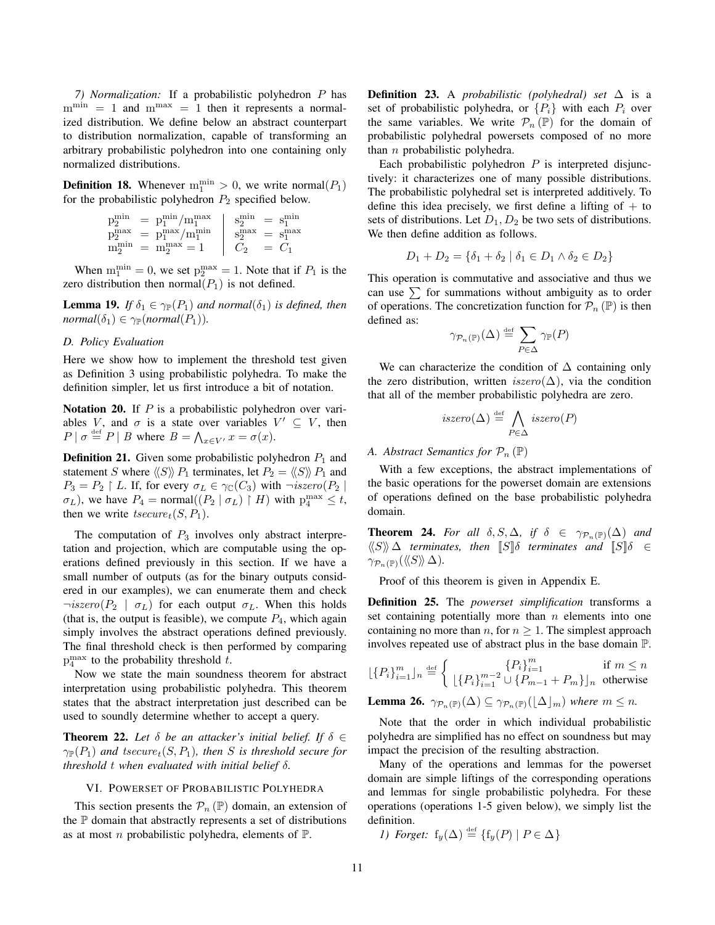*7) Normalization:* If a probabilistic polyhedron P has  $m^{min}$  = 1 and  $m^{max}$  = 1 then it represents a normalized distribution. We define below an abstract counterpart to distribution normalization, capable of transforming an arbitrary probabilistic polyhedron into one containing only normalized distributions.

**Definition 18.** Whenever  $m_1^{min} > 0$ , we write normal $(P_1)$ for the probabilistic polyhedron  $P_2$  specified below.

$$
\begin{array}{ccccc} \mathbf{p}^{\min}_2 & = & \mathbf{p}^{\min}_1/\mathbf{m}^{\max}_1 & & \mathbf{s}^{\min}_2 & = & \mathbf{s}^{\min}_1 \\ \mathbf{p}^{\max}_2 & = & \mathbf{p}^{\max}_1/\mathbf{m}^{\min}_1 & & \mathbf{s}^{\max}_2 & = & \mathbf{s}^{\max}_1 \\ \mathbf{m}^{\min}_2 & = & \mathbf{m}^{\max}_2 & = & 1 & & C_2 & = & C_1 \end{array}
$$

When  $m_1^{min} = 0$ , we set  $p_2^{max} = 1$ . Note that if  $P_1$  is the zero distribution then normal $(P_1)$  is not defined.

**Lemma 19.** *If*  $\delta_1 \in \gamma_{\mathbb{P}}(P_1)$  *and normal*( $\delta_1$ ) *is defined, then*  $normal(\delta_1) \in \gamma_{\mathbb{P}}(normal(P_1)).$ 

# *D. Policy Evaluation*

Here we show how to implement the threshold test given as Definition 3 using probabilistic polyhedra. To make the definition simpler, let us first introduce a bit of notation.

Notation 20. If  $P$  is a probabilistic polyhedron over variables V, and  $\sigma$  is a state over variables  $V' \subseteq V$ , then  $P | \sigma \stackrel{\text{def}}{=} P | B$  where  $B = \bigwedge_{x \in V'} x = \sigma(x)$ .

**Definition 21.** Given some probabilistic polyhedron  $P_1$  and statement S where  $\langle S \rangle P_1$  terminates, let  $P_2 = \langle S \rangle P_1$  and  $P_3 = P_2 \restriction L$ . If, for every  $\sigma_L \in \gamma_{\mathbb{C}}(C_3)$  with  $\neg \mathit{iszero}(P_2 \mid$  $\sigma_L$ ), we have  $P_4 = \text{normal}((P_2 | \sigma_L) | H)$  with  $p_4^{\max} \leq t$ , then we write  $tsecure_t(S, P_1)$ .

The computation of  $P_3$  involves only abstract interpretation and projection, which are computable using the operations defined previously in this section. If we have a small number of outputs (as for the binary outputs considered in our examples), we can enumerate them and check  $\neg$ *iszero*( $P_2$  |  $\sigma_L$ ) for each output  $\sigma_L$ . When this holds (that is, the output is feasible), we compute  $P_4$ , which again simply involves the abstract operations defined previously. The final threshold check is then performed by comparing  $p_4^{\text{max}}$  to the probability threshold t.

Now we state the main soundness theorem for abstract interpretation using probabilistic polyhedra. This theorem states that the abstract interpretation just described can be used to soundly determine whether to accept a query.

**Theorem 22.** Let  $\delta$  be an attacker's initial belief. If  $\delta \in$  $\gamma_{\mathbb{P}}(P_1)$  *and tsecure*<sub>t</sub>(S, P<sub>1</sub>), then S is threshold secure for *threshold* t *when evaluated with initial belief* δ*.*

#### VI. POWERSET OF PROBABILISTIC POLYHEDRA

This section presents the  $\mathcal{P}_n(\mathbb{P})$  domain, an extension of the  $P$  domain that abstractly represents a set of distributions as at most *n* probabilistic polyhedra, elements of  $\mathbb{P}$ .

**Definition 23.** A *probabilistic (polyhedral) set*  $\Delta$  is a set of probabilistic polyhedra, or  $\{P_i\}$  with each  $P_i$  over the same variables. We write  $\mathcal{P}_n(\mathbb{P})$  for the domain of probabilistic polyhedral powersets composed of no more than  $n$  probabilistic polyhedra.

Each probabilistic polyhedron  $P$  is interpreted disjunctively: it characterizes one of many possible distributions. The probabilistic polyhedral set is interpreted additively. To define this idea precisely, we first define a lifting of  $+$  to sets of distributions. Let  $D_1, D_2$  be two sets of distributions. We then define addition as follows.

$$
D_1 + D_2 = \{ \delta_1 + \delta_2 \mid \delta_1 \in D_1 \land \delta_2 \in D_2 \}
$$

This operation is commutative and associative and thus we can use  $\sum$  for summations without ambiguity as to order of operations. The concretization function for  $\mathcal{P}_n(\mathbb{P})$  is then defined as:

$$
\gamma_{\mathcal{P}_n(\mathbb{P})}(\Delta) \stackrel{\text{def}}{=} \sum_{P \in \Delta} \gamma_{\mathbb{P}}(P)
$$

We can characterize the condition of  $\Delta$  containing only the zero distribution, written  $iszero(\Delta)$ , via the condition that all of the member probabilistic polyhedra are zero.

$$
iszero(\Delta) \stackrel{\text{def}}{=} \bigwedge_{P \in \Delta} iszero(P)
$$

*A. Abstract Semantics for*  $\mathcal{P}_n$  ( $\mathbb{P}$ )

With a few exceptions, the abstract implementations of the basic operations for the powerset domain are extensions of operations defined on the base probabilistic polyhedra domain.

**Theorem 24.** For all  $\delta$ , S,  $\Delta$ , if  $\delta \in \gamma_{\mathcal{P}_n(\mathbb{P})}(\Delta)$  and  $\langle\langle S \rangle\rangle$   $\Delta$  *terminates, then*  $\llbracket S \rrbracket \delta$  *terminates and*  $\llbracket S \rrbracket \delta \in$  $\gamma_{\mathcal{P}_n(\mathbb{P})}(\langle\!\langle S \rangle\!\rangle \Delta).$ 

Proof of this theorem is given in Appendix E.

Definition 25. The *powerset simplification* transforms a set containing potentially more than  $n$  elements into one containing no more than *n*, for  $n \geq 1$ . The simplest approach involves repeated use of abstract plus in the base domain P.

$$
\lfloor \{P_i\}_{i=1}^m \rfloor_n \stackrel{\text{def}}{=} \left\{ \begin{array}{c} \{P_i\}_{i=1}^m & \text{if } m \le n\\ \lfloor \{P_i\}_{i=1}^{m-2} \cup \{P_{m-1} + P_m\} \rfloor_n & \text{otherwise} \end{array} \right.
$$

**Lemma 26.** 
$$
\gamma_{\mathcal{P}_n(\mathbb{P})}(\Delta) \subseteq \gamma_{\mathcal{P}_n(\mathbb{P})}(\lfloor \Delta \rfloor_m)
$$
 where  $m \leq n$ .

Note that the order in which individual probabilistic polyhedra are simplified has no effect on soundness but may impact the precision of the resulting abstraction.

Many of the operations and lemmas for the powerset domain are simple liftings of the corresponding operations and lemmas for single probabilistic polyhedra. For these operations (operations 1-5 given below), we simply list the definition.

*I*) *Forget:* 
$$
f_y(\Delta) \stackrel{\text{def}}{=} \{f_y(P) \mid P \in \Delta\}
$$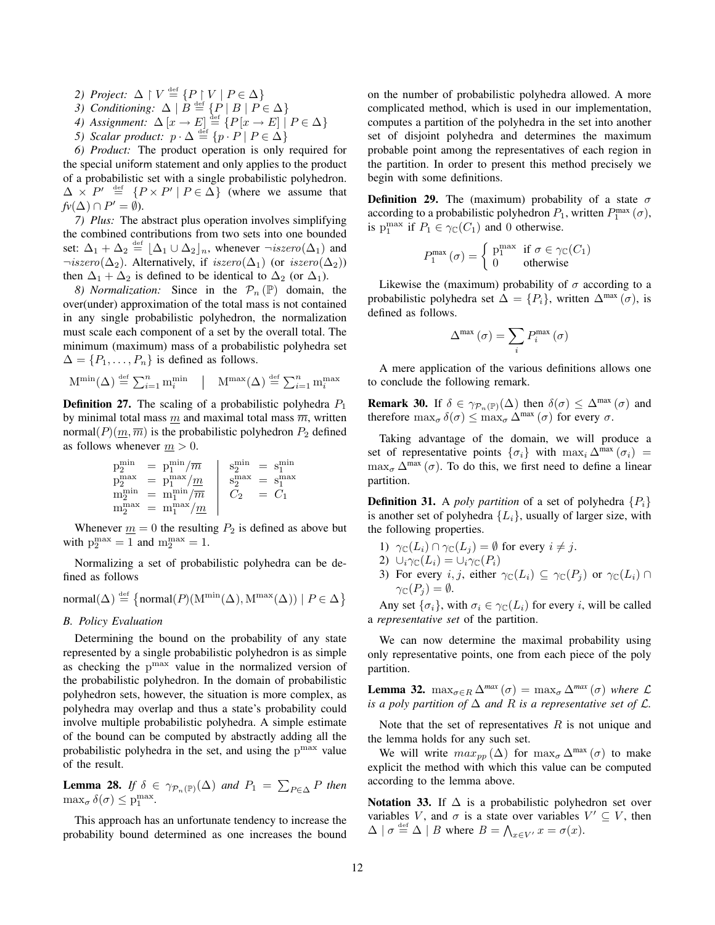- 2) Project:  $\Delta \restriction V \stackrel{\text{def}}{=} \{P \restriction V \mid P \in \Delta\}$
- *3)* Conditioning:  $\Delta \mid B \stackrel{\text{def}}{=} \{P \mid B \mid P \in \Delta\}$
- *4)* Assignment:  $\Delta [x \rightarrow E] \stackrel{\text{def}}{=} \{ P[x \rightarrow E] \mid P \in \Delta \}$
- *5) Scalar product:*  $p \cdot \Delta \stackrel{\text{def}}{=} \{p \cdot P \mid P \in \Delta\}$

*6) Product:* The product operation is only required for the special uniform statement and only applies to the product of a probabilistic set with a single probabilistic polyhedron.  $\Delta \times P' \stackrel{\text{def}}{=} \{P \times P' \mid P \in \Delta\}$  (where we assume that  $f\nu(\Delta) \cap P' = \emptyset$ ).

*7) Plus:* The abstract plus operation involves simplifying the combined contributions from two sets into one bounded set:  $\Delta_1 + \Delta_2 \stackrel{\text{def}}{=} [\Delta_1 \cup \Delta_2]_n$ , whenever  $\neg \text{iszero}(\Delta_1)$  and  $\neg i \text{zero}(\Delta_2)$ . Alternatively, if  $\text{iszero}(\Delta_1)$  (or  $\text{iszero}(\Delta_2)$ ) then  $\Delta_1 + \Delta_2$  is defined to be identical to  $\Delta_2$  (or  $\Delta_1$ ).

*8) Normalization:* Since in the  $\mathcal{P}_n(\mathbb{P})$  domain, the over(under) approximation of the total mass is not contained in any single probabilistic polyhedron, the normalization must scale each component of a set by the overall total. The minimum (maximum) mass of a probabilistic polyhedra set  $\Delta = \{P_1, \ldots, P_n\}$  is defined as follows.

$$
\mathbf{M}^{\min}(\boldsymbol{\Delta}) \stackrel{\text{\tiny def}}{=} \sum_{i=1}^{n} \mathbf{m}^{\min}_{i} \quad | \quad \mathbf{M}^{\max}(\boldsymbol{\Delta}) \stackrel{\text{\tiny def}}{=} \sum_{i=1}^{n} \mathbf{m}^{\max}_{i}
$$

**Definition 27.** The scaling of a probabilistic polyhedra  $P_1$ by minimal total mass m and maximal total mass  $\overline{m}$ , written normal $(P)(m, \overline{m})$  is the probabilistic polyhedron  $P_2$  defined as follows whenever  $m > 0$ .

$$
\begin{array}{l} \mathbf{p}^{\min}_2=\mathbf{p}^{\min}_1/\overline{m}\\ \mathbf{p}^{\max}_2=\mathbf{p}^{\max}_1/\underline{m}\\ \mathbf{m}^{\min}_2=\mathbf{m}^{\min}_1/\overline{m}\\ \mathbf{m}^{\min}_2=\mathbf{m}^{\min}_1/\overline{m}\\ \end{array} \quad \begin{array}{l} \mathbf{s}^{\min}_2=\mathbf{s}^{\min}_1\\ \mathbf{s}^{\max}_2=\mathbf{s}^{\max}_1\\ G_2=\mathbf{C}_1\\ \end{array}
$$

Whenever  $m = 0$  the resulting  $P_2$  is defined as above but with  $p_2^{\text{max}} = 1$  and  $m_2^{\text{max}} = 1$ .

Normalizing a set of probabilistic polyhedra can be defined as follows

normal(
$$
\Delta
$$
)  $\stackrel{\text{def}}{=}$  {normal( $P$ )(M<sup>min</sup>( $\Delta$ ), M<sup>max</sup>( $\Delta$ )) |  $P \in \Delta$ }

# *B. Policy Evaluation*

Determining the bound on the probability of any state represented by a single probabilistic polyhedron is as simple as checking the p<sup>max</sup> value in the normalized version of the probabilistic polyhedron. In the domain of probabilistic polyhedron sets, however, the situation is more complex, as polyhedra may overlap and thus a state's probability could involve multiple probabilistic polyhedra. A simple estimate of the bound can be computed by abstractly adding all the probabilistic polyhedra in the set, and using the  $p^{max}$  value of the result.

**Lemma 28.** *If*  $\delta \in \gamma_{\mathcal{P}_n(\mathbb{P})}(\Delta)$  *and*  $P_1 = \sum_{P \in \Delta} P$  *then*  $\max_{\sigma} \delta(\sigma) \leq p_1^{\max}$ .

This approach has an unfortunate tendency to increase the probability bound determined as one increases the bound on the number of probabilistic polyhedra allowed. A more complicated method, which is used in our implementation, computes a partition of the polyhedra in the set into another set of disjoint polyhedra and determines the maximum probable point among the representatives of each region in the partition. In order to present this method precisely we begin with some definitions.

**Definition 29.** The (maximum) probability of a state  $\sigma$ according to a probabilistic polyhedron  $P_1$ , written  $P_1^{\max}(\sigma)$ , is  $p_1^{\max}$  if  $P_1 \in \gamma_{\mathbb{C}}(C_1)$  and 0 otherwise.

$$
P_1^{\max}\left(\sigma\right)=\left\{\begin{array}{ll} \mathbf{p}_1^{\max}&\text{if $\sigma\in\gamma_{\mathbb{C}}(C_1)$}\\ 0&\text{otherwise} \end{array}\right.
$$

Likewise the (maximum) probability of  $\sigma$  according to a probabilistic polyhedra set  $\Delta = \{P_i\}$ , written  $\Delta^{\max}(\sigma)$ , is defined as follows.

$$
\Delta^{\max}\left(\sigma\right)=\sum_{i}P_{i}^{\max}\left(\sigma\right)
$$

A mere application of the various definitions allows one to conclude the following remark.

**Remark 30.** If  $\delta \in \gamma_{\mathcal{P}_n(\mathbb{P})}(\Delta)$  then  $\delta(\sigma) \leq \Delta^{\max}(\sigma)$  and therefore  $\max_{\sigma} \delta(\sigma) \leq \max_{\sigma} \Delta^{\max}(\sigma)$  for every  $\sigma$ .

Taking advantage of the domain, we will produce a set of representative points  $\{\sigma_i\}$  with  $\max_i \Delta^{\max}(\sigma_i)$  $\max_{\sigma} \Delta^{\max}(\sigma)$ . To do this, we first need to define a linear partition.

**Definition 31.** A *poly partition* of a set of polyhedra  $\{P_i\}$ is another set of polyhedra  ${L<sub>i</sub>}$ , usually of larger size, with the following properties.

- 1)  $\gamma_{\mathbb{C}}(L_i) \cap \gamma_{\mathbb{C}}(L_i) = \emptyset$  for every  $i \neq j$ .
- 2)  $\cup_i \gamma_{\mathbb{C}}(L_i) = \cup_i \gamma_{\mathbb{C}}(P_i)$
- 3) For every i, j, either  $\gamma_{\mathbb{C}}(L_i) \subseteq \gamma_{\mathbb{C}}(P_i)$  or  $\gamma_{\mathbb{C}}(L_i) \cap$  $\gamma_{\mathbb{C}}(P_i) = \emptyset.$

Any set  $\{\sigma_i\}$ , with  $\sigma_i \in \gamma_{\mathbb{C}}(L_i)$  for every i, will be called a *representative set* of the partition.

We can now determine the maximal probability using only representative points, one from each piece of the poly partition.

**Lemma 32.**  $\max_{\sigma \in R} \Delta^{max}(\sigma) = \max_{\sigma} \Delta^{max}(\sigma)$  where  $\mathcal{L}$ *is a poly partition of*  $\Delta$  *and*  $R$  *is a representative set of*  $\mathcal{L}$ *.* 

Note that the set of representatives  $R$  is not unique and the lemma holds for any such set.

We will write  $max_{pp} (\Delta)$  for  $max_{\sigma} \Delta^{\max} (\sigma)$  to make explicit the method with which this value can be computed according to the lemma above.

Notation 33. If  $\Delta$  is a probabilistic polyhedron set over variables V, and  $\sigma$  is a state over variables  $V' \subseteq V$ , then  $\Delta \mid \sigma \stackrel{\text{def}}{=} \Delta \mid B$  where  $B = \bigwedge_{x \in V'} x = \sigma(x)$ .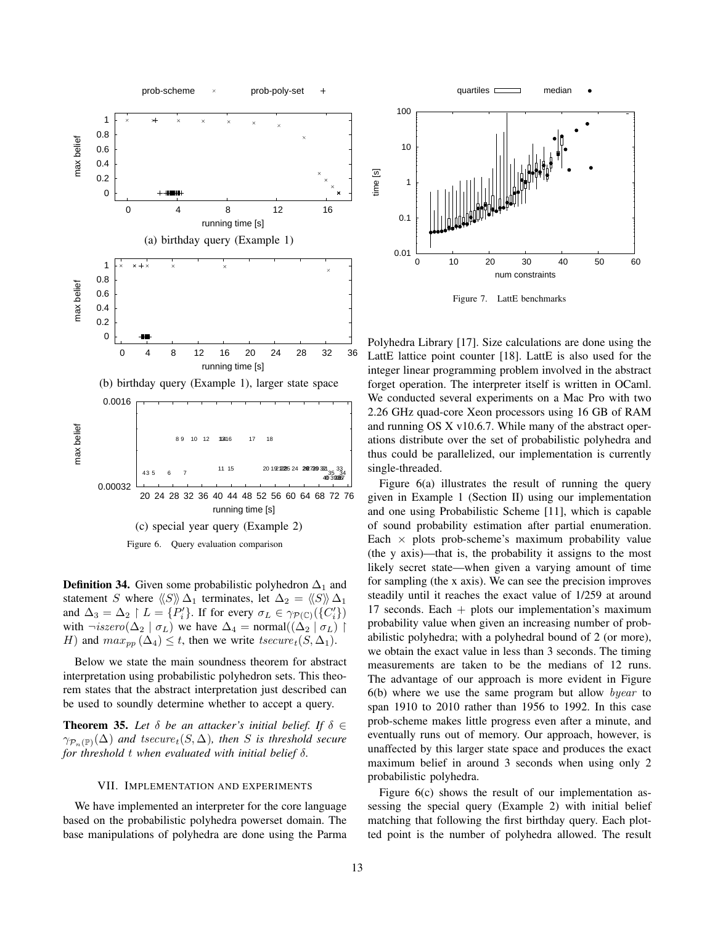

**Definition 34.** Given some probabilistic polyhedron  $\Delta_1$  and statement S where  $\langle S \rangle \rangle \Delta_1$  terminates, let  $\Delta_2 = \langle S \rangle \rangle \Delta_1$ and  $\Delta_3 = \Delta_2 \restriction L = \{P'_i\}$ . If for every  $\sigma_L \in \gamma_{\mathcal{P}(\mathbb{C})}(\{C'_i\})$ with  $\neg i \text{zero}(\Delta_2 \mid \sigma_L)$  we have  $\Delta_4 = \text{normal}((\Delta_2 \mid \sigma_L) \mid$ H) and  $max_{pp} (\Delta_4) \leq t$ , then we write  $tsecure_t(S, \Delta_1)$ .

Below we state the main soundness theorem for abstract interpretation using probabilistic polyhedron sets. This theorem states that the abstract interpretation just described can be used to soundly determine whether to accept a query.

**Theorem 35.** Let  $\delta$  be an attacker's initial belief. If  $\delta \in$  $\gamma_{\mathcal{P}_n(\mathbb{P})}(\Delta)$  *and tsecure*<sub>t</sub>(S,  $\Delta$ ), *then* S *is threshold secure for threshold* t *when evaluated with initial belief* δ*.*

### VII. IMPLEMENTATION AND EXPERIMENTS

We have implemented an interpreter for the core language based on the probabilistic polyhedra powerset domain. The base manipulations of polyhedra are done using the Parma



Figure 7. LattE benchmarks

Polyhedra Library [17]. Size calculations are done using the LattE lattice point counter [18]. LattE is also used for the integer linear programming problem involved in the abstract forget operation. The interpreter itself is written in OCaml. We conducted several experiments on a Mac Pro with two 2.26 GHz quad-core Xeon processors using 16 GB of RAM and running OS X v10.6.7. While many of the abstract operations distribute over the set of probabilistic polyhedra and thus could be parallelized, our implementation is currently single-threaded.

Figure 6(a) illustrates the result of running the query given in Example 1 (Section II) using our implementation and one using Probabilistic Scheme [11], which is capable of sound probability estimation after partial enumeration. Each  $\times$  plots prob-scheme's maximum probability value (the y axis)—that is, the probability it assigns to the most likely secret state—when given a varying amount of time for sampling (the x axis). We can see the precision improves steadily until it reaches the exact value of 1/259 at around 17 seconds. Each  $+$  plots our implementation's maximum probability value when given an increasing number of probabilistic polyhedra; with a polyhedral bound of 2 (or more), we obtain the exact value in less than 3 seconds. The timing measurements are taken to be the medians of 12 runs. The advantage of our approach is more evident in Figure  $6(b)$  where we use the same program but allow *byear* to span 1910 to 2010 rather than 1956 to 1992. In this case prob-scheme makes little progress even after a minute, and eventually runs out of memory. Our approach, however, is unaffected by this larger state space and produces the exact maximum belief in around 3 seconds when using only 2 probabilistic polyhedra.

Figure 6(c) shows the result of our implementation assessing the special query (Example 2) with initial belief matching that following the first birthday query. Each plotted point is the number of polyhedra allowed. The result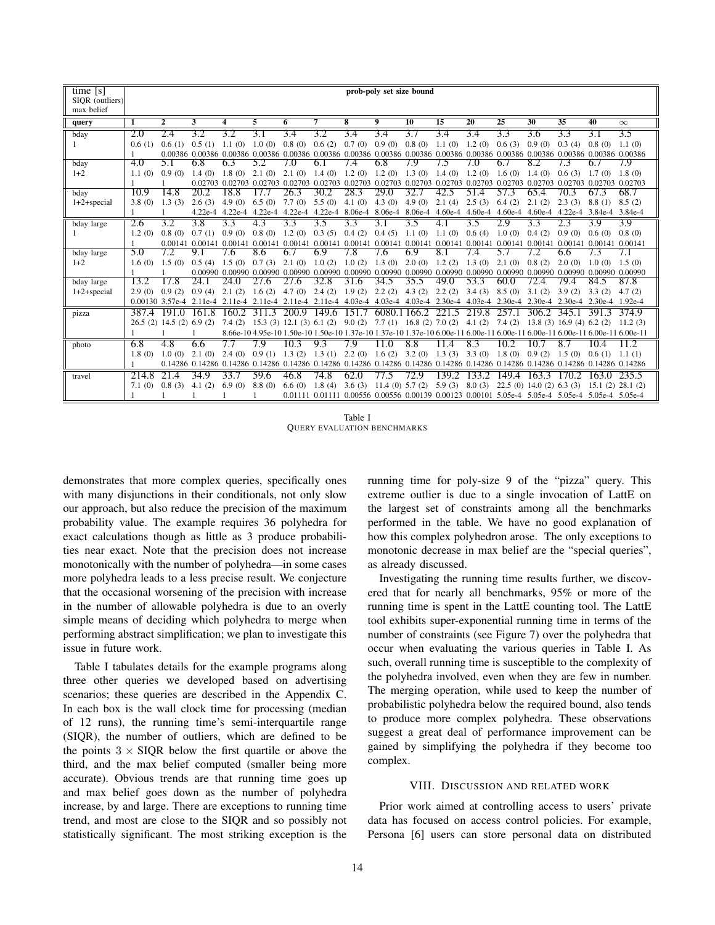| time [s]                      | prob-poly set size bound |                            |                                                                         |                 |                  |                         |                            |                         |                     |                                                                                                                                                       |                   |                 |           |                         |                                              |                     |                   |
|-------------------------------|--------------------------|----------------------------|-------------------------------------------------------------------------|-----------------|------------------|-------------------------|----------------------------|-------------------------|---------------------|-------------------------------------------------------------------------------------------------------------------------------------------------------|-------------------|-----------------|-----------|-------------------------|----------------------------------------------|---------------------|-------------------|
| SIOR (outliers)<br>max belief |                          |                            |                                                                         |                 |                  |                         |                            |                         |                     |                                                                                                                                                       |                   |                 |           |                         |                                              |                     |                   |
| query                         | 1                        | $\mathbf{2}$               | 3                                                                       | 4               | 5                |                         |                            | 8                       | 9                   | 10                                                                                                                                                    | 15                | 20              | 25        | 30                      | 35                                           | 40                  | $\infty$          |
| bday                          | 2.0                      | 2.4                        | 3.2                                                                     | 3.2             | $\overline{3.1}$ | 3.4                     | 3.2                        | 3.4                     | $\overline{3.4}$    | 3.7                                                                                                                                                   | $\overline{3.4}$  | 3.4             | 3.3       | 3.6                     | 3.3                                          | $\overline{3.1}$    | 3.5               |
|                               | 0.6(1)                   | 0.6(1)                     | 0.5(1)                                                                  | 1.1(0)          | 1.0(0)           | 0.8(0)                  | 0.6(2)                     | 0.7(0)                  | 0.9(0)              | 0.8(0)                                                                                                                                                | 1.1(0)            | 1.2(0)          | 0.6(3)    | 0.9(0)                  | 0.3(4)                                       | 0.8(0)              | 1.1(0)            |
|                               |                          |                            |                                                                         |                 |                  |                         |                            |                         |                     | 0.00386 0.00386 0.00386 0.00386 0.00386 0.00386 0.00386 0.00386 0.00386 0.00386 0.00386 0.00386 0.00386 0.00386 0.00386 0.00386                       |                   |                 |           |                         |                                              |                     |                   |
| bday                          | 4.0                      | 5.1                        | 6.8                                                                     | 6.3             | 5.2              | 7.0                     | 6.1                        | 7.4                     | 6.8                 | 7.9                                                                                                                                                   | 7.5               | 7.0             | 6.7       | 8.2                     | 7.3                                          | 6.7                 | 7.9               |
| $1+2$                         | 1.1(0)                   | 0.9(0)                     | 1.4(0)                                                                  | 1.8(0)          | 2.1(0)           | 2.1(0)                  | 1.4(0)                     | 1.2(0)                  | 1.2(0)              | 1.3(0)                                                                                                                                                | 1.4(0)            | 1.2(0)          | 1.6(0)    | 1.4(0)                  | 0.6(3)                                       | 1.7(0)              | 1.8(0)            |
|                               |                          |                            |                                                                         | 0.02703 0.02703 |                  |                         |                            |                         |                     | 0.02703 0.02703 0.02703 0.02703 0.02703 0.02703                                                                                                       | 0.02703           | 0.02703         | 0.02703   |                         | 0.02703 0.02703 0.02703                      |                     | 0.02703           |
| bday                          | 10.9                     | 14.8                       | 20.2                                                                    | 18.8            | 17.7             | 26.3                    | 30.2                       | 28.3                    | 29.0                | 32.7                                                                                                                                                  | 42.5              | 51.4            | 57.3      | 65.4                    | 70.3                                         | 67.3                | 68.7              |
| $1+2+special$                 | 3.8(0)                   | 1.3(3)                     | 2.6(3)                                                                  | 4.9(0)          | 6.5(0)           | 7.7(0)                  | 5.5(0)                     | 4.1(0)                  | 4.3(0)              | 4.9(0)                                                                                                                                                | 2.1(4)            | 2.5(3)          | 6.4(2)    | 2.1(2)                  | 2.3(3)                                       | 8.8(1)              | 8.5(2)            |
|                               |                          |                            | $4.22e-4$                                                               | $4.22e-4$       |                  | 4.22e-4 4.22e-4 4.22e-4 |                            | 8.06e-4 8.06e-4         |                     | 8.06e-4                                                                                                                                               | 4.60e-4           | 4.60e-4         | $4.60e-4$ | 4.60e-4 4.22e-4         |                                              | 3.84e-4 3.84e-4     |                   |
| bday large                    | 2.6                      | $\overline{3.2}$           | $\overline{3.8}$                                                        | 3.3             | 4.3              | 3.3                     | 3.5                        | 3.3                     | 3.1                 | 3.5                                                                                                                                                   | 4.1               | 3.5             | 2.9       | 3.3                     | 2.3                                          | 3.9                 | 3.9               |
|                               | 1.2(0)                   | 0.8(0)                     | 0.7(1)                                                                  | 0.9(0)          | 0.8(0)           | 1.2(0)                  | 0.3(5)                     | 0.4(2)                  | 0.4(5)              | 1.1(0)                                                                                                                                                | 1.1(0)            | 0.6(4)          | 1.0(0)    | 0.4(2)                  | 0.9(0)                                       | 0.6(0)              | 0.8(0)            |
|                               |                          |                            | 0.00141 0.00141 0.00141                                                 |                 |                  | 0.00141 0.00141 0.00141 |                            | 0.00141 0.00141 0.00141 |                     |                                                                                                                                                       | 0.00141           | 0.00141 0.00141 |           |                         | 0.00141 0.00141 0.00141                      |                     | 0.00141           |
| bday large                    | 5.0                      | 7.2                        | 9.1                                                                     | 7.6             | 8.6              | 6.7                     | 6.9                        | 7.8                     | 7.6                 | 6.9                                                                                                                                                   | 8.1               | 7.4             | 5.7       | 7.2                     | 6.6                                          | 7.3                 | 7.1               |
| $1+2$                         | 1.6(0)                   | 1.5(0)                     | 0.5(4)                                                                  | 1.5(0)          | 0.7(3)           | 2.1(0)                  | 1.0(2)                     | 1.0(2)                  | 1.3(0)              | 2.0(0)                                                                                                                                                | 1.2(2)            | 1.3(0)          | 2.1(0)    | 0.8(2)                  | 2.0(0)                                       | 1.0(0)              | 1.5(0)            |
|                               | 13.2                     | 17.8                       | 24.1                                                                    | 24.0            | 27.6             | 27.6                    | 32.8                       |                         | 34.5                | $0.00990$ $0.00990$ $0.00990$ $0.00990$ $0.00990$ $0.00990$ $0.00990$ $0.00990$ $0.00990$ $0.00990$ $0.00990$ $0.00990$ $0.00990$ $0.00990$ $0.00990$ | 49.0              |                 | 60.0      | 72.4                    | 79.4                                         | 84.5                | 87.8              |
| bday large                    | 2.9(0)                   | 0.9(2)                     | 0.9(4)                                                                  | 2.1(2)          |                  |                         |                            | 31.6                    |                     | 35.5<br>4.3(2)                                                                                                                                        |                   | 53.3            | 8.5(0)    | 3.1(2)                  |                                              |                     |                   |
| $1+2+special$                 |                          |                            |                                                                         |                 | 1.6(2)           | 4.7(0)                  | 2.4(2)                     | 1.9(2)                  | 2.2(2)              |                                                                                                                                                       | 2.2(2)            | 3.4(3)          |           | 2.30e-4 2.30e-4 2.30e-4 | 3.9(2)                                       | 3.3(2)<br>$2.30e-4$ | 4.7(2)<br>1.92e-4 |
|                               |                          |                            | 0.00130 3.57e-4 2.11e-4 2.11e-4 2.11e-4 2.11e-4 2.11e-4 4.03e-4 4.03e-4 |                 |                  |                         |                            |                         |                     | 4.03e-4 2.30e-4 4.03e-4                                                                                                                               |                   |                 |           |                         |                                              |                     |                   |
| pizza                         | 387.4                    | 191.0                      | 161.8                                                                   | 160.2           | 311.3            | 200.9                   | 149.6                      | 151.7                   | 6080.1166.2         |                                                                                                                                                       | 221.5             | 219.8           | 257.1     | 306.2                   | 345.1                                        | 391.3               | 374.9             |
|                               |                          | $26.5(2)$ 14.5 (2) 6.9 (2) |                                                                         | 7.4(2)          |                  | 15.3(3) 12.1(3) 6.1(2)  |                            |                         |                     | $9.0(2)$ 7.7 (1) 16.8 (2) 7.0 (2)                                                                                                                     |                   | 4.1(2)          | 7.4(2)    |                         | 13.8(3) 16.9(4) 6.2(2)                       |                     | 11.2(3)           |
|                               |                          |                            |                                                                         |                 |                  |                         |                            |                         |                     | 8.66e-10 4.95e-10 1.50e-10 1.50e-10 1.37e-10 1.37e-10 1.37e-10 6.00e-11 6.00e-11 6.00e-11 6.00e-11 6.00e-11 6.00e-11 6.00e-11                         |                   |                 |           |                         |                                              |                     |                   |
| photo                         | 6.8                      | 4.8                        | 6.6                                                                     | 7.7             | 7.9              | 10.3                    | 9.3                        | 7.9                     | 11.0                | 8.8                                                                                                                                                   | 11.4              | 8.3             | 10.2      | 10.7                    | 8.7                                          | 10.4                | 11.2.             |
|                               | 1.8(0)                   | 1.0(0)                     | 2.1(0)                                                                  | 2.4(0)          | 0.9(1)           |                         | $1.3(2)$ $1.3(1)$ $2.2(0)$ |                         | $1.6(2)$ 3.2 (0)    |                                                                                                                                                       | $1.3(3)$ $3.3(0)$ |                 | 1.8(0)    | 0.9(2)                  | 1.5(0)                                       | 0.6(1)              | 1.1(1)            |
|                               |                          |                            |                                                                         |                 |                  |                         |                            |                         |                     | 0.14286 0.14286 0.14286 0.14286 0.14286 0.14286 0.14286 0.14286 0.14286 0.14286 0.14286 0.14286 0.14286 0.14286 0.14286 0.14286                       |                   |                 |           |                         |                                              |                     |                   |
| travel                        | 214.8                    | 21.4                       | 34.9                                                                    | 33.7            | 59.6             | 46.8                    | 74.8                       | 62.0                    | 77.5                | 72.9                                                                                                                                                  | 139.2             | 133.2           | 149.4     | 163.3                   | 170.2                                        | 163.0               | 235.5             |
|                               | 7.1(0)                   | 0.8(3)                     | 4.1(2)                                                                  | 6.9(0)          | 8.8(0)           | 6.6(0)                  | 1.8(4)                     | 3.6(3)                  | $11.4(0)$ 5.7 $(2)$ |                                                                                                                                                       | $5.9(3)$ $8.0(3)$ |                 |           |                         | $22.5(0)$ 14.0 (2) 6.3 (3) 15.1 (2) 28.1 (2) |                     |                   |
|                               |                          |                            |                                                                         |                 |                  |                         |                            |                         |                     | 0.01111 0.01111 0.00556 0.00556 0.00139 0.00123 0.00101 5.05e-4 5.05e-4 5.05e-4 5.05e-4 5.05e-4                                                       |                   |                 |           |                         |                                              |                     |                   |

Table I QUERY EVALUATION BENCHMARKS

demonstrates that more complex queries, specifically ones with many disjunctions in their conditionals, not only slow our approach, but also reduce the precision of the maximum probability value. The example requires 36 polyhedra for exact calculations though as little as 3 produce probabilities near exact. Note that the precision does not increase monotonically with the number of polyhedra—in some cases more polyhedra leads to a less precise result. We conjecture that the occasional worsening of the precision with increase in the number of allowable polyhedra is due to an overly simple means of deciding which polyhedra to merge when performing abstract simplification; we plan to investigate this issue in future work.

Table I tabulates details for the example programs along three other queries we developed based on advertising scenarios; these queries are described in the Appendix C. In each box is the wall clock time for processing (median of 12 runs), the running time's semi-interquartile range (SIQR), the number of outliers, which are defined to be the points  $3 \times$  SIQR below the first quartile or above the third, and the max belief computed (smaller being more accurate). Obvious trends are that running time goes up and max belief goes down as the number of polyhedra increase, by and large. There are exceptions to running time trend, and most are close to the SIQR and so possibly not statistically significant. The most striking exception is the running time for poly-size 9 of the "pizza" query. This extreme outlier is due to a single invocation of LattE on the largest set of constraints among all the benchmarks performed in the table. We have no good explanation of how this complex polyhedron arose. The only exceptions to monotonic decrease in max belief are the "special queries", as already discussed.

Investigating the running time results further, we discovered that for nearly all benchmarks, 95% or more of the running time is spent in the LattE counting tool. The LattE tool exhibits super-exponential running time in terms of the number of constraints (see Figure 7) over the polyhedra that occur when evaluating the various queries in Table I. As such, overall running time is susceptible to the complexity of the polyhedra involved, even when they are few in number. The merging operation, while used to keep the number of probabilistic polyhedra below the required bound, also tends to produce more complex polyhedra. These observations suggest a great deal of performance improvement can be gained by simplifying the polyhedra if they become too complex.

#### VIII. DISCUSSION AND RELATED WORK

Prior work aimed at controlling access to users' private data has focused on access control policies. For example, Persona [6] users can store personal data on distributed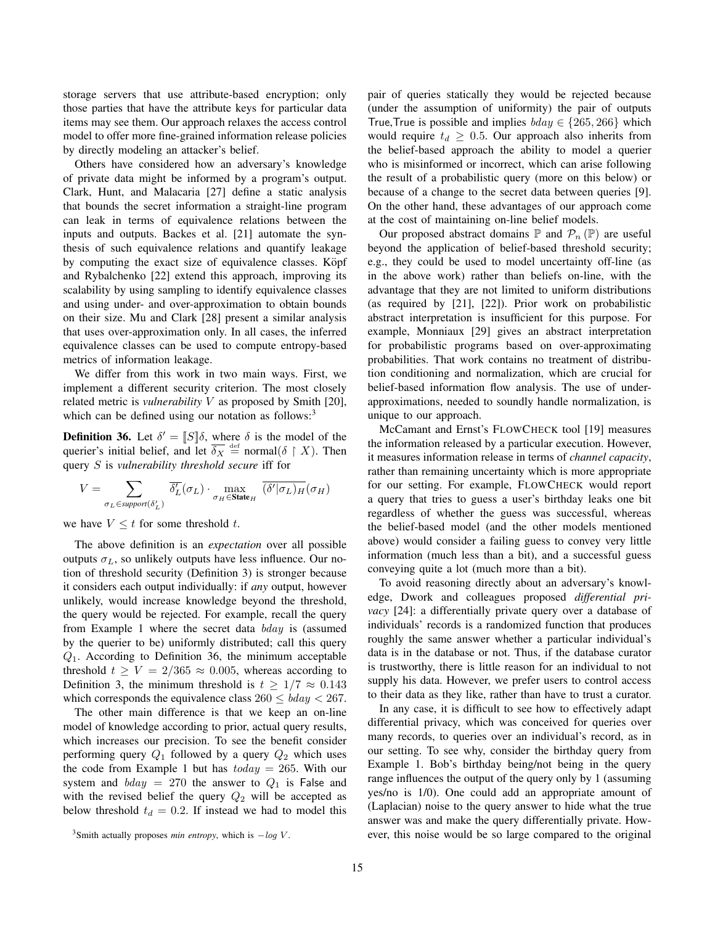storage servers that use attribute-based encryption; only those parties that have the attribute keys for particular data items may see them. Our approach relaxes the access control model to offer more fine-grained information release policies by directly modeling an attacker's belief.

Others have considered how an adversary's knowledge of private data might be informed by a program's output. Clark, Hunt, and Malacaria [27] define a static analysis that bounds the secret information a straight-line program can leak in terms of equivalence relations between the inputs and outputs. Backes et al. [21] automate the synthesis of such equivalence relations and quantify leakage by computing the exact size of equivalence classes. Köpf and Rybalchenko [22] extend this approach, improving its scalability by using sampling to identify equivalence classes and using under- and over-approximation to obtain bounds on their size. Mu and Clark [28] present a similar analysis that uses over-approximation only. In all cases, the inferred equivalence classes can be used to compute entropy-based metrics of information leakage.

We differ from this work in two main ways. First, we implement a different security criterion. The most closely related metric is *vulnerability* V as proposed by Smith [20], which can be defined using our notation as follows:<sup>3</sup>

**Definition 36.** Let  $\delta' = \llbracket S \rrbracket \delta$ , where  $\delta$  is the model of the querier's initial belief, and let  $\overline{\delta_X} \stackrel{\text{def}}{=} \text{normal}(\delta \restriction X)$ . Then query S is *vulnerability threshold secure* iff for

$$
V = \sum_{\sigma_L \in support(\delta_L')} \overline{\delta_L'}(\sigma_L) \cdot \max_{\sigma_H \in \mathbf{State}_H} \overline{(\delta'|\sigma_L)_H}(\sigma_H)
$$

we have  $V \leq t$  for some threshold t.

The above definition is an *expectation* over all possible outputs  $\sigma_L$ , so unlikely outputs have less influence. Our notion of threshold security (Definition 3) is stronger because it considers each output individually: if *any* output, however unlikely, would increase knowledge beyond the threshold, the query would be rejected. For example, recall the query from Example 1 where the secret data bday is (assumed by the querier to be) uniformly distributed; call this query  $Q_1$ . According to Definition 36, the minimum acceptable threshold  $t \geq V = 2/365 \approx 0.005$ , whereas according to Definition 3, the minimum threshold is  $t \geq 1/7 \approx 0.143$ which corresponds the equivalence class  $260 \leq bday < 267$ .

The other main difference is that we keep an on-line model of knowledge according to prior, actual query results, which increases our precision. To see the benefit consider performing query  $Q_1$  followed by a query  $Q_2$  which uses the code from Example 1 but has  $today = 265$ . With our system and  $bday = 270$  the answer to  $Q_1$  is False and with the revised belief the query  $Q_2$  will be accepted as below threshold  $t_d = 0.2$ . If instead we had to model this pair of queries statically they would be rejected because (under the assumption of uniformity) the pair of outputs True,True is possible and implies  $bday \in \{265, 266\}$  which would require  $t_d \geq 0.5$ . Our approach also inherits from the belief-based approach the ability to model a querier who is misinformed or incorrect, which can arise following the result of a probabilistic query (more on this below) or because of a change to the secret data between queries [9]. On the other hand, these advantages of our approach come at the cost of maintaining on-line belief models.

Our proposed abstract domains  $\mathbb P$  and  $\mathcal P_n(\mathbb P)$  are useful beyond the application of belief-based threshold security; e.g., they could be used to model uncertainty off-line (as in the above work) rather than beliefs on-line, with the advantage that they are not limited to uniform distributions (as required by [21], [22]). Prior work on probabilistic abstract interpretation is insufficient for this purpose. For example, Monniaux [29] gives an abstract interpretation for probabilistic programs based on over-approximating probabilities. That work contains no treatment of distribution conditioning and normalization, which are crucial for belief-based information flow analysis. The use of underapproximations, needed to soundly handle normalization, is unique to our approach.

McCamant and Ernst's FLOWCHECK tool [19] measures the information released by a particular execution. However, it measures information release in terms of *channel capacity*, rather than remaining uncertainty which is more appropriate for our setting. For example, FLOWCHECK would report a query that tries to guess a user's birthday leaks one bit regardless of whether the guess was successful, whereas the belief-based model (and the other models mentioned above) would consider a failing guess to convey very little information (much less than a bit), and a successful guess conveying quite a lot (much more than a bit).

To avoid reasoning directly about an adversary's knowledge, Dwork and colleagues proposed *differential privacy* [24]: a differentially private query over a database of individuals' records is a randomized function that produces roughly the same answer whether a particular individual's data is in the database or not. Thus, if the database curator is trustworthy, there is little reason for an individual to not supply his data. However, we prefer users to control access to their data as they like, rather than have to trust a curator.

In any case, it is difficult to see how to effectively adapt differential privacy, which was conceived for queries over many records, to queries over an individual's record, as in our setting. To see why, consider the birthday query from Example 1. Bob's birthday being/not being in the query range influences the output of the query only by 1 (assuming yes/no is 1/0). One could add an appropriate amount of (Laplacian) noise to the query answer to hide what the true answer was and make the query differentially private. However, this noise would be so large compared to the original

<sup>&</sup>lt;sup>3</sup>Smith actually proposes *min entropy*, which is −log V.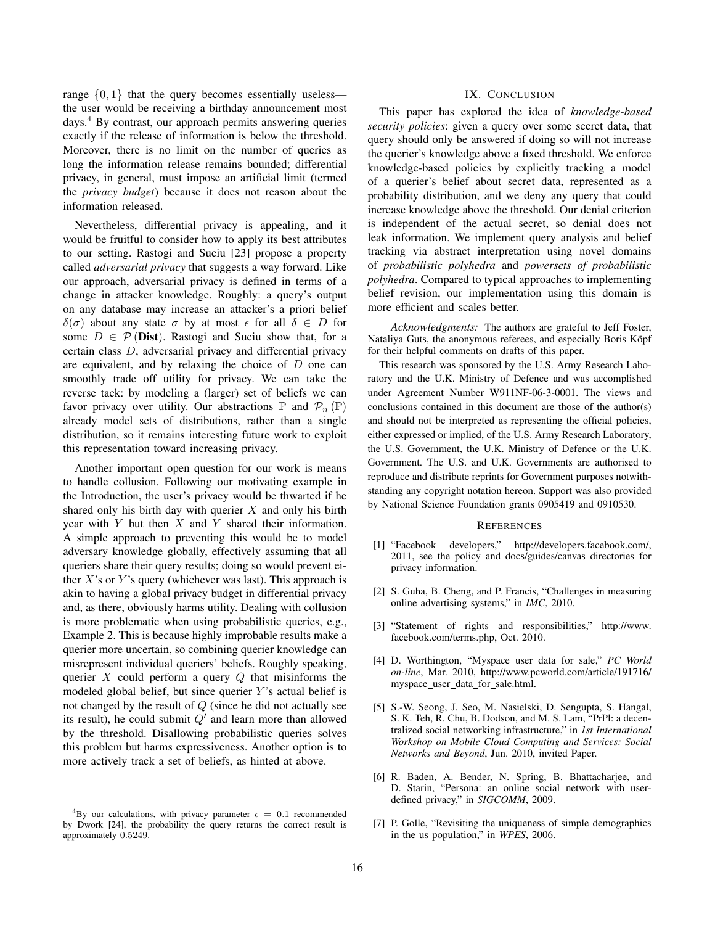range  $\{0, 1\}$  that the query becomes essentially useless the user would be receiving a birthday announcement most days.<sup>4</sup> By contrast, our approach permits answering queries exactly if the release of information is below the threshold. Moreover, there is no limit on the number of queries as long the information release remains bounded; differential privacy, in general, must impose an artificial limit (termed the *privacy budget*) because it does not reason about the information released.

Nevertheless, differential privacy is appealing, and it would be fruitful to consider how to apply its best attributes to our setting. Rastogi and Suciu [23] propose a property called *adversarial privacy* that suggests a way forward. Like our approach, adversarial privacy is defined in terms of a change in attacker knowledge. Roughly: a query's output on any database may increase an attacker's a priori belief  $\delta(\sigma)$  about any state  $\sigma$  by at most  $\epsilon$  for all  $\delta \in D$  for some  $D \in \mathcal{P}$  (**Dist**). Rastogi and Suciu show that, for a certain class D, adversarial privacy and differential privacy are equivalent, and by relaxing the choice of  $D$  one can smoothly trade off utility for privacy. We can take the reverse tack: by modeling a (larger) set of beliefs we can favor privacy over utility. Our abstractions  $\mathbb P$  and  $\mathcal P_n(\mathbb P)$ already model sets of distributions, rather than a single distribution, so it remains interesting future work to exploit this representation toward increasing privacy.

Another important open question for our work is means to handle collusion. Following our motivating example in the Introduction, the user's privacy would be thwarted if he shared only his birth day with querier  $X$  and only his birth year with  $Y$  but then  $X$  and  $Y$  shared their information. A simple approach to preventing this would be to model adversary knowledge globally, effectively assuming that all queriers share their query results; doing so would prevent either  $X$ 's or  $Y$ 's query (whichever was last). This approach is akin to having a global privacy budget in differential privacy and, as there, obviously harms utility. Dealing with collusion is more problematic when using probabilistic queries, e.g., Example 2. This is because highly improbable results make a querier more uncertain, so combining querier knowledge can misrepresent individual queriers' beliefs. Roughly speaking, querier X could perform a query  $Q$  that misinforms the modeled global belief, but since querier  $Y$ 's actual belief is not changed by the result of Q (since he did not actually see its result), he could submit  $Q'$  and learn more than allowed by the threshold. Disallowing probabilistic queries solves this problem but harms expressiveness. Another option is to more actively track a set of beliefs, as hinted at above.

# IX. CONCLUSION

This paper has explored the idea of *knowledge-based security policies*: given a query over some secret data, that query should only be answered if doing so will not increase the querier's knowledge above a fixed threshold. We enforce knowledge-based policies by explicitly tracking a model of a querier's belief about secret data, represented as a probability distribution, and we deny any query that could increase knowledge above the threshold. Our denial criterion is independent of the actual secret, so denial does not leak information. We implement query analysis and belief tracking via abstract interpretation using novel domains of *probabilistic polyhedra* and *powersets of probabilistic polyhedra*. Compared to typical approaches to implementing belief revision, our implementation using this domain is more efficient and scales better.

*Acknowledgments:* The authors are grateful to Jeff Foster, Nataliya Guts, the anonymous referees, and especially Boris Köpf for their helpful comments on drafts of this paper.

This research was sponsored by the U.S. Army Research Laboratory and the U.K. Ministry of Defence and was accomplished under Agreement Number W911NF-06-3-0001. The views and conclusions contained in this document are those of the author(s) and should not be interpreted as representing the official policies, either expressed or implied, of the U.S. Army Research Laboratory, the U.S. Government, the U.K. Ministry of Defence or the U.K. Government. The U.S. and U.K. Governments are authorised to reproduce and distribute reprints for Government purposes notwithstanding any copyright notation hereon. Support was also provided by National Science Foundation grants 0905419 and 0910530.

#### **REFERENCES**

- [1] "Facebook developers," http://developers.facebook.com/, 2011, see the policy and docs/guides/canvas directories for privacy information.
- [2] S. Guha, B. Cheng, and P. Francis, "Challenges in measuring online advertising systems," in *IMC*, 2010.
- [3] "Statement of rights and responsibilities," http://www. facebook.com/terms.php, Oct. 2010.
- [4] D. Worthington, "Myspace user data for sale," *PC World on-line*, Mar. 2010, http://www.pcworld.com/article/191716/ myspace\_user\_data\_for\_sale.html.
- [5] S.-W. Seong, J. Seo, M. Nasielski, D. Sengupta, S. Hangal, S. K. Teh, R. Chu, B. Dodson, and M. S. Lam, "PrPl: a decentralized social networking infrastructure," in *1st International Workshop on Mobile Cloud Computing and Services: Social Networks and Beyond*, Jun. 2010, invited Paper.
- [6] R. Baden, A. Bender, N. Spring, B. Bhattacharjee, and D. Starin, "Persona: an online social network with userdefined privacy," in *SIGCOMM*, 2009.
- [7] P. Golle, "Revisiting the uniqueness of simple demographics in the us population," in *WPES*, 2006.

<sup>&</sup>lt;sup>4</sup>By our calculations, with privacy parameter  $\epsilon = 0.1$  recommended by Dwork [24], the probability the query returns the correct result is approximately 0.5249.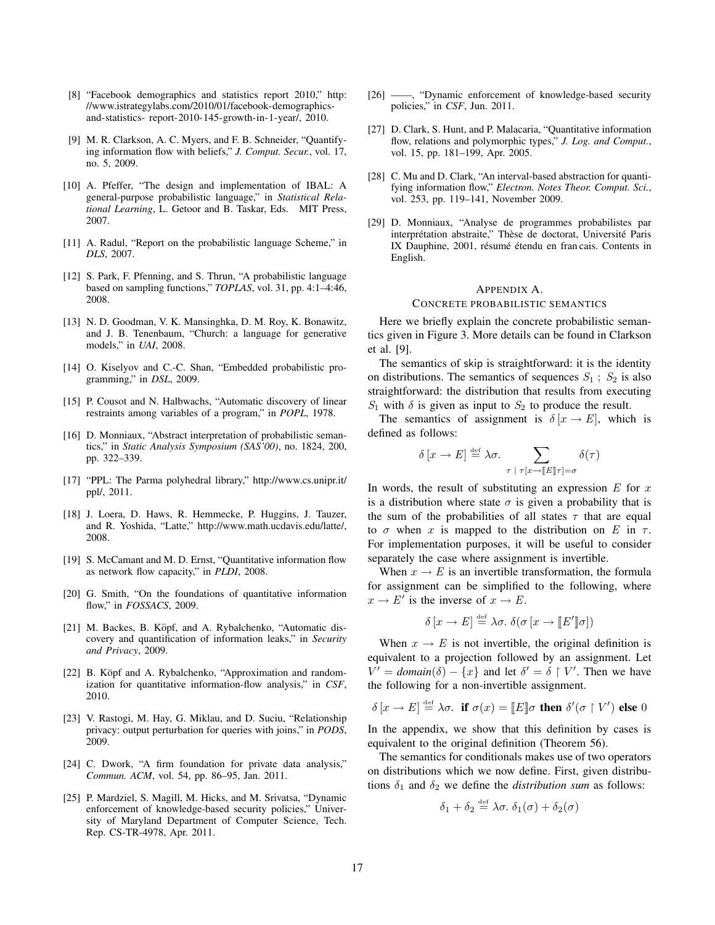- [8] "Facebook demographics and statistics report 2010," http: //www.istrategylabs.com/2010/01/facebook-demographicsand-statistics- report-2010-145-growth-in-1-year/, 2010.
- [9] M. R. Clarkson, A. C. Myers, and F. B. Schneider, "Quantifying information flow with beliefs," *J. Comput. Secur.*, vol. 17, no. 5, 2009.
- [10] A. Pfeffer, "The design and implementation of IBAL: A general-purpose probabilistic language," in *Statistical Relational Learning*, L. Getoor and B. Taskar, Eds. MIT Press, 2007.
- [11] A. Radul, "Report on the probabilistic language Scheme," in *DLS*, 2007.
- [12] S. Park, F. Pfenning, and S. Thrun, "A probabilistic language based on sampling functions," *TOPLAS*, vol. 31, pp. 4:1–4:46, 2008.
- [13] N. D. Goodman, V. K. Mansinghka, D. M. Roy, K. Bonawitz, and J. B. Tenenbaum, "Church: a language for generative models," in *UAI*, 2008.
- [14] O. Kiselyov and C.-C. Shan, "Embedded probabilistic programming," in *DSL*, 2009.
- [15] P. Cousot and N. Halbwachs, "Automatic discovery of linear restraints among variables of a program," in *POPL*, 1978.
- [16] D. Monniaux, "Abstract interpretation of probabilistic semantics," in *Static Analysis Symposium (SAS'00)*, no. 1824, 200, pp. 322–339.
- [17] "PPL: The Parma polyhedral library," http://www.cs.unipr.it/ ppl/, 2011.
- [18] J. Loera, D. Haws, R. Hemmecke, P. Huggins, J. Tauzer, and R. Yoshida, "Latte," http://www.math.ucdavis.edu/latte/, 2008.
- [19] S. McCamant and M. D. Ernst, "Quantitative information flow as network flow capacity," in *PLDI*, 2008.
- [20] G. Smith, "On the foundations of quantitative information flow," in *FOSSACS*, 2009.
- [21] M. Backes, B. Köpf, and A. Rybalchenko, "Automatic discovery and quantification of information leaks," in *Security and Privacy*, 2009.
- [22] B. Köpf and A. Rybalchenko, "Approximation and randomization for quantitative information-flow analysis," in *CSF*, 2010.
- [23] V. Rastogi, M. Hay, G. Miklau, and D. Suciu, "Relationship privacy: output perturbation for queries with joins," in *PODS*, 2009.
- [24] C. Dwork, "A firm foundation for private data analysis," *Commun. ACM*, vol. 54, pp. 86–95, Jan. 2011.
- [25] P. Mardziel, S. Magill, M. Hicks, and M. Srivatsa, "Dynamic enforcement of knowledge-based security policies," University of Maryland Department of Computer Science, Tech. Rep. CS-TR-4978, Apr. 2011.
- [26] ——, "Dynamic enforcement of knowledge-based security policies," in *CSF*, Jun. 2011.
- [27] D. Clark, S. Hunt, and P. Malacaria, "Quantitative information flow, relations and polymorphic types," *J. Log. and Comput.*, vol. 15, pp. 181–199, Apr. 2005.
- [28] C. Mu and D. Clark, "An interval-based abstraction for quantifying information flow," *Electron. Notes Theor. Comput. Sci.*, vol. 253, pp. 119–141, November 2009.
- [29] D. Monniaux, "Analyse de programmes probabilistes par interprétation abstraite," Thèse de doctorat, Université Paris IX Dauphine, 2001, résumé étendu en fran cais. Contents in English.

### APPENDIX A.

#### CONCRETE PROBABILISTIC SEMANTICS

Here we briefly explain the concrete probabilistic semantics given in Figure 3. More details can be found in Clarkson et al. [9].

The semantics of skip is straightforward: it is the identity on distributions. The semantics of sequences  $S_1$ ;  $S_2$  is also straightforward: the distribution that results from executing  $S_1$  with  $\delta$  is given as input to  $S_2$  to produce the result.

The semantics of assignment is  $\delta[x \rightarrow E]$ , which is defined as follows:

$$
\delta[x \to E] \stackrel{\text{def}}{=} \lambda \sigma.
$$

$$
\sum_{\tau \, | \, \tau[x \to [E]\tau] = \sigma} \delta(\tau)
$$

In words, the result of substituting an expression  $E$  for  $x$ is a distribution where state  $\sigma$  is given a probability that is the sum of the probabilities of all states  $\tau$  that are equal to  $\sigma$  when x is mapped to the distribution on E in  $\tau$ . For implementation purposes, it will be useful to consider separately the case where assignment is invertible.

When  $x \to E$  is an invertible transformation, the formula for assignment can be simplified to the following, where  $x \to E'$  is the inverse of  $x \to E$ .

$$
\delta[x \to E] \stackrel{\text{def}}{=} \lambda \sigma. \ \delta(\sigma[x \to [E'] \sigma])
$$

When  $x \to E$  is not invertible, the original definition is equivalent to a projection followed by an assignment. Let  $V' = domain(\delta) - \{x\}$  and let  $\delta' = \delta \restriction V'$ . Then we have the following for a non-invertible assignment.

$$
\delta[x \to E] \stackrel{\text{def}}{=} \lambda \sigma.
$$
 if  $\sigma(x) = [E] \sigma$  then  $\delta'(\sigma \upharpoonright V')$  else 0

In the appendix, we show that this definition by cases is equivalent to the original definition (Theorem 56).

The semantics for conditionals makes use of two operators on distributions which we now define. First, given distributions  $\delta_1$  and  $\delta_2$  we define the *distribution sum* as follows:

$$
\delta_1 + \delta_2 \stackrel{\text{def}}{=} \lambda \sigma. \ \delta_1(\sigma) + \delta_2(\sigma)
$$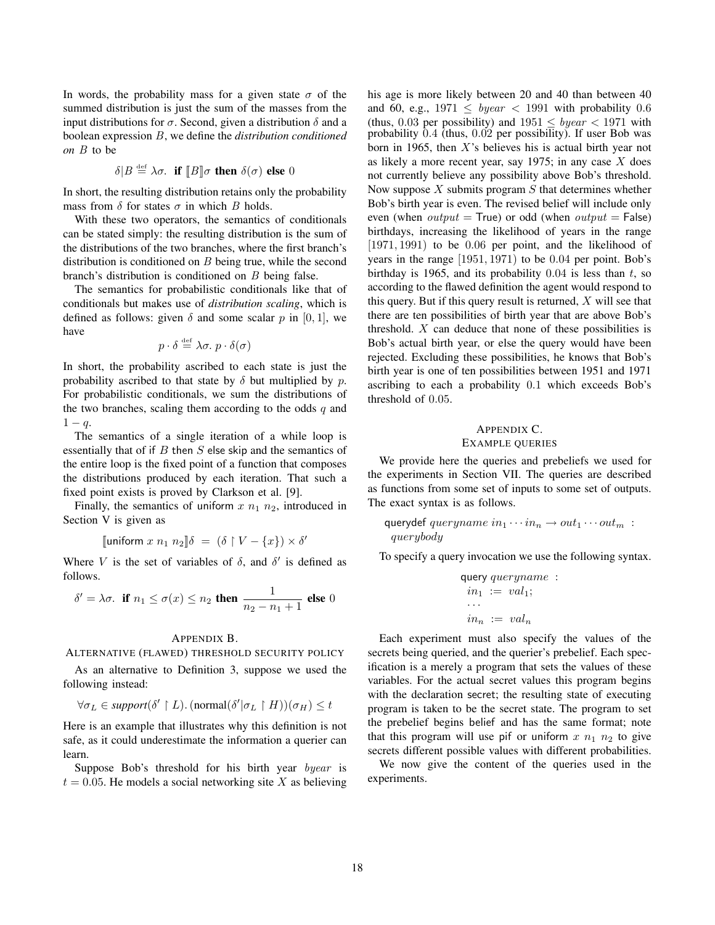In words, the probability mass for a given state  $\sigma$  of the summed distribution is just the sum of the masses from the input distributions for  $\sigma$ . Second, given a distribution  $\delta$  and a boolean expression B, we define the *distribution conditioned on* B to be

$$
\delta|B \stackrel{\text{def}}{=} \lambda \sigma.
$$
 if  $\llbracket B \rrbracket \sigma$  then  $\delta(\sigma)$  else 0

In short, the resulting distribution retains only the probability mass from  $\delta$  for states  $\sigma$  in which B holds.

With these two operators, the semantics of conditionals can be stated simply: the resulting distribution is the sum of the distributions of the two branches, where the first branch's distribution is conditioned on B being true, while the second branch's distribution is conditioned on B being false.

The semantics for probabilistic conditionals like that of conditionals but makes use of *distribution scaling*, which is defined as follows: given  $\delta$  and some scalar p in [0, 1], we have

$$
p \cdot \delta \stackrel{\text{def}}{=} \lambda \sigma. \ p \cdot \delta(\sigma)
$$

In short, the probability ascribed to each state is just the probability ascribed to that state by  $\delta$  but multiplied by p. For probabilistic conditionals, we sum the distributions of the two branches, scaling them according to the odds  $q$  and  $1 - q$ .

The semantics of a single iteration of a while loop is essentially that of if  $B$  then  $S$  else skip and the semantics of the entire loop is the fixed point of a function that composes the distributions produced by each iteration. That such a fixed point exists is proved by Clarkson et al. [9].

Finally, the semantics of uniform  $x$   $n_1$   $n_2$ , introduced in Section V is given as

$$
[\text{uniform } x \; n_1 \; n_2] \delta \; = \; (\delta \upharpoonright V - \{x\}) \times \delta'
$$

Where V is the set of variables of  $\delta$ , and  $\delta'$  is defined as follows.

$$
\delta' = \lambda \sigma.
$$
 if  $n_1 \le \sigma(x) \le n_2$  then  $\frac{1}{n_2 - n_1 + 1}$  else 0

#### APPENDIX B.

#### ALTERNATIVE (FLAWED) THRESHOLD SECURITY POLICY

As an alternative to Definition 3, suppose we used the following instead:

$$
\forall \sigma_L \in support(\delta' \restriction L). \text{ (normal}(\delta' | \sigma_L \restriction H))(\sigma_H) \leq t
$$

Here is an example that illustrates why this definition is not safe, as it could underestimate the information a querier can learn.

Suppose Bob's threshold for his birth year byear is  $t = 0.05$ . He models a social networking site X as believing his age is more likely between 20 and 40 than between 40 and 60, e.g.,  $1971 \leq byear \leq 1991$  with probability 0.6 (thus, 0.03 per possibility) and  $1951 \leq byear < 1971$  with probability 0.4 (thus, 0.02 per possibility). If user Bob was born in 1965, then  $X$ 's believes his is actual birth year not as likely a more recent year, say 1975; in any case  $X$  does not currently believe any possibility above Bob's threshold. Now suppose  $X$  submits program  $S$  that determines whether Bob's birth year is even. The revised belief will include only even (when  $output = True$ ) or odd (when  $output = False$ ) birthdays, increasing the likelihood of years in the range  $[1971, 1991)$  to be 0.06 per point, and the likelihood of years in the range [1951, 1971) to be 0.04 per point. Bob's birthday is 1965, and its probability  $0.04$  is less than t, so according to the flawed definition the agent would respond to this query. But if this query result is returned,  $X$  will see that there are ten possibilities of birth year that are above Bob's threshold.  $X$  can deduce that none of these possibilities is Bob's actual birth year, or else the query would have been rejected. Excluding these possibilities, he knows that Bob's birth year is one of ten possibilities between 1951 and 1971 ascribing to each a probability 0.1 which exceeds Bob's threshold of 0.05.

# APPENDIX C.

# EXAMPLE QUERIES

We provide here the queries and prebeliefs we used for the experiments in Section VII. The queries are described as functions from some set of inputs to some set of outputs. The exact syntax is as follows.

$$
\text{querydef} \text{ queryname } in_1 \cdots in_n \to out_1 \cdots out_m : \text{querybody}
$$

To specify a query invocation we use the following syntax.

$$
\begin{aligned}\n\text{query } query name: \\
in_1 := val_1; \\
\cdots \\
in_n := val_n\n\end{aligned}
$$

Each experiment must also specify the values of the secrets being queried, and the querier's prebelief. Each specification is a merely a program that sets the values of these variables. For the actual secret values this program begins with the declaration secret; the resulting state of executing program is taken to be the secret state. The program to set the prebelief begins belief and has the same format; note that this program will use pif or uniform  $x \nvert n_1 \nvert n_2$  to give secrets different possible values with different probabilities.

We now give the content of the queries used in the experiments.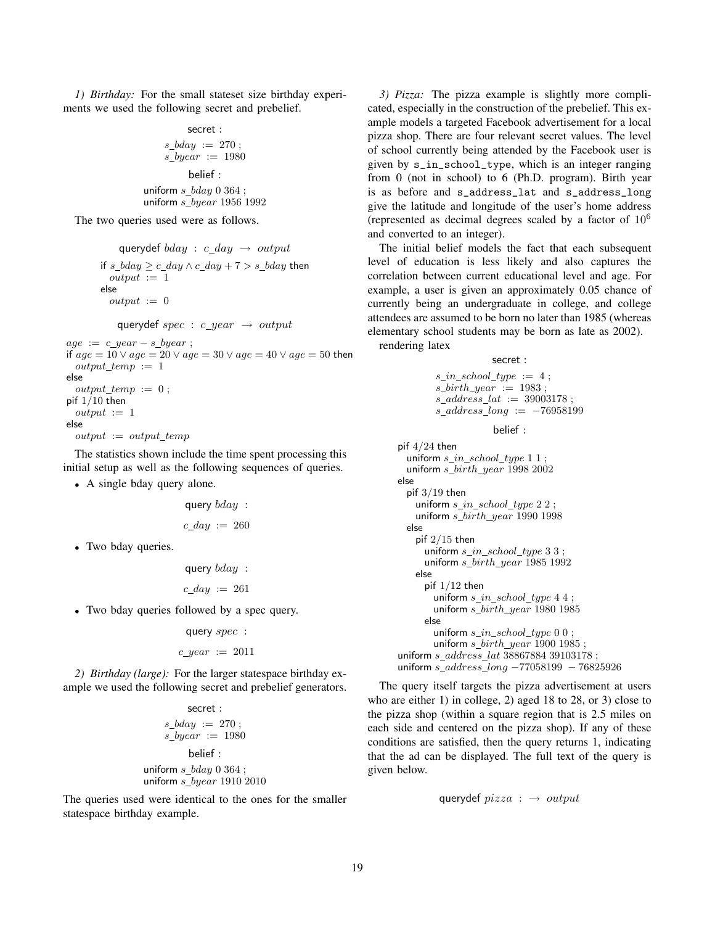*1) Birthday:* For the small stateset size birthday experiments we used the following secret and prebelief.

$$
secret:
$$
\n
$$
s\_bday := 270;
$$
\n
$$
s\_byear := 1980
$$
\n
$$
belief:
$$
\n
$$
uniform s\_bday 0 364;
$$
\n
$$
uniform s\_byear 1956 1992
$$

The two queries used were as follows.

$$
\begin{array}{l} \text{querydef } bday \; : \; c\_day \; \rightarrow \; output \cr \text{if } s\_bday \geq c\_day \land c\_day + 7 > s\_bday \text{ then} \cr \text{output} \; := \; 1 \cr \text{else} \cr \text{output} \; := \; 0 \cr \end{array}
$$

querydef  $spec : c\_year \rightarrow output$ 

$$
age := c\_year - s\_byear ;
$$
  
if age = 10  $\lor age = 20 \lor age = 30 \lor age = 40 \lor age = 50$  then  
*output\\_temp* := 1  
else  
*output\\_temp* := 0 ;  
pi f 1/10 then  
*output* := 1  
else  
*output* := *output\\_temp*

The statistics shown include the time spent processing this initial setup as well as the following sequences of queries.

• A single bday query alone.

$$
\text{query } bday \; : \;
$$

$$
c\_day := 260
$$

• Two bday queries.

$$
\text{query } bday
$$

$$
c\_day := 261
$$

• Two bday queries followed by a spec query.

$$
\text{query } spec:
$$

$$
c\_year := 2011
$$

*2) Birthday (large):* For the larger statespace birthday example we used the following secret and prebelief generators.

$$
secret:
$$
\n
$$
s\_bday := 270;
$$
\n
$$
s\_byear := 1980
$$
\n
$$
belief:
$$
\n
$$
uniform s\_bday \ 0 \ 364;
$$

uniform  $s\_byear$  1910 2010

The queries used were identical to the ones for the smaller statespace birthday example.

*3) Pizza:* The pizza example is slightly more complicated, especially in the construction of the prebelief. This example models a targeted Facebook advertisement for a local pizza shop. There are four relevant secret values. The level of school currently being attended by the Facebook user is given by s\_in\_school\_type, which is an integer ranging from 0 (not in school) to 6 (Ph.D. program). Birth year is as before and s\_address\_lat and s\_address\_long give the latitude and longitude of the user's home address (represented as decimal degrees scaled by a factor of  $10^6$ ) and converted to an integer).

The initial belief models the fact that each subsequent level of education is less likely and also captures the correlation between current educational level and age. For example, a user is given an approximately 0.05 chance of currently being an undergraduate in college, and college attendees are assumed to be born no later than 1985 (whereas elementary school students may be born as late as 2002). rendering latex

#### secret :

s in school type  $:= 4$ ;  $s\_birth\_year := 1983;$  $s\_address\_lat := 39003178$ ;  $s\_address\_long := -76958199$ 

belief :

```
pif 4/24 then
 uniform s_in\_school\_type 1 1;
 uniform s\_birth\_year 1998 2002
else
 pif 3/19 then
   uniform s_in\_school\_type 2 2;
   uniform s\_birth\_year 1990 1998
 else
   pif 2/15 then
     uniform s_in\_school\_type 3 3;
     uniform s\_birth\_year 1985 1992
   else
     pif 1/12 then
       uniform s_in\_school\_type \; 4 \; 4;
       uniform s\_birth\_year 1980 1985
     else
       uniform s in school type 0 0;
       uniform s birth year 1900 1985;
uniform s_address_lat 38867884 39103178;
uniform s\_address\_long - 77058199 - 76825926
```
The query itself targets the pizza advertisement at users who are either 1) in college, 2) aged 18 to 28, or 3) close to the pizza shop (within a square region that is 2.5 miles on each side and centered on the pizza shop). If any of these conditions are satisfied, then the query returns 1, indicating that the ad can be displayed. The full text of the query is given below.

```
querydef pizza : \rightarrow output
```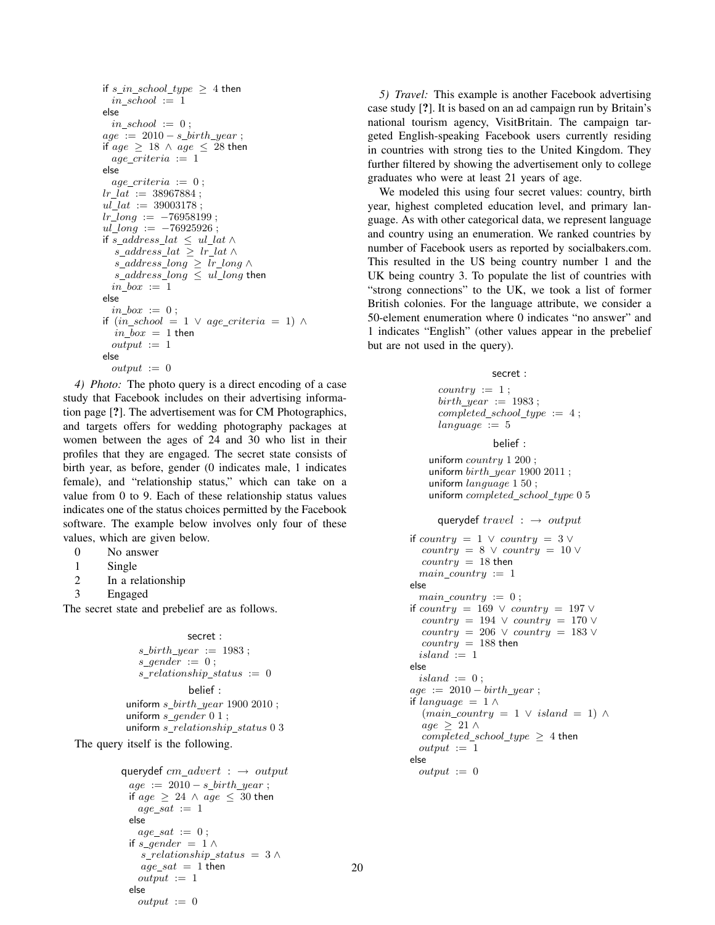```
if s_in\_school\_type \geq 4 then
 in\_school := 1else
 in school := 0;
age := 2010 - s\_birth\_year;if age \geq 18 \land age \leq 28 then
 age\_criteria := 1else
 age\_criteria := 0;
lr\_lat := 38967884 ;ul\_lat := 39003178;lr\_long := -76958199 ;ul\_long := -76925926;
if s_address_lat \leq ul\_lat \wedges_address_lat \geq lr_lat \wedges_address_long ≥ \ lr\_long \lands\_address\_long \leq ul\_long then
 in box := 1else
  in\_box := 0;if (in\_school = 1 \vee age\_criteria = 1) \wedgein \; box = 1 then
  output := 1else
  output := 0
```
*4) Photo:* The photo query is a direct encoding of a case study that Facebook includes on their advertising information page [?]. The advertisement was for CM Photographics, and targets offers for wedding photography packages at women between the ages of 24 and 30 who list in their profiles that they are engaged. The secret state consists of birth year, as before, gender (0 indicates male, 1 indicates female), and "relationship status," which can take on a value from 0 to 9. Each of these relationship status values indicates one of the status choices permitted by the Facebook software. The example below involves only four of these values, which are given below.

- 0 No answer
- 1 Single
- 2 In a relationship
- 3 Engaged

The secret state and prebelief are as follows.

$$
\begin{array}{rcl} \text{secret}: & \\ \text{s\_birth\_year} & := & 1983 \ ; \\ \text{s\_gender} & := & 0 \ ; \\ \text{s\_relationship\_status} & := & 0 \\ \text{belief}: & \\ \text{uniform} \ s\_birth\_year \ 1900 \ 2010 \ ; \\ \text{uniform} \ s\_gender \ 0 \ 1 \ ; \\ \text{uniform} \ s\_relationship\_status \ 0 \ 3 \end{array}
$$

The query itself is the following.

```
querydef cm\_advert : \rightarrow output
 age := 2010 - s\_birth\_year;if age ≥ 24 ∧ age ≤ 30 then
   age\_sat \ := \ 1else
   age\_sat := 0;if s_gender = 1 \lands_relationship_status = 3 \wedgeage sat = 1 then
   output := 1else
   output := 0
```
*5) Travel:* This example is another Facebook advertising case study [?]. It is based on an ad campaign run by Britain's national tourism agency, VisitBritain. The campaign targeted English-speaking Facebook users currently residing in countries with strong ties to the United Kingdom. They further filtered by showing the advertisement only to college graduates who were at least 21 years of age.

We modeled this using four secret values: country, birth year, highest completed education level, and primary language. As with other categorical data, we represent language and country using an enumeration. We ranked countries by number of Facebook users as reported by socialbakers.com. This resulted in the US being country number 1 and the UK being country 3. To populate the list of countries with "strong connections" to the UK, we took a list of former British colonies. For the language attribute, we consider a 50-element enumeration where 0 indicates "no answer" and 1 indicates "English" (other values appear in the prebelief but are not used in the query).

secret :

```
country := 1;birth\_year := 1983;
      completed\_school\_type := 4;language := 5belief :
    uniform country 1 200 ;
    uniform birth\_year 1900 2011;
    uniform language 1 50;
    uniform completed\_school\_type\ 0\ 5querydef travel : \rightarrow outputif country = 1 \vee country = 3 \veecountry = 8 \vee country = 10 \veecountry = 18 then
  main\_country := 1else
  main\_ country := 0;
if country = 169 \vee country = 197 \veecountry = 194 \vee country = 170 \veecountry = 206 \vee country = 183 \veecountry = 188 then
  island := 1else
  island := 0:
age := 2010 - birth\_year;if language = 1 \land(main\_ country = 1 \lor island = 1) \landage ≥ 21 \landcompleted\_school\_type \geq 4 then
  output := 1else
  output := 0
```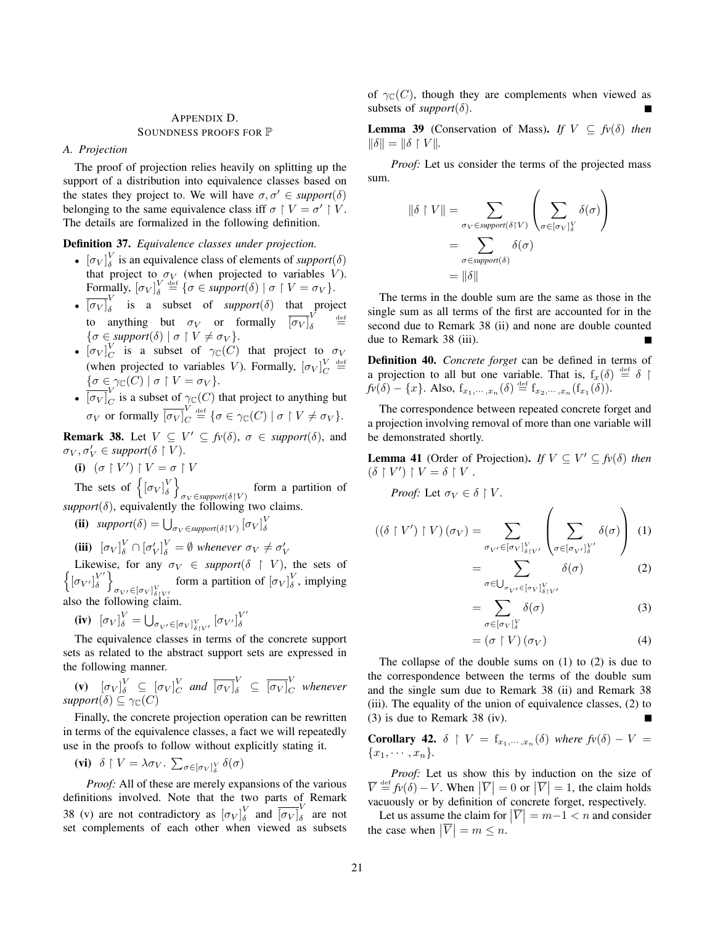# APPENDIX D.

# SOUNDNESS PROOFS FOR P

### *A. Projection*

The proof of projection relies heavily on splitting up the support of a distribution into equivalence classes based on the states they project to. We will have  $\sigma, \sigma' \in support(\delta)$ belonging to the same equivalence class iff  $\sigma \restriction V = \sigma' \restriction V$ . The details are formalized in the following definition.

# Definition 37. *Equivalence classes under projection.*

- $\bullet$  [ $\sigma_V$ ] $_{\delta}^V$  is an equivalence class of elements of *support*( $\delta$ )  $[0V]_{\delta}$  is an equivalence class of elements of support(0)<br>that project to  $\sigma_V$  (when projected to variables V). Formally,  $[\sigma_V]_{\delta}^V \stackrel{\text{def}}{=} {\sigma \in support(\delta) \mid \sigma \restriction V = \sigma_V}.$
- $\bullet\ \overline{[\sigma_V]}_{\delta}^V$  $\delta_{\delta}$  is a subset of *support*( $\delta$ ) that project<br>anything but  $\sigma_V$  or formally  $\overline{|\sigma_V|}_{\delta}^V$   $\stackrel{\text{def}}{=}$ to anything but  $\sigma_V$  or formally  $\overline{|\sigma_V|}_s^V$  ${σ ∈ support(δ) | σ ∣ V ≠ σ<sub>V</sub>}.$
- $[\sigma_V]_C^V$  is a subset of  $\gamma_{\mathbb{C}}(C)$  that project to  $\sigma_V$ (when projected to variables V). Formally,  $[\sigma_V]_C^V \stackrel{\text{def}}{=}$  $\{\sigma \in \gamma_{\mathbb{C}}(C) \mid \sigma \upharpoonright V = \sigma_V\}.$
- $\cdot \overline{[\sigma_V]}_C^V$  $\bigcirc_C$  is a subset of  $\gamma_{\mathbb{C}}(C)$  that project to anything but  $\sigma_V$  or formally  $\overline{[\sigma_V]}_C^V$  $C^V \stackrel{\text{def}}{=} {\sigma \in \gamma_{\mathbb{C}}(C) \mid \sigma \restriction V \neq \sigma_V}.$

**Remark 38.** Let  $V \subseteq V' \subseteq fv(\delta)$ ,  $\sigma \in support(\delta)$ , and  $\sigma_V, \sigma'_V \in support(\delta \restriction V).$ 

(i)  $(\sigma \upharpoonright V') \upharpoonright V = \sigma \upharpoonright V$ 

The sets of  $\left\{ [\sigma_V]_{\delta}^V \right\}$ form a partition of  $\sigma_V \in support(\delta|V)$  $support(\delta)$ , equivalently the following two claims.

(ii)  $support(\delta) = \bigcup_{\sigma_V \in support(\delta\upharpoonright V)} [\sigma_V]_{\delta}^V$ 

(iii)  $[\sigma_V]_{\delta}^V \cap [\sigma_V']_{\delta}^V = \emptyset$  whenever  $\sigma_V \neq \sigma_V'$ 

 $\left\{ \left[ \sigma_{V'} \right]_{\delta}^{V'}$ Likewise, for any  $\sigma_V \in support(\delta \restriction V)$ , the sets of  $\begin{bmatrix} V' \\ \delta \end{bmatrix}$  $\sigma_{V'} \in [\sigma_V]_{\delta|V'}^V$  form a partition of  $[\sigma_V]_{\delta}^V$ , implying also the following claim.

(iv)  $[\sigma_V]^V_\delta = \bigcup_{\sigma_{V'} \in [\sigma_V]^V_{\delta\upharpoonright V'}} [\sigma_{V'}]^V_\delta$ δ

The equivalence classes in terms of the concrete support sets as related to the abstract support sets are expressed in the following manner.

 $(v)$   $[\sigma_V]^V_\delta \subseteq [\sigma_V]^V_C$  and  $\overline{[\sigma_V]}^V_\delta \subseteq \overline{[\sigma_V]}^V_C$  whenever  $support(\delta) \subseteq \gamma_{\mathbb{C}}(C)$ 

Finally, the concrete projection operation can be rewritten in terms of the equivalence classes, a fact we will repeatedly use in the proofs to follow without explicitly stating it.

$$
(vi) \ \delta \restriction V = \lambda \sigma_V. \ \sum_{\sigma \in [\sigma_V]^V_{\delta}} \delta(\sigma)
$$

*Proof:* All of these are merely expansions of the various definitions involved. Note that the two parts of Remark 38 (v) are not contradictory as  $[\sigma_V]_{\delta}^V$  and  $[\overline{\sigma_V}]_{\delta}^V$  $\delta$  are not set complements of each other when viewed as subsets

of  $\gamma_{\mathbb{C}}(C)$ , though they are complements when viewed as subsets of *support* $(\delta)$ .

**Lemma 39** (Conservation of Mass). *If*  $V \subseteq f\nu(\delta)$  *then*  $\|\delta\| = \|\delta \restriction V\|.$ 

*Proof:* Let us consider the terms of the projected mass sum.

$$
\|\delta \upharpoonright V\| = \sum_{\sigma_V \in support(\delta \upharpoonright V)} \left( \sum_{\sigma \in [\sigma_V]_S^V} \delta(\sigma) \right)
$$

$$
= \sum_{\sigma \in support(\delta)} \delta(\sigma)
$$

$$
= \|\delta\|
$$

The terms in the double sum are the same as those in the single sum as all terms of the first are accounted for in the second due to Remark 38 (ii) and none are double counted due to Remark 38 (iii).

Definition 40. *Concrete forget* can be defined in terms of a projection to all but one variable. That is,  $f_x(\delta) \stackrel{\text{def}}{=} \delta$  $f\nu(\delta) - \{x\}$ . Also,  $f_{x_1, \dots, x_n}(\delta) \stackrel{\text{def}}{=} f_{x_2, \dots, x_n}(f_{x_1}(\delta)).$ 

The correspondence between repeated concrete forget and a projection involving removal of more than one variable will be demonstrated shortly.

**Lemma 41** (Order of Projection). *If*  $V \subseteq V' \subseteq f_{V}(\delta)$  *then*  $(\delta \restriction V') \restriction V = \delta \restriction V$ .

*Proof:* Let  $\sigma_V \in \delta \restriction V$ .

$$
((\delta \upharpoonright V') \upharpoonright V) (\sigma_V) = \sum_{\sigma_V \in [\sigma_V]_{\delta_V V}^V} \left( \sum_{\sigma \in [\sigma_V]_{\delta}^V} \delta(\sigma) \right) (1)
$$

$$
= \sum_{\sigma_V \in [\sigma_V]_{\delta(V)}^V} \delta(\sigma) (2)
$$

$$
= \sum_{\sigma \in \bigcup_{\sigma_{V'} \in [\sigma_{V}]}_{\delta_{V'}}} \delta(\sigma) \tag{2}
$$

$$
=\sum_{\sigma\in[\sigma_V]^V_{\delta}}\delta(\sigma)\tag{3}
$$

$$
= (\sigma \upharpoonright V) (\sigma_V) \tag{4}
$$

The collapse of the double sums on (1) to (2) is due to the correspondence between the terms of the double sum and the single sum due to Remark 38 (ii) and Remark 38 (iii). The equality of the union of equivalence classes, (2) to (3) is due to Remark 38 (iv).

**Corollary 42.**  $\delta \restriction V = \mathbf{f}_{x_1,\dots,x_n}(\delta)$  where  $f_v(\delta) - V =$  ${x_1, \cdots, x_n}.$ 

*Proof:* Let us show this by induction on the size of  $\overline{V} \stackrel{\text{def}}{=} fv(\delta) - V$ . When  $|\overline{V}| = 0$  or  $|\overline{V}| = 1$ , the claim holds vacuously or by definition of concrete forget, respectively.

Let us assume the claim for  $|\overline{V}| = m-1 < n$  and consider the case when  $|\overline{V}| = m \le n$ .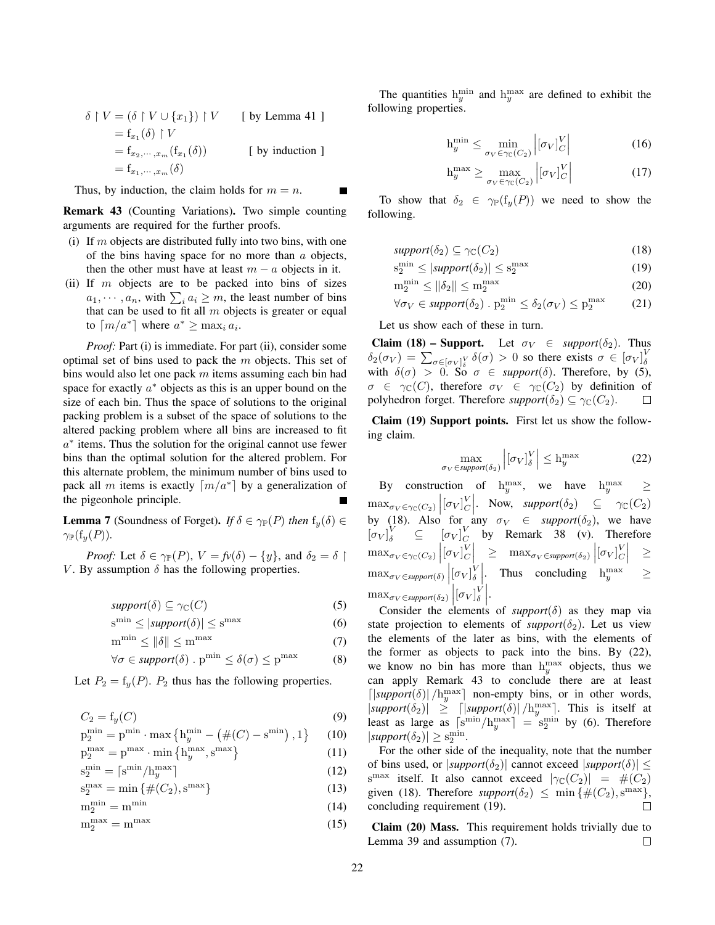$$
\delta \upharpoonright V = (\delta \upharpoonright V \cup \{x_1\}) \upharpoonright V \qquad \text{[ by Lemma 41 ]}
$$
\n
$$
= f_{x_1}(\delta) \upharpoonright V
$$
\n
$$
= f_{x_2, \dots, x_m} (f_{x_1}(\delta)) \qquad \text{[ by induction ]}
$$
\n
$$
= f_{x_1, \dots, x_m}(\delta)
$$

Thus, by induction, the claim holds for  $m = n$ .

Remark 43 (Counting Variations). Two simple counting arguments are required for the further proofs.

- (i) If  $m$  objects are distributed fully into two bins, with one of the bins having space for no more than  $a$  objects, then the other must have at least  $m - a$  objects in it.
- (ii) If  $m$  objects are to be packed into bins of sizes  $a_1, \dots, a_n$ , with  $\sum_i a_i \geq m$ , the least number of bins that can be used to fit all  $m$  objects is greater or equal to  $\lceil m/a^* \rceil$  where  $a^* \ge \max_i a_i$ .

*Proof:* Part (i) is immediate. For part (ii), consider some optimal set of bins used to pack the  $m$  objects. This set of bins would also let one pack  $m$  items assuming each bin had space for exactly  $a^*$  objects as this is an upper bound on the size of each bin. Thus the space of solutions to the original packing problem is a subset of the space of solutions to the altered packing problem where all bins are increased to fit  $a^*$  items. Thus the solution for the original cannot use fewer bins than the optimal solution for the altered problem. For this alternate problem, the minimum number of bins used to pack all m items is exactly  $\lceil m/a^* \rceil$  by a generalization of the pigeonhole principle.

**Lemma 7** (Soundness of Forget). *If*  $\delta \in \gamma_{\mathbb{P}}(P)$  *then*  $f_{\nu}(\delta) \in$  $\gamma_{\mathbb{P}}(\mathrm{f}_y(P)).$ 

*Proof:* Let  $\delta \in \gamma_{\mathbb{P}}(P)$ ,  $V = f(\delta) - \{y\}$ , and  $\delta_2 = \delta$ V. By assumption  $\delta$  has the following properties.

$$
support(\delta) \subseteq \gamma_{\mathbb{C}}(C) \tag{5}
$$

$$
s^{\min} \le |support(\delta)| \le s^{\max} \tag{6}
$$

$$
m^{\min} \le \|\delta\| \le m^{\max} \tag{7}
$$

$$
\forall \sigma \in support(\delta) \,.\, p^{\min} \le \delta(\sigma) \le p^{\max} \tag{8}
$$

Let  $P_2 = f_y(P)$ .  $P_2$  thus has the following properties.

$$
C_2 = f_y(C) \tag{9}
$$

$$
p_2^{\min} = p^{\min} \cdot \max \left\{ h_y^{\min} - \left( \#(C) - s^{\min} \right), 1 \right\} \tag{10}
$$

$$
p_2^{\max} = p^{\max} \cdot \min \left\{ h_y^{\max}, s^{\max} \right\} \tag{11}
$$

$$
s_2^{\min} = \lceil s^{\min} / h_y^{\max} \rceil \tag{12}
$$

$$
s_2^{\max} = \min\{\#(C_2), s^{\max}\}\tag{13}
$$

$$
m_2^{\min} = m^{\min} \tag{14}
$$

$$
m_2^{\max} = m^{\max} \tag{15}
$$

The quantities  $h_y^{\text{min}}$  and  $h_y^{\text{max}}$  are defined to exhibit the following properties.

$$
h_y^{\min} \le \min_{\sigma_V \in \gamma_C(C_2)} \left| [\sigma_V]_C^V \right| \tag{16}
$$

$$
\mathbf{h}_y^{\max} \ge \max_{\sigma_V \in \gamma_{\mathbb{C}}(C_2)} \left| [\sigma_V]_C^V \right| \tag{17}
$$

To show that  $\delta_2 \in \gamma_{\mathbb{P}}(\mathrm{f}_v(P))$  we need to show the following.

$$
support(\delta_2) \subseteq \gamma_{\mathbb{C}}(C_2) \tag{18}
$$

$$
s_2^{\min} \le |support(\delta_2)| \le s_2^{\max} \tag{19}
$$

$$
m_2^{\min} \le \|\delta_2\| \le m_2^{\max} \tag{20}
$$

$$
\forall \sigma_V \in support(\delta_2) \cdot p_2^{min} \le \delta_2(\sigma_V) \le p_2^{max} \tag{21}
$$

Let us show each of these in turn.

**Claim (18) – Support.** Let  $\sigma_V \in support(\delta_2)$ . Thus  $\delta_2(\sigma_V) = \sum_{\sigma \in [\sigma_V]_0^V} \delta(\sigma) > 0$  so there exists  $\sigma \in [\sigma_V]_0^V$ with  $\delta(\sigma) > 0$ . So  $\sigma \in support(\delta)$ . Therefore, by (5),  $\sigma \in \gamma_{\mathbb{C}}(C)$ , therefore  $\sigma_V \in \gamma_{\mathbb{C}}(C_2)$  by definition of polyhedron forget. Therefore  $support(\delta_2) \subseteq \gamma_{\mathbb{C}}(C_2)$ . □

Claim (19) Support points. First let us show the following claim.

$$
\max_{\sigma_V \in support(\delta_2)} \left| [\sigma_V]_{\delta}^V \right| \le h_y^{\max} \tag{22}
$$

By construction of  $h_y^{\max}$ , we have  $h_y^{\max} \geq$  $\max_{\sigma_V \in \gamma_{\mathbb{C}}(C_2)} \left| [\sigma_V]_C^V \right|$ . Now,  $support(\delta_2) \subseteq \gamma_{\mathbb{C}}(C_2)$ by (18). Also for any  $\sigma_V \in support(\delta_2)$ , we have  $[\sigma_V]_{\delta}^V \subseteq [\sigma_V]_{C}^V$  by Remark 38 (v). Therefore  $\max_{\sigma_V \in \gamma_{\mathbb{C}}(C_2)} \left| \left[\sigma_V\right]_{C}^{V} \right|_{\mathcal{L}} \geq \max_{\sigma_V \in support(\delta_2)} \left| \left[\sigma_V\right]_{C}^{V} \right| \geq$  $\max_{\sigma_V \in support(\delta)} \left| [\sigma_V]_{\delta}^V \right|$ . Thus concluding  $h_y^{\max} \geq$  $\max_{\sigma_V \in support(\delta_2)} \left| [\sigma_V]_{\delta}^V \right|.$ 

Consider the elements of  $support(\delta)$  as they map via state projection to elements of *support* $(\delta_2)$ . Let us view the elements of the later as bins, with the elements of the former as objects to pack into the bins. By (22), we know no bin has more than  $h_y^{\text{max}}$  objects, thus we can apply Remark 43 to conclude there are at least  $\left| \frac{\text{support}(\delta)}{\text{support}(\delta)} \right| / \text{h}^{\text{max}}_y$  non-empty bins, or in other words,  $|support(\delta_2)| \geq \lceil |support(\delta)| / h_y^{\max}|$ . This is itself at least as large as  $\lceil s^{\min}/h_y^{\max} \rceil = s_2^{\min}$  by (6). Therefore  $|support(\delta_2)| \geq s_2^{\min}.$ 

For the other side of the inequality, note that the number of bins used, or  $|support(\delta_2)|$  cannot exceed  $|support(\delta)| \leq$ s<sup>max</sup> itself. It also cannot exceed  $|\gamma_{\mathbb{C}}(C_2)| = \#(C_2)$ given (18). Therefore  $support(\delta_2) \leq \min{\{\#(C_2), \text{s}^{\max}\}},$ concluding requirement (19).

Claim (20) Mass. This requirement holds trivially due to Lemma 39 and assumption (7).  $\Box$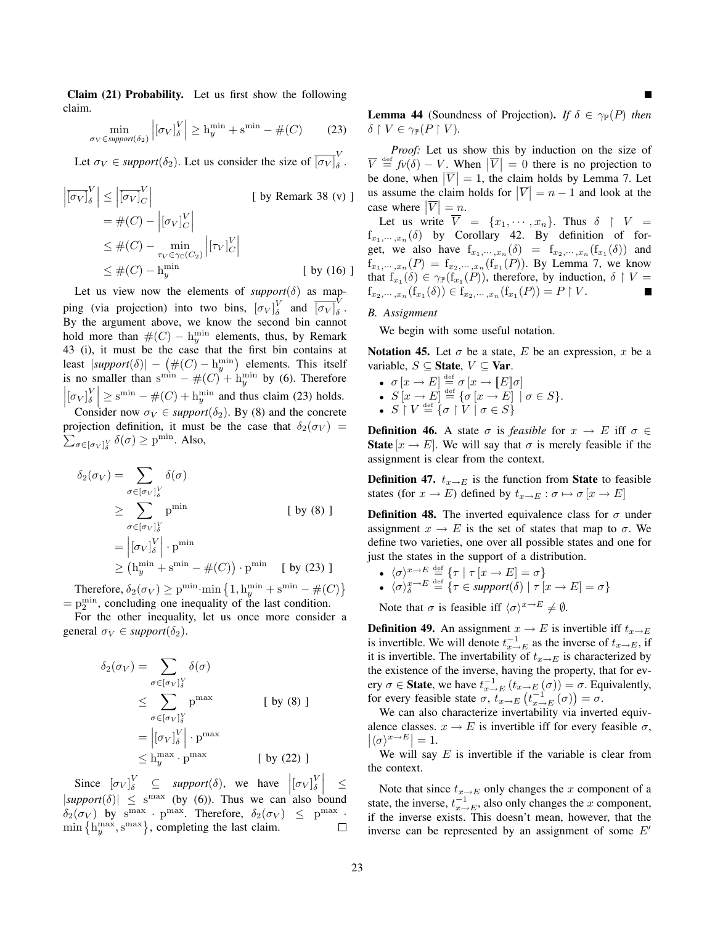Claim (21) Probability. Let us first show the following claim.

$$
\min_{\sigma_V \in support(\delta_2)} \left| [\sigma_V]_{\delta}^V \right| \ge h_y^{\min} + s^{\min} - \#(C) \tag{23}
$$

Let  $\sigma_V \in support(\delta_2)$ . Let us consider the size of  $\overline{[\sigma_V]}_{\delta}^V$ .<br>δ·

$$
\left| \overline{[\sigma_V]}_{\delta}^{V} \right| \leq \left| \overline{[\sigma_V]}_{C}^{V} \right|
$$
 [ by Remark 38 (v)]  
\n
$$
= \#(C) - \left| [\sigma_V]_{C}^{V} \right|
$$
  
\n
$$
\leq \#(C) - \min_{\tau_V \in \gamma_C(C_2)} \left| [\tau_V]_{C}^{V} \right|
$$
  
\n
$$
\leq \#(C) - \lim_{y}^{V} \qquad \qquad [ by (16) ]
$$

Let us view now the elements of  $support(\delta)$  as mapping (via projection) into two bins,  $[\sigma_V]_{\delta}^V$  and  $[\overline{\sigma_V}]_{\delta}^{\overline{V}}$ .<br>δ· By the argument above, we know the second bin cannot hold more than  $\#(C) - \mathbf{h}_y^{\text{min}}$  elements, thus, by Remark 43 (i), it must be the case that the first bin contains at least  $|support(\delta)| - (\#(C) - h_y^{\min})$  elements. This itself is no smaller than  $s^{\min} - \#(C) + h_y^{\min}$  by (6). Therefore  $\left| \left[ \sigma_V \right]_\delta^V \right| \geq s^{\min} - \#(C) + h_y^{\min}$  and thus claim (23) holds.

Consider now  $\sigma_V \in support(\delta_2)$ . By (8) and the concrete projection definition, it must be the case that  $\delta_2(\sigma_V)$  =  $\sum_{\sigma \in [\sigma_V]_\delta^V} \delta(\sigma) \geq p^{\min}$ . Also,

$$
\delta_2(\sigma_V) = \sum_{\sigma \in [\sigma_V]_b^V} \delta(\sigma)
$$
  
\n
$$
\geq \sum_{\sigma \in [\sigma_V]_b^V} p^{\min} \qquad \text{[ by (8)]}
$$
  
\n
$$
= |[\sigma_V]_b^V| \cdot p^{\min}
$$
  
\n
$$
\geq (h_y^{\min} + s^{\min} - \#(C)) \cdot p^{\min} \qquad \text{[ by (23)]}
$$

Therefore,  $\delta_2(\sigma_V) \ge \text{p}^{\text{min}} \cdot \min \left\{ 1, \text{h}^{\text{min}}_y + \text{s}^{\text{min}} - \#(C) \right\}$  $= p_2^{\text{min}}$ , concluding one inequality of the last condition.

For the other inequality, let us once more consider a general  $\sigma_V \in support(\delta_2)$ .

$$
\delta_2(\sigma_V) = \sum_{\sigma \in [\sigma_V]_S^V} \delta(\sigma)
$$
  
\n
$$
\leq \sum_{\sigma \in [\sigma_V]_S^V} p^{\max} \qquad \text{[ by (8)]}
$$
  
\n
$$
= |[\sigma_V]_S^V| \cdot p^{\max}
$$
  
\n
$$
\leq h_y^{\max} \cdot p^{\max} \qquad \text{[ by (22)]}
$$

Since  $[\sigma_V]_{\delta}^V \subseteq support(\delta)$ , we have  $|[\sigma_V]_{\delta}^V|$ Since  $[\sigma_V]_{\delta}^V \subseteq support(\delta)$ , we have  $|[\sigma_V]_{\delta}^V| \le$ <br>|*support*( $\delta$ )|  $\le$  s<sup>max</sup> (by (6)). Thus we can also bound  $\delta_2(\sigma_V)$  by s<sup>max</sup> · p<sup>max</sup>. Therefore,  $\delta_2(\sigma_V) \leq p^{max}$  ·  $\min\left\{\mathbf{h}_y^{\max}, \mathbf{s}^{\max}\right\}$ , completing the last claim.  $\Box$  **Lemma 44** (Soundness of Projection). *If*  $\delta \in \gamma_{\mathbb{P}}(P)$  *then*  $\delta \restriction V \in \gamma_{\mathbb{P}}(P \restriction V).$ 

*Proof:* Let us show this by induction on the size of  $\overline{V} \stackrel{\text{def}}{=} f_v(\delta) - V$ . When  $|\overline{V}| = 0$  there is no projection to be done, when  $|\overline{V}| = 1$ , the claim holds by Lemma 7. Let us assume the claim holds for  $|\overline{V}| = n - 1$  and look at the case where  $|\overline{V}| = n$ .

Let us write  $\overline{V} = \{x_1, \dots, x_n\}$ . Thus  $\delta \restriction V =$  $f_{x_1,\dots,x_n}(\delta)$  by Corollary 42. By definition of forget, we also have  $f_{x_1,\dots,x_n}(\delta) = f_{x_2,\dots,x_n}(f_{x_1}(\delta))$  and  $f_{x_1, \dots, x_n}(P) = f_{x_2, \dots, x_n}(f_{x_1}(P)).$  By Lemma 7, we know that  $f_{x_1}(\delta) \in \gamma_{\mathbb{P}}(f_{x_1}(P))$ , therefore, by induction,  $\delta \restriction V =$  $f_{x_2,\dots,x_n}(f_{x_1}(\delta)) \in f_{x_2,\dots,x_n}(f_{x_1}(P)) = P \restriction V.$ 

# *B. Assignment*

We begin with some useful notation.

Notation 45. Let  $\sigma$  be a state, E be an expression, x be a variable,  $S \subseteq$  State,  $V \subseteq$  Var.

•  $\sigma[x \to E] \stackrel{\text{def}}{=} \sigma[x \to [E]\sigma]$ 

• 
$$
S[x \rightarrow E] \stackrel{\text{def}}{=} \{\sigma[x \rightarrow E] \mid \sigma \in S\}.
$$

• 
$$
S \upharpoonright V \stackrel{\text{def}}{=} \{ \sigma \upharpoonright V \mid \sigma \in S \}
$$

**Definition 46.** A state  $\sigma$  is *feasible* for  $x \to E$  iff  $\sigma \in$ **State**  $[x \rightarrow E]$ . We will say that  $\sigma$  is merely feasible if the assignment is clear from the context.

**Definition 47.**  $t_{x\to E}$  is the function from **State** to feasible states (for  $x \to E$ ) defined by  $t_{x\to E}: \sigma \mapsto \sigma[x \to E]$ 

**Definition 48.** The inverted equivalence class for  $\sigma$  under assignment  $x \to E$  is the set of states that map to  $\sigma$ . We define two varieties, one over all possible states and one for just the states in the support of a distribution.

- $\langle \sigma \rangle^{x \to E} \stackrel{\text{def}}{=} \{ \tau \mid \tau [x \to E] = \sigma \}$
- $\bullet \ \langle \sigma \rangle_{\delta}^{x \to E} \stackrel{\text{def}}{=} {\tau \in support(\delta) \mid \tau \left[ x \to E \right] = \sigma}$

Note that  $\sigma$  is feasible iff  $\langle \sigma \rangle^{x \to E} \neq \emptyset$ .

**Definition 49.** An assignment  $x \to E$  is invertible iff  $t_{x\to E}$ is invertible. We will denote  $t_{x\to E}^{-1}$  as the inverse of  $t_{x\to E}$ , if it is invertible. The invertability of  $t_{x\rightarrow E}$  is characterized by the existence of the inverse, having the property, that for every  $\sigma \in$  **State**, we have  $t_{x \to E}^{-1}(t_{x \to E}(\sigma)) = \sigma$ . Equivalently, for every feasible state  $\sigma$ ,  $t_{x\to E}$   $(t_{x\to E}^{-1}(\sigma)) = \sigma$ .

We can also characterize invertability via inverted equivalence classes.  $x \to E$  is invertible iff for every feasible  $\sigma$ ,  $\left| \langle \sigma \rangle^{x \to E} \right| = 1.$ 

We will say  $E$  is invertible if the variable is clear from the context.

Note that since  $t_{x\to E}$  only changes the x component of a state, the inverse,  $t_{x \to E}^{-1}$ , also only changes the x component, if the inverse exists. This doesn't mean, however, that the inverse can be represented by an assignment of some  $E'$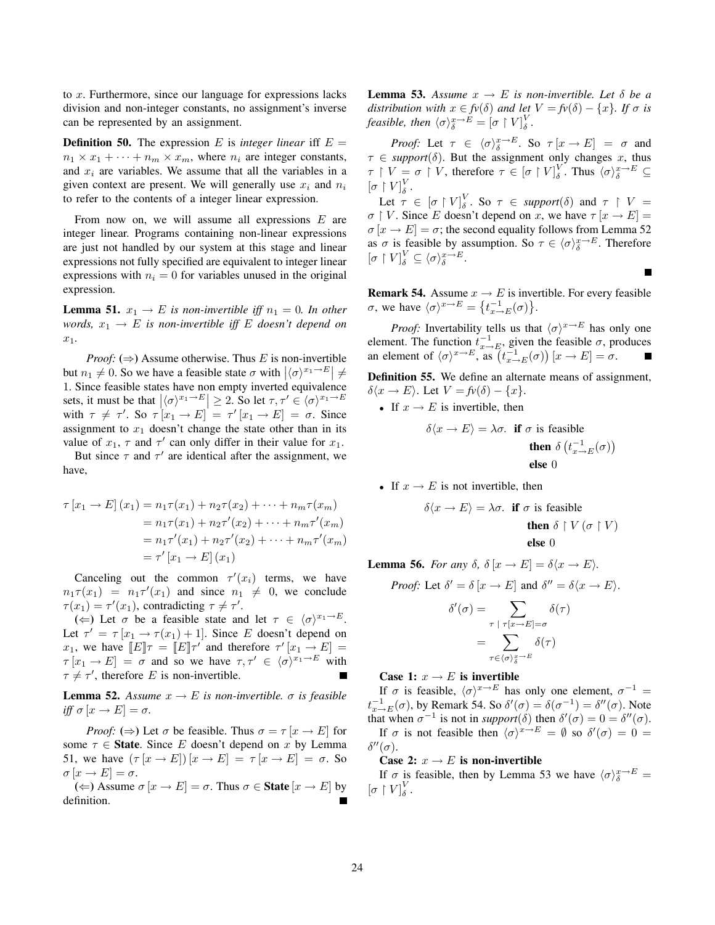to x. Furthermore, since our language for expressions lacks division and non-integer constants, no assignment's inverse can be represented by an assignment.

**Definition 50.** The expression E is *integer linear* iff  $E =$  $n_1 \times x_1 + \cdots + n_m \times x_m$ , where  $n_i$  are integer constants, and  $x_i$  are variables. We assume that all the variables in a given context are present. We will generally use  $x_i$  and  $n_i$ to refer to the contents of a integer linear expression.

From now on, we will assume all expressions  $E$  are integer linear. Programs containing non-linear expressions are just not handled by our system at this stage and linear expressions not fully specified are equivalent to integer linear expressions with  $n_i = 0$  for variables unused in the original expression.

**Lemma 51.**  $x_1 \rightarrow E$  *is non-invertible iff*  $n_1 = 0$ *. In other words,*  $x_1 \rightarrow E$  *is non-invertible iff* E *doesn't depend on* x1*.*

*Proof:* ( $\Rightarrow$ ) Assume otherwise. Thus *E* is non-invertible but  $n_1 \neq 0$ . So we have a feasible state  $\sigma$  with  $\left| \langle \sigma \rangle^{x_1 \to E} \right| \neq$ 1. Since feasible states have non empty inverted equivalence sets, it must be that  $|\langle \sigma \rangle^{x_1 \to E}| \geq 2$ . So let  $\tau, \tau' \in \langle \sigma \rangle^{x_1 \to E}$ with  $\tau \neq \tau'$ . So  $\tau [x_1 \rightarrow E] = \tau' [x_1 \rightarrow E] = \sigma$ . Since assignment to  $x_1$  doesn't change the state other than in its value of  $x_1$ ,  $\tau$  and  $\tau'$  can only differ in their value for  $x_1$ .

But since  $\tau$  and  $\tau'$  are identical after the assignment, we have,

$$
\tau [x_1 \to E] (x_1) = n_1 \tau(x_1) + n_2 \tau(x_2) + \dots + n_m \tau(x_m)
$$
  
=  $n_1 \tau(x_1) + n_2 \tau'(x_2) + \dots + n_m \tau'(x_m)$   
=  $n_1 \tau'(x_1) + n_2 \tau'(x_2) + \dots + n_m \tau'(x_m)$   
=  $\tau'[x_1 \to E] (x_1)$ 

Canceling out the common  $\tau'(x_i)$  terms, we have  $n_1 \tau(x_1) = n_1 \tau'(x_1)$  and since  $n_1 \neq 0$ , we conclude  $\tau(x_1) = \tau'(x_1)$ , contradicting  $\tau \neq \tau'$ .

(  $\Leftarrow$  ) Let  $\sigma$  be a feasible state and let  $\tau \in \langle \sigma \rangle^{x_1 \to E}$ . Let  $\tau' = \tau [x_1 \to \tau (x_1) + 1]$ . Since E doesn't depend on  $x_1$ , we have  $[[E] \tau = [[E] \tau'$  and therefore  $\tau' [x_1 \to E] =$  $\tau[x_1 \to E] = \sigma$  and so we have  $\tau, \tau' \in \langle \sigma \rangle^{x_1 \to E}$  with  $\tau \neq \tau'$ , therefore E is non-invertible.

**Lemma 52.** *Assume*  $x \to E$  *is non-invertible.*  $\sigma$  *is feasible iff*  $\sigma[x \to E] = \sigma$ .

*Proof:* ( $\Rightarrow$ ) Let  $\sigma$  be feasible. Thus  $\sigma = \tau [x \rightarrow E]$  for some  $\tau \in$  State. Since E doesn't depend on x by Lemma 51, we have  $(\tau [x \rightarrow E]) [x \rightarrow E] = \tau [x \rightarrow E] = \sigma$ . So  $\sigma[x \rightarrow E] = \sigma.$ 

 $\overline{A}(\Leftarrow)$  Assume  $\sigma[x \to E] = \sigma$ . Thus  $\sigma \in$  State  $[x \to E]$  by definition.

**Lemma 53.** Assume  $x \to E$  is non-invertible. Let  $\delta$  be a *distribution with*  $x \in f\nu(\delta)$  *and let*  $V = f\nu(\delta) - \{x\}$ *. If*  $\sigma$  *is feasible, then*  $\langle \sigma \rangle_{\delta}^{x \to E} = [\sigma \restriction V]_{\delta}^{V}$ .

*Proof:* Let  $\tau \in \langle \sigma \rangle_{\delta}^{x \to E}$ . So  $\tau [x \to E] = \sigma$  and  $\tau \in support(\delta)$ . But the assignment only changes x, thus  $\tau \restriction V = \sigma \restriction V$ , therefore  $\tau \in [\sigma \restriction V]^V_{\delta}$ . Thus  $\langle \sigma \rangle_{\delta}^{x \to E} \subseteq$  $[\sigma \restriction V]_{\delta}^V$ .

Let  $\tau \in [\sigma \upharpoonright V]_{\delta}^V$ . So  $\tau \in support(\delta)$  and  $\tau \upharpoonright V =$  $\sigma \restriction V$ . Since E doesn't depend on x, we have  $\tau [x \to E] =$  $\sigma[x \rightarrow E] = \sigma$ ; the second equality follows from Lemma 52 as  $\sigma$  is feasible by assumption. So  $\tau \in \langle \sigma \rangle_{\delta}^{x \to E}$ . Therefore  $[\sigma \restriction V]^V_\delta \subseteq \langle \sigma \rangle^{x \to E}_\delta.$ 

**Remark 54.** Assume  $x \to E$  is invertible. For every feasible *σ*, we have  $\langle σ \rangle^{x \to E} = \{ t_{x \to E}^{-1}(\sigma) \}.$ 

 $\blacksquare$ 

*Proof:* Invertability tells us that  $\langle \sigma \rangle^{x \to E}$  has only one element. The function  $t_{x\to E}^{-1}$ , given the feasible  $\sigma$ , produces an element of  $\langle \sigma \rangle^{x \to E}$ , as  $\left(t_{x \to E}^{-1}(\sigma)\right) [x \to E] = \sigma$ .

Definition 55. We define an alternate means of assignment,  $\delta\langle x\rightarrow E\rangle$ . Let  $V = f\nu(\delta) - \{x\}.$ 

• If  $x \to E$  is invertible, then

$$
\delta \langle x \to E \rangle = \lambda \sigma.
$$
 if  $\sigma$  is feasible  
then  $\delta \left( t_{x \to E}^{-1}(\sigma) \right)$   
else 0

• If  $x \to E$  is not invertible, then

$$
\delta \langle x \to E \rangle = \lambda \sigma.
$$
 if  $\sigma$  is feasible  
then  $\delta \upharpoonright V (\sigma \upharpoonright V)$   
else 0

**Lemma 56.** *For any*  $\delta$ ,  $\delta[x \rightarrow E] = \delta\langle x \rightarrow E \rangle$ *.* 

*Proof:* Let  $\delta' = \delta[x \to E]$  and  $\delta'' = \delta\langle x \to E \rangle$ .

$$
\delta'(\sigma) = \sum_{\substack{\tau \mid \tau[x \to E] = \sigma \\ \tau \in \langle \sigma \rangle_{\delta}^{x \to E}}} \delta(\tau)
$$

Case 1:  $x \rightarrow E$  is invertible

If  $\sigma$  is feasible,  $\langle \sigma \rangle^{x\to E}$  has only one element,  $\sigma^{-1} =$  $t_{x\to E}^{-1}(\sigma)$ , by Remark 54. So  $\delta'(\sigma) = \delta(\sigma^{-1}) = \delta''(\sigma)$ . Note that when  $\sigma^{-1}$  is not in *support*( $\delta$ ) then  $\delta'(\sigma) = 0 = \delta''(\sigma)$ . If  $\sigma$  is not feasible then  $\langle \sigma \rangle^{x \to E} = \emptyset$  so  $\delta'(\sigma) = 0$ 

 $\delta''(\sigma)$ .

Case 2:  $x \rightarrow E$  is non-invertible

If  $\sigma$  is feasible, then by Lemma 53 we have  $\langle \sigma \rangle_{\delta}^{x \to E} =$  $[\sigma \restriction V]_{\delta}^V$ .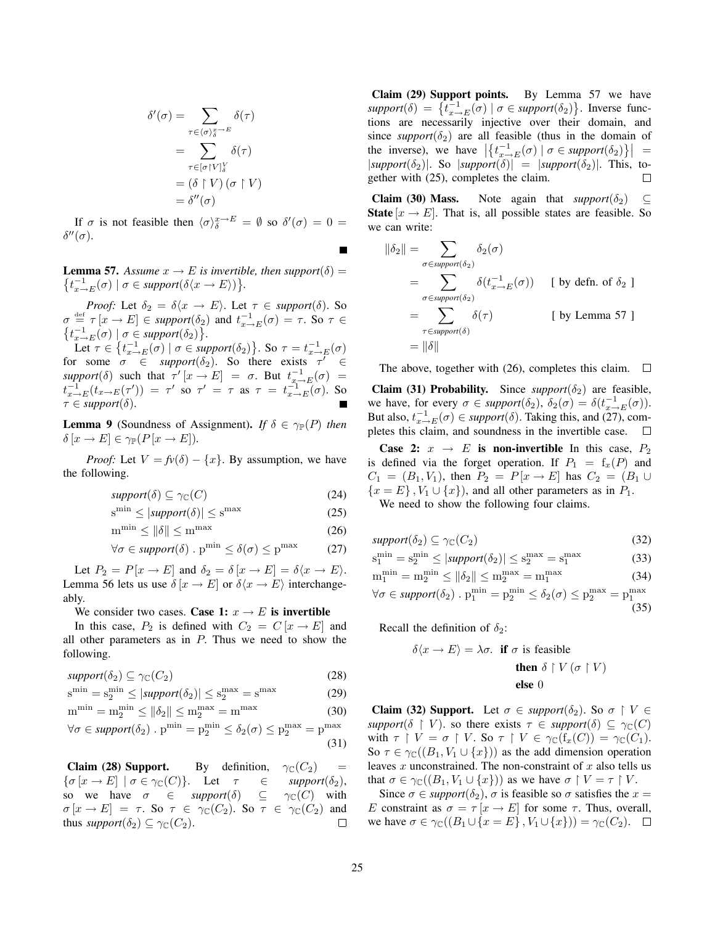$$
\delta'(\sigma) = \sum_{\tau \in \langle \sigma \rangle_{\delta}^x \to E} \delta(\tau)
$$

$$
= \sum_{\tau \in [\sigma \restriction V]_{\delta}^V} \delta(\tau)
$$

$$
= (\delta \restriction V) (\sigma \restriction V)
$$

$$
= \delta''(\sigma)
$$

If  $\sigma$  is not feasible then  $\langle \sigma \rangle_{\delta}^{x \to E} = \emptyset$  so  $\delta'(\sigma) = 0$  =  $\delta''(\sigma)$ .

**Lemma 57.** Assume  $x \to E$  is invertible, then support( $\delta$ ) =  $\{t_{x\to E}^{-1}(\sigma) \mid \sigma \in support(\delta\langle x \to E \rangle)\}.$ 

*Proof:* Let  $\delta_2 = \delta \langle x \rangle$ . Let  $\tau \in support(\delta)$ . So  $\sigma \stackrel{\text{def}}{=} \tau [x \to E] \in support(\delta_2) \text{ and } t_{x \to E}^{-1}(\sigma) = \tau. \text{ So } \tau \in$  $\{t_{x\to E}^{-1}(\sigma) \mid \sigma \in support(\delta_2)\}.$ 

Let  $\tau \in \{t_{x\to E}^{-1}(\sigma) \mid \sigma \in support(\delta_2)\}\)$ . So  $\tau = t_{x\to E}^{-1}(\sigma)$ for some  $\sigma \in support(\delta_2)$ . So there exists  $\tau^{\tau} \in$  $support(\delta)$  such that  $\tau'[x \to E] = \sigma$ . But  $t^{-1}_{x \to E}(\sigma) =$  $t_{x→E}^{-1}(t_{x→E}(\tau')) = \tau'$  so  $\tau' = \tau$  as  $\tau = t_{x→E}^{-1}(\sigma)$ . So  $\tau \in support(\delta).$ 

**Lemma 9** (Soundness of Assignment). *If*  $\delta \in \gamma_{\mathbb{P}}(P)$  *then*  $\delta[x \to E] \in \gamma_{\mathbb{P}}(P[x \to E]).$ 

*Proof:* Let  $V = f(v(\delta) - \{x\})$ . By assumption, we have the following.

$$
support(\delta) \subseteq \gamma_{\mathbb{C}}(C) \tag{24}
$$

$$
s^{\min} \le |support(\delta)| \le s^{\max} \tag{25}
$$

$$
m^{\min} \le \|\delta\| \le m^{\max} \tag{26}
$$

$$
\forall \sigma \in support(\delta) \ . \ \mathbf{p}^{\min} \le \delta(\sigma) \le \mathbf{p}^{\max} \tag{27}
$$

Let  $P_2 = P[x \rightarrow E]$  and  $\delta_2 = \delta[x \rightarrow E] = \delta\langle x \rightarrow E \rangle$ . Lemma 56 lets us use  $\delta[x \rightarrow E]$  or  $\delta\langle x \rightarrow E \rangle$  interchangeably.

We consider two cases. Case 1:  $x \rightarrow E$  is invertible

In this case,  $P_2$  is defined with  $C_2 = C[x \rightarrow E]$  and all other parameters as in  $P$ . Thus we need to show the following.

$$
support(\delta_2) \subseteq \gamma_{\mathbb{C}}(C_2) \tag{28}
$$

$$
s^{\min} = s_2^{\min} \le |support(\delta_2)| \le s_2^{\max} = s^{\max} \tag{29}
$$

$$
m^{\min} = m_2^{\min} \le ||\delta_2|| \le m_2^{\max} = m^{\max} \tag{30}
$$

$$
\forall \sigma \in support(\delta_2) . p^{min} = p_2^{min} \le \delta_2(\sigma) \le p_2^{max} = p^{max}
$$
\n(31)

**Claim (28) Support.** By definition,  $\gamma_{\mathbb{C}}(C_2)$  =  $\{\sigma\ [x\to E]\ |\ \sigma\in\gamma_{\mathbb{C}}(C)\}.$  Let  $\tau\in support(\delta_2),$ so we have  $\sigma \in support(\delta) \subseteq \gamma_{\mathbb{C}}(C)$  with  $\sigma[x \to E] = \tau$ . So  $\tau \in \gamma_{\mathbb{C}}(C_2)$ . So  $\tau \in \gamma_{\mathbb{C}}(C_2)$  and thus  $support(\delta_2) \subseteq \gamma_{\mathbb{C}}(C_2)$ .  $\Box$ 

Claim (29) Support points. By Lemma 57 we have  $support(\delta) = {\bar{t}_{x\to E}^{-1}(\sigma) | \sigma \in support(\delta_2)}.$  Inverse functions are necessarily injective over their domain, and since *support*( $\delta_2$ ) are all feasible (thus in the domain of the inverse), we have  $\left| \left\{ t_{x\rightarrow E}^{-1}(\sigma) \mid \sigma \in support(\delta_2) \right\} \right| =$  $|support(\delta_2)|$ . So  $|support(\delta)| = |support(\delta_2)|$ . This, together with (25), completes the claim.  $\Box$ 

**Claim (30) Mass.** Note again that *support*( $\delta_2$ ) ⊆ **State**  $[x \rightarrow E]$ . That is, all possible states are feasible. So we can write:

$$
\|\delta_2\| = \sum_{\sigma \in support(\delta_2)} \delta_2(\sigma)
$$
  
= 
$$
\sum_{\sigma \in support(\delta_2)} \delta(t_{x \to E}^{-1}(\sigma))
$$
 [ by defn. of  $\delta_2$  ]  
= 
$$
\sum_{\tau \in support(\delta)} \delta(\tau)
$$
 [ by Lemma 57 ]  
= 
$$
\|\delta\|
$$

The above, together with (26), completes this claim.  $\square$ 

**Claim (31) Probability.** Since *support*( $\delta_2$ ) are feasible, we have, for every  $\sigma \in support(\delta_2)$ ,  $\delta_2(\sigma) = \delta(t_{x \to E}^{-1}(\sigma))$ . But also,  $t_{x\to E}^{-1}(\sigma) \in support(\delta)$ . Taking this, and (27), completes this claim, and soundness in the invertible case.  $\Box$ 

**Case 2:**  $x \rightarrow E$  is non-invertible In this case,  $P_2$ is defined via the forget operation. If  $P_1 = f_x(P)$  and  $C_1 = (B_1, V_1)$ , then  $P_2 = P[x \rightarrow E]$  has  $C_2 = (B_1 \cup$  ${x = E}, V_1 \cup {x}$ , and all other parameters as in  $P_1$ .

We need to show the following four claims.

$$
support(\delta_2) \subseteq \gamma_{\mathbb{C}}(C_2) \tag{32}
$$

$$
s_1^{\min} = s_2^{\min} \le |support(\delta_2)| \le s_2^{\max} = s_1^{\max} \tag{33}
$$

$$
m_1^{\min} = m_2^{\min} \le ||\delta_2|| \le m_2^{\max} = m_1^{\max}
$$
(34)  

$$
\forall \sigma \in support(\delta_2) . p_1^{\min} = p_2^{\min} \le \delta_2(\sigma) \le p_2^{\max} = p_1^{\max}
$$
(35)

Recall the definition of  $\delta_2$ :

$$
\delta\langle x \to E \rangle = \lambda \sigma.
$$
 if  $\sigma$  is feasible  
then  $\delta \upharpoonright V (\sigma \upharpoonright V)$   
else 0

**Claim (32) Support.** Let  $\sigma \in support(\delta_2)$ . So  $\sigma \upharpoonright V \in$ *support*( $\delta \restriction V$ ). so there exists  $\tau \in support(\delta) \subseteq \gamma_{\mathbb{C}}(C)$ with  $\tau \restriction V = \sigma \restriction V$ . So  $\tau \restriction V \in \gamma_{\mathbb{C}}(\mathrm{f}_x(C)) = \gamma_{\mathbb{C}}(C_1)$ . So  $\tau \in \gamma_{\mathbb{C}}((B_1, V_1 \cup \{x\}))$  as the add dimension operation leaves  $x$  unconstrained. The non-constraint of  $x$  also tells us that  $\sigma \in \gamma_{\mathbb{C}}((B_1, V_1 \cup \{x\}))$  as we have  $\sigma \upharpoonright V = \tau \upharpoonright V$ .

Since  $\sigma \in support(\delta_2)$ ,  $\sigma$  is feasible so  $\sigma$  satisfies the  $x =$ E constraint as  $\sigma = \tau [x \rightarrow E]$  for some  $\tau$ . Thus, overall, we have  $\sigma \in \gamma_{\mathbb{C}}((B_1 \cup \{x = E\}, V_1 \cup \{x\})) = \gamma_{\mathbb{C}}(C_2)$ .  $\Box$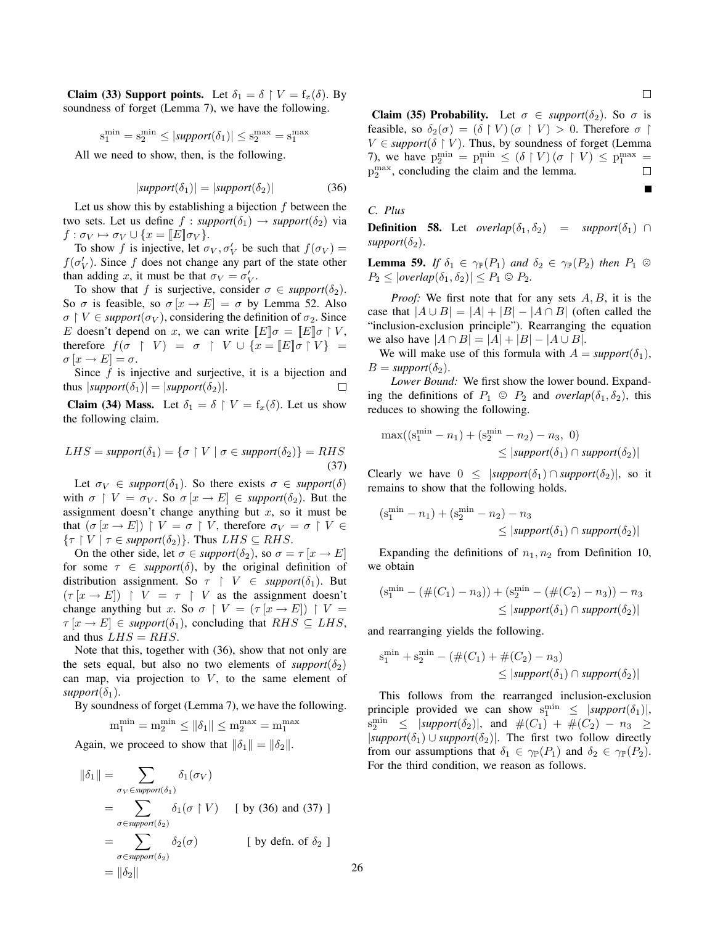**Claim (33) Support points.** Let  $\delta_1 = \delta \restriction V = \mathbf{f}_x(\delta)$ . By soundness of forget (Lemma 7), we have the following.

$$
s_1^{\min} = s_2^{\min} \leq |\text{support}(\delta_1)| \leq s_2^{\max} = s_1^{\max}
$$

All we need to show, then, is the following.

$$
|support(\delta_1)| = |support(\delta_2)| \tag{36}
$$

Let us show this by establishing a bijection  $f$  between the two sets. Let us define  $f : support(\delta_1) \rightarrow support(\delta_2)$  via  $f: \sigma_V \mapsto \sigma_V \cup \{x = [E] \sigma_V\}.$ 

To show f is injective, let  $\sigma_V, \sigma_V'$  be such that  $f(\sigma_V) =$  $f(\sigma'_V)$ . Since f does not change any part of the state other than adding x, it must be that  $\sigma_V = \sigma'_V$ .

To show that f is surjective, consider  $\sigma \in support(\delta_2)$ . So  $\sigma$  is feasible, so  $\sigma[x \to E] = \sigma$  by Lemma 52. Also  $\sigma \restriction V \in support(\sigma_V)$ , considering the definition of  $\sigma_2$ . Since E doesn't depend on x, we can write  $||E||\sigma = ||E||\sigma \restriction V$ , therefore  $f(\sigma \mid V) = \sigma \mid V \cup \{x = [[E]] \sigma \mid V\}$  $\sigma[x \rightarrow E] = \sigma.$ 

Since  $f$  is injective and surjective, it is a bijection and thus  $|support(\delta_1)| = |support(\delta_2)|$ . П

**Claim (34) Mass.** Let  $\delta_1 = \delta \restriction V = f_x(\delta)$ . Let us show the following claim.

$$
LHS = support(\delta_1) = {\sigma \restriction V \mid \sigma \in support(\delta_2)} = RHS
$$
\n(37)

Let  $\sigma_V \in support(\delta_1)$ . So there exists  $\sigma \in support(\delta)$ with  $\sigma \restriction V = \sigma_V$ . So  $\sigma[x \to E] \in support(\delta_2)$ . But the assignment doesn't change anything but  $x$ , so it must be that  $(\sigma[x \rightarrow E]) \restriction V = \sigma \restriction V$ , therefore  $\sigma_V = \sigma \restriction V \in$  $\{\tau \mid V \mid \tau \in support(\delta_2)\}.$  Thus  $LHS \subseteq RHS$ .

On the other side, let  $\sigma \in support(\delta_2)$ , so  $\sigma = \tau[x \rightarrow E]$ for some  $\tau \in support(\delta)$ , by the original definition of distribution assignment. So  $\tau \restriction V \in support(\delta_1)$ . But  $(\tau [x \rightarrow E])$  |  $V = \tau$  |  $V$  as the assignment doesn't change anything but x. So  $\sigma \restriction V = (\tau [x \to E]) \restriction V =$  $\tau$  [ $x \to E$ ]  $\in$  *support*( $\delta_1$ ), concluding that  $RHS \subseteq LHS$ , and thus  $LHS = RHS$ .

Note that this, together with (36), show that not only are the sets equal, but also no two elements of  $support(\delta_2)$ can map, via projection to  $V$ , to the same element of  $support(\delta_1)$ .

By soundness of forget (Lemma 7), we have the following.

$$
m_1^{\min} = m_2^{\min} \leq \|\delta_1\| \leq m_2^{\max} = m_1^{\max}
$$

Again, we proceed to show that  $\|\delta_1\| = \|\delta_2\|$ .

$$
\|\delta_1\| = \sum_{\sigma_V \in support(\delta_1)} \delta_1(\sigma_V)
$$
  
= 
$$
\sum_{\sigma \in support(\delta_2)} \delta_1(\sigma \upharpoonright V) \quad [\text{ by (36) and (37) }]
$$
  
= 
$$
\sum_{\sigma \in support(\delta_2)} \delta_2(\sigma) \qquad [\text{ by defn. of } \delta_2 ]
$$
  
= 
$$
\|\delta_2\|
$$

 $\Box$ 

П

**Claim (35) Probability.** Let  $\sigma \in support(\delta_2)$ . So  $\sigma$  is feasible, so  $\delta_2(\sigma) = (\delta \upharpoonright V) (\sigma \upharpoonright V) > 0$ . Therefore  $\sigma \upharpoonright$  $V \in support(\delta \restriction V)$ . Thus, by soundness of forget (Lemma 7), we have  $p_2^{\min} = p_1^{\min} \le (\delta \restriction V) (\sigma \restriction V) \le p_1^{\max} =$ p<sup>max</sup>, concluding the claim and the lemma.  $\Box$ 

*C. Plus*

**Definition 58.** Let *overlap*( $\delta_1, \delta_2$ ) = *support*( $\delta_1$ ) ∩  $support(\delta_2)$ .

**Lemma 59.** *If*  $\delta_1 \in \gamma_{\mathbb{P}}(P_1)$  *and*  $\delta_2 \in \gamma_{\mathbb{P}}(P_2)$  *then*  $P_1 \otimes$  $P_2 \leq |overlap(\delta_1, \delta_2)| \leq P_1 \odot P_2.$ 

*Proof:* We first note that for any sets A, B, it is the case that  $|A \cup B| = |A| + |B| - |A \cap B|$  (often called the "inclusion-exclusion principle"). Rearranging the equation we also have  $|A \cap B| = |A| + |B| - |A \cup B|$ .

We will make use of this formula with  $A = support(\delta_1)$ ,  $B = support(\delta_2)$ .

*Lower Bound:* We first show the lower bound. Expanding the definitions of  $P_1 \otimes P_2$  and *overlap*( $\delta_1, \delta_2$ ), this reduces to showing the following.

$$
\max((s_1^{\min} - n_1) + (s_2^{\min} - n_2) - n_3, 0)
$$
  
\n
$$
\leq |support(\delta_1) \cap support(\delta_2)|
$$

Clearly we have  $0 \leq |support(\delta_1) \cap support(\delta_2)|$ , so it remains to show that the following holds.

$$
(s_1^{\min} - n_1) + (s_2^{\min} - n_2) - n_3
$$
  
\n
$$
\leq |support(\delta_1) \cap support(\delta_2)|
$$

Expanding the definitions of  $n_1, n_2$  from Definition 10, we obtain

$$
(s_1^{\min} - (\#(C_1) - n_3)) + (s_2^{\min} - (\#(C_2) - n_3)) - n_3
$$
  
\n
$$
\leq |support(\delta_1) \cap support(\delta_2)|
$$

and rearranging yields the following.

$$
s_1^{\min} + s_2^{\min} - (\#(C_1) + \#(C_2) - n_3)
$$
  
\n
$$
\leq |support(\delta_1) \cap support(\delta_2)|
$$

This follows from the rearranged inclusion-exclusion principle provided we can show  $s_1^{\min} \leq |support(\delta_1)|$ ,  $\mathsf{s}_{2}^{\min} \leq | \mathit{support}(\delta_2)|, \text{ and } \#(C_1) + \#(C_2) - n_3 \geq$  $|support(\delta_1) \cup support(\delta_2)|$ . The first two follow directly from our assumptions that  $\delta_1 \in \gamma_{\mathbb{P}}(P_1)$  and  $\delta_2 \in \gamma_{\mathbb{P}}(P_2)$ . For the third condition, we reason as follows.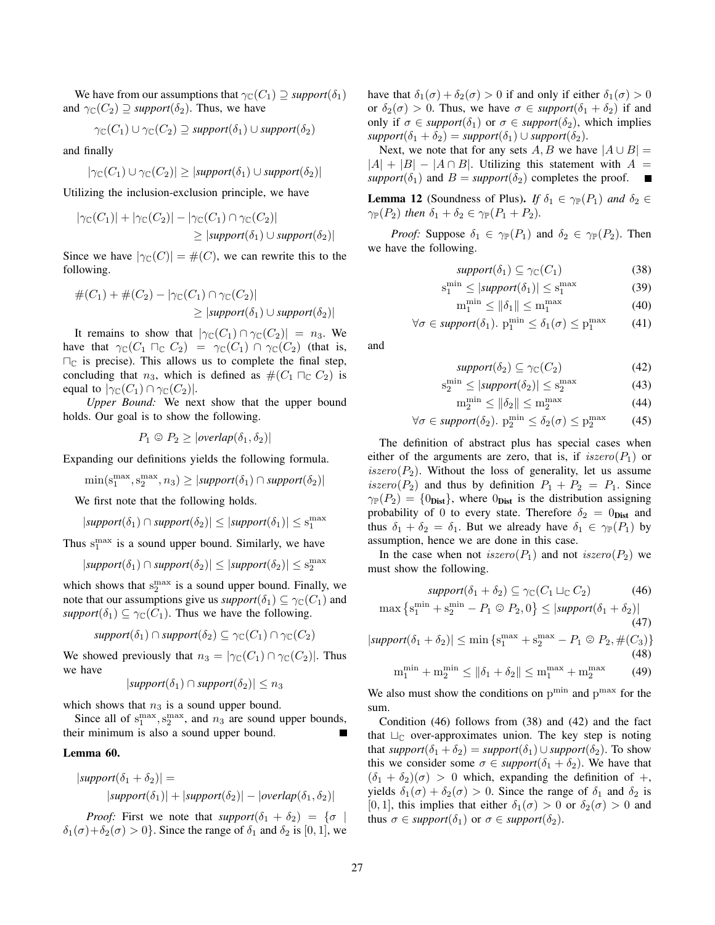We have from our assumptions that  $\gamma_{\mathbb{C}}(C_1) \supseteq \text{support}(\delta_1)$ and  $\gamma_{\mathbb{C}}(C_2) \supseteq support(\delta_2)$ . Thus, we have

$$
\gamma_{\mathbb{C}}(C_1) \cup \gamma_{\mathbb{C}}(C_2) \supseteq \text{support}(\delta_1) \cup \text{support}(\delta_2)
$$

and finally

$$
|\gamma_{\mathbb{C}}(C_1) \cup \gamma_{\mathbb{C}}(C_2)| \geq |support(\delta_1) \cup support(\delta_2)|
$$

Utilizing the inclusion-exclusion principle, we have

$$
|\gamma_{\mathbb{C}}(C_1)| + |\gamma_{\mathbb{C}}(C_2)| - |\gamma_{\mathbb{C}}(C_1) \cap \gamma_{\mathbb{C}}(C_2)|
$$
  
\n
$$
\geq |support(\delta_1) \cup support(\delta_2)|
$$

Since we have  $|\gamma_{\mathbb{C}}(C)| = \#(C)$ , we can rewrite this to the following.

$$
\#(C_1) + \#(C_2) - |\gamma_{\mathbb{C}}(C_1) \cap \gamma_{\mathbb{C}}(C_2)|
$$
  
\n
$$
\geq |support(\delta_1) \cup support(\delta_2)|
$$

It remains to show that  $|\gamma_{\mathbb{C}}(C_1) \cap \gamma_{\mathbb{C}}(C_2)| = n_3$ . We have that  $\gamma_{\mathbb{C}}(C_1 \sqcap_{\mathbb{C}} C_2) = \gamma_{\mathbb{C}}(C_1) \cap \gamma_{\mathbb{C}}(C_2)$  (that is,  $\Box$  is precise). This allows us to complete the final step, concluding that  $n_3$ , which is defined as  $\#(C_1 \sqcap_{\mathbb{C}} C_2)$  is equal to  $|\gamma_{\mathbb{C}}(C_1) \cap \gamma_{\mathbb{C}}(C_2)|$ .

*Upper Bound:* We next show that the upper bound holds. Our goal is to show the following.

$$
P_1 \odot P_2 \ge |overlap(\delta_1, \delta_2)|
$$

Expanding our definitions yields the following formula.

$$
\min(\mathbf{s}_1^{\max}, \mathbf{s}_2^{\max}, n_3) \ge |\textit{support}(\delta_1) \cap \textit{support}(\delta_2)|
$$

We first note that the following holds.

$$
|support(\delta_1) \cap support(\delta_2)| \leq |support(\delta_1)| \leq s_1^{\max}
$$

Thus  $s_1^{\text{max}}$  is a sound upper bound. Similarly, we have

$$
|support(\delta_1) \cap support(\delta_2)| \leq |support(\delta_2)| \leq s_2^{\max}
$$

which shows that  $s_2^{\max}$  is a sound upper bound. Finally, we note that our assumptions give us *support*( $\delta_1$ )  $\subseteq \gamma_{\mathbb{C}}(C_1)$  and *support*( $\delta_1$ )  $\subseteq \gamma_{\mathbb{C}}(C_1)$ . Thus we have the following.

$$
support(\delta_1) \cap support(\delta_2) \subseteq \gamma_{\mathbb{C}}(C_1) \cap \gamma_{\mathbb{C}}(C_2)
$$

We showed previously that  $n_3 = |\gamma_{\mathbb{C}}(C_1) \cap \gamma_{\mathbb{C}}(C_2)|$ . Thus we have

$$
|support(\delta_1) \cap support(\delta_2)| \leq n_3
$$

which shows that  $n_3$  is a sound upper bound.

Since all of  $s_1^{\max}, s_2^{\max}$ , and  $n_3$  are sound upper bounds, their minimum is also a sound upper bound.

# Lemma 60.

$$
|support(\delta_1 + \delta_2)| =
$$
  

$$
|support(\delta_1)| + |support(\delta_2)| - |overlap(\delta_1, \delta_2)|
$$

*Proof:* First we note that *support* $(\delta_1 + \delta_2) = {\sigma | \over \sigma}$  $\delta_1(\sigma) + \delta_2(\sigma) > 0$ . Since the range of  $\delta_1$  and  $\delta_2$  is [0, 1], we have that  $\delta_1(\sigma) + \delta_2(\sigma) > 0$  if and only if either  $\delta_1(\sigma) > 0$ or  $\delta_2(\sigma) > 0$ . Thus, we have  $\sigma \in support(\delta_1 + \delta_2)$  if and only if  $\sigma \in support(\delta_1)$  or  $\sigma \in support(\delta_2)$ , which implies  $support(\delta_1 + \delta_2) = support(\delta_1) \cup support(\delta_2).$ 

Next, we note that for any sets A, B we have  $|A \cup B|$  =  $|A| + |B| - |A \cap B|$ . Utilizing this statement with  $A =$ *support*( $\delta_1$ ) and  $B = support(\delta_2)$  completes the proof. 

**Lemma 12** (Soundness of Plus). *If*  $\delta_1 \in \gamma_{\mathbb{P}}(P_1)$  *and*  $\delta_2 \in$  $\gamma_{\mathbb{P}}(P_2)$  *then*  $\delta_1 + \delta_2 \in \gamma_{\mathbb{P}}(P_1 + P_2)$ *.* 

*Proof:* Suppose  $\delta_1 \in \gamma_{\mathbb{P}}(P_1)$  and  $\delta_2 \in \gamma_{\mathbb{P}}(P_2)$ . Then we have the following.

$$
support(\delta_1) \subseteq \gamma_{\mathbb{C}}(C_1) \tag{38}
$$

$$
s_1^{\min} \le |support(\delta_1)| \le s_1^{\max} \tag{39}
$$

$$
m_1^{\min} \le \|\delta_1\| \le m_1^{\max} \tag{40}
$$

$$
\forall \sigma \in support(\delta_1). \ p_1^{\min} \le \delta_1(\sigma) \le p_1^{\max} \qquad (41)
$$

and

$$
support(\delta_2) \subseteq \gamma_{\mathbb{C}}(C_2) \tag{42}
$$

$$
s_2^{\min} \le |support(\delta_2)| \le s_2^{\max} \tag{43}
$$

$$
m_2^{\min} \le ||\delta_2|| \le m_2^{\max} \tag{44}
$$

$$
\forall \sigma \in support(\delta_2). \ p_2^{\min} \le \delta_2(\sigma) \le p_2^{\max} \qquad (45)
$$

The definition of abstract plus has special cases when either of the arguments are zero, that is, if  $iszero(P_1)$  or *iszero* $(P_2)$ . Without the loss of generality, let us assume iszero( $P_2$ ) and thus by definition  $P_1 + P_2 = P_1$ . Since  $\gamma_{\mathbb{P}}(P_2) = \{0_{\text{Dist}}\},\$  where  $0_{\text{Dist}}\$  is the distribution assigning probability of 0 to every state. Therefore  $\delta_2 = 0$ <sub>Dist</sub> and thus  $\delta_1 + \delta_2 = \delta_1$ . But we already have  $\delta_1 \in \gamma_{\mathbb{P}}(P_1)$  by assumption, hence we are done in this case.

In the case when not *iszero*( $P_1$ ) and not *iszero*( $P_2$ ) we must show the following.

$$
support(\delta_1 + \delta_2) \subseteq \gamma_{\mathbb{C}}(C_1 \sqcup_{\mathbb{C}} C_2) \tag{46}
$$

$$
\max\left\{\mathbf{s}_1^{\min} + \mathbf{s}_2^{\min} - P_1 \odot P_2, 0\right\} \le |\text{support}(\delta_1 + \delta_2)|\tag{47}
$$

$$
|\textit{support}(\delta_1 + \delta_2)| \le \min\left\{ \mathbf{s}_1^{\max} + \mathbf{s}_2^{\max} - P_1 \odot P_2, \#(C_3) \right\} \tag{48}
$$

$$
m_1^{\min} + m_2^{\min} \le ||\delta_1 + \delta_2|| \le m_1^{\max} + m_2^{\max}
$$
 (49)

We also must show the conditions on  $p^{min}$  and  $p^{max}$  for the sum.

Condition (46) follows from (38) and (42) and the fact that  $\Box_{\mathbb{C}}$  over-approximates union. The key step is noting that *support* $(\delta_1 + \delta_2)$  = *support* $(\delta_1)$  ∪ *support* $(\delta_2)$ . To show this we consider some  $\sigma \in support(\delta_1 + \delta_2)$ . We have that  $(\delta_1 + \delta_2)(\sigma) > 0$  which, expanding the definition of +, yields  $\delta_1(\sigma) + \delta_2(\sigma) > 0$ . Since the range of  $\delta_1$  and  $\delta_2$  is [0, 1], this implies that either  $\delta_1(\sigma) > 0$  or  $\delta_2(\sigma) > 0$  and thus  $\sigma \in support(\delta_1)$  or  $\sigma \in support(\delta_2)$ .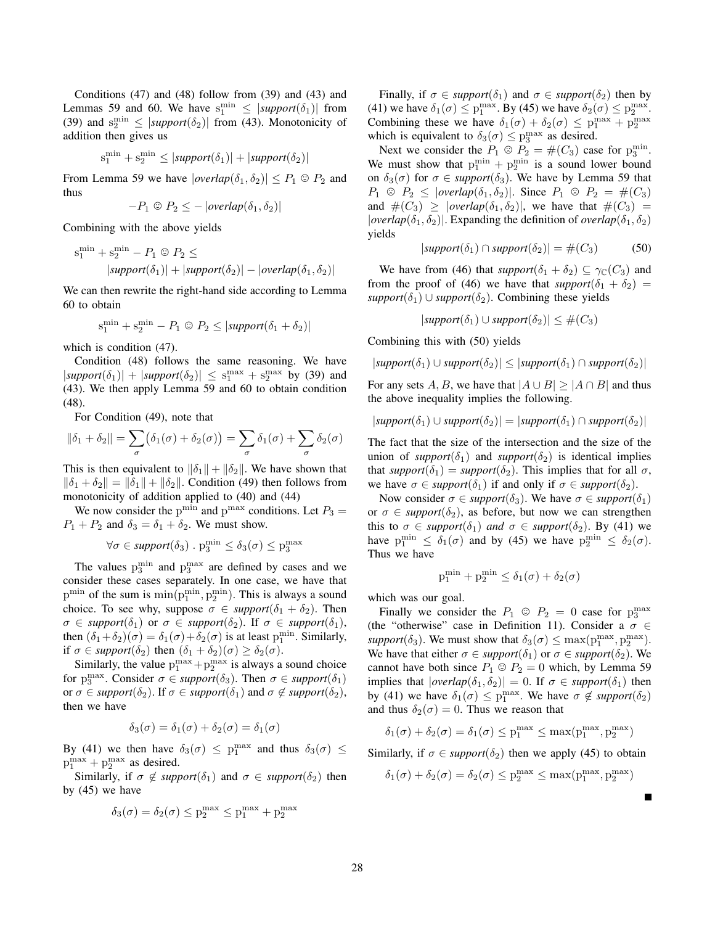Conditions (47) and (48) follow from (39) and (43) and Lemmas 59 and 60. We have  $s_1^{\min} \leq |support(\delta_1)|$  from (39) and  $s_2^{\min} \leq |support(\delta_2)|$  from (43). Monotonicity of addition then gives us

$$
s_1^{\min} + s_2^{\min} \le |support(\delta_1)| + |support(\delta_2)|
$$

From Lemma 59 we have  $|overlap(\delta_1, \delta_2)| \leq P_1 \odot P_2$  and thus

$$
-P_1 \odot P_2 \le -|overlap(\delta_1, \delta_2)|
$$

Combining with the above yields

$$
s_1^{\min} + s_2^{\min} - P_1 \otimes P_2 \le
$$
  
 
$$
|support(\delta_1)| + |support(\delta_2)| - |overlap(\delta_1, \delta_2)|
$$

We can then rewrite the right-hand side according to Lemma 60 to obtain

$$
s_1^{\min} + s_2^{\min} - P_1 \odot P_2 \le |support(\delta_1 + \delta_2)|
$$

which is condition  $(47)$ .

Condition (48) follows the same reasoning. We have  $|support(\delta_1)| + |support(\delta_2)| \leq s_1^{max} + s_2^{max}$  by (39) and (43). We then apply Lemma 59 and 60 to obtain condition (48).

For Condition (49), note that

$$
\|\delta_1 + \delta_2\| = \sum_{\sigma} (\delta_1(\sigma) + \delta_2(\sigma)) = \sum_{\sigma} \delta_1(\sigma) + \sum_{\sigma} \delta_2(\sigma)
$$

This is then equivalent to  $\|\delta_1\| + \|\delta_2\|$ . We have shown that  $\|\delta_1 + \delta_2\| = \|\delta_1\| + \|\delta_2\|$ . Condition (49) then follows from monotonicity of addition applied to (40) and (44)

We now consider the  $p^{min}$  and  $p^{max}$  conditions. Let  $P_3 =$  $P_1 + P_2$  and  $\delta_3 = \delta_1 + \delta_2$ . We must show.

$$
\forall \sigma \in support(\delta_3) . p_3^{\min} \leq \delta_3(\sigma) \leq p_3^{\max}
$$

The values  $p_3^{\min}$  and  $p_3^{\max}$  are defined by cases and we consider these cases separately. In one case, we have that  $p^{min}$  of the sum is  $min(p_1^{min}, p_2^{min})$ . This is always a sound choice. To see why, suppose  $\sigma \in support(\delta_1 + \delta_2)$ . Then  $\sigma \in support(\delta_1)$  or  $\sigma \in support(\delta_2)$ . If  $\sigma \in support(\delta_1)$ , then  $(\delta_1 + \delta_2)(\sigma) = \delta_1(\sigma) + \delta_2(\sigma)$  is at least  $p_1^{\min}$ . Similarly, if  $\sigma \in support(\delta_2)$  then  $(\delta_1 + \delta_2)(\sigma) \geq \delta_2(\sigma)$ .

Similarly, the value  $p_1^{\max} + p_2^{\max}$  is always a sound choice for  $p_3^{\max}$ . Consider  $\sigma \in support(\delta_3)$ . Then  $\sigma \in support(\delta_1)$ or  $\sigma \in support(\delta_2)$ . If  $\sigma \in support(\delta_1)$  and  $\sigma \notin support(\delta_2)$ , then we have

$$
\delta_3(\sigma)=\delta_1(\sigma)+\delta_2(\sigma)=\delta_1(\sigma)
$$

By (41) we then have  $\delta_3(\sigma) \leq p_1^{\max}$  and thus  $\delta_3(\sigma) \leq$  $p_1^{\text{max}} + p_2^{\text{max}}$  as desired.

Similarly, if  $\sigma \notin support(\delta_1)$  and  $\sigma \in support(\delta_2)$  then by (45) we have

$$
\delta_3(\sigma)=\delta_2(\sigma)\leq p_2^{\max}\leq p_1^{\max}+p_2^{\max}
$$

Finally, if  $\sigma \in support(\delta_1)$  and  $\sigma \in support(\delta_2)$  then by (41) we have  $\delta_1(\sigma) \leq p_1^{\max}$ . By (45) we have  $\delta_2(\sigma) \leq p_2^{\max}$ . Combining these we have  $\delta_1(\sigma) + \delta_2(\sigma) \leq p_1^{\max} + p_2^{\max}$ which is equivalent to  $\delta_3(\sigma) \leq p_3^{\max}$  as desired.

Next we consider the  $P_1 \otimes P_2 = \#(C_3)$  case for  $p_3^{\text{min}}$ . We must show that  $p_1^{\min} + p_2^{\min}$  is a sound lower bound on  $\delta_3(\sigma)$  for  $\sigma \in support(\delta_3)$ . We have by Lemma 59 that  $P_1 \odot P_2 \leq |overlap(\delta_1, \delta_2)|$ . Since  $P_1 \odot P_2 = \#(C_3)$ and  $\#(C_3) \geq |overlap(\delta_1, \delta_2)|$ , we have that  $\#(C_3) =$  $|overlap(\delta_1, \delta_2)|$ . Expanding the definition of *overlap*( $\delta_1, \delta_2$ ) yields

$$
|support(\delta_1) \cap support(\delta_2)| = \#(C_3)
$$
 (50)

We have from (46) that  $support(\delta_1 + \delta_2) \subseteq \gamma_{\mathbb{C}}(C_3)$  and from the proof of (46) we have that  $support(\delta_1 + \delta_2)$  $support(\delta_1) \cup support(\delta_2)$ . Combining these yields

$$
|support(\delta_1) \cup support(\delta_2)| \leq \#(C_3)
$$

Combining this with (50) yields

$$
|support(\delta_1) \cup support(\delta_2)| \leq |support(\delta_1) \cap support(\delta_2)|
$$

For any sets A, B, we have that  $|A \cup B| \geq |A \cap B|$  and thus the above inequality implies the following.

$$
|support(\delta_1) \cup support(\delta_2)| = |support(\delta_1) \cap support(\delta_2)|
$$

The fact that the size of the intersection and the size of the union of *support*( $\delta_1$ ) and *support*( $\delta_2$ ) is identical implies that *support*( $\delta_1$ ) = *support*( $\delta_2$ ). This implies that for all  $\sigma$ , we have  $\sigma \in support(\delta_1)$  if and only if  $\sigma \in support(\delta_2)$ .

Now consider  $\sigma \in support(\delta_3)$ . We have  $\sigma \in support(\delta_1)$ or  $\sigma \in support(\delta_2)$ , as before, but now we can strengthen this to  $\sigma \in support(\delta_1)$  *and*  $\sigma \in support(\delta_2)$ . By (41) we have  $p_1^{\min} \leq \delta_1(\sigma)$  and by (45) we have  $p_2^{\min} \leq \delta_2(\sigma)$ . Thus we have

$$
p_1^{\min} + p_2^{\min} \le \delta_1(\sigma) + \delta_2(\sigma)
$$

which was our goal.

Finally we consider the  $P_1 \odot P_2 = 0$  case for  $p_3^{\max}$ (the "otherwise" case in Definition 11). Consider a  $\sigma \in$ support( $\delta_3$ ). We must show that  $\delta_3(\sigma) \leq \max(p_1^{\max}, p_2^{\max})$ . We have that either  $\sigma \in support(\delta_1)$  or  $\sigma \in support(\delta_2)$ . We cannot have both since  $P_1 \odot P_2 = 0$  which, by Lemma 59 implies that  $|overlap(\delta_1, \delta_2)| = 0$ . If  $\sigma \in support(\delta_1)$  then by (41) we have  $\delta_1(\sigma) \leq p_1^{\max}$ . We have  $\sigma \notin support(\delta_2)$ and thus  $\delta_2(\sigma) = 0$ . Thus we reason that

$$
\delta_1(\sigma) + \delta_2(\sigma) = \delta_1(\sigma) \le p_1^{\max} \le \max(p_1^{\max}, p_2^{\max})
$$

Similarly, if  $\sigma \in support(\delta_2)$  then we apply (45) to obtain

$$
\delta_1(\sigma) + \delta_2(\sigma) = \delta_2(\sigma) \le p_2^{\max} \le \max(p_1^{\max}, p_2^{\max})
$$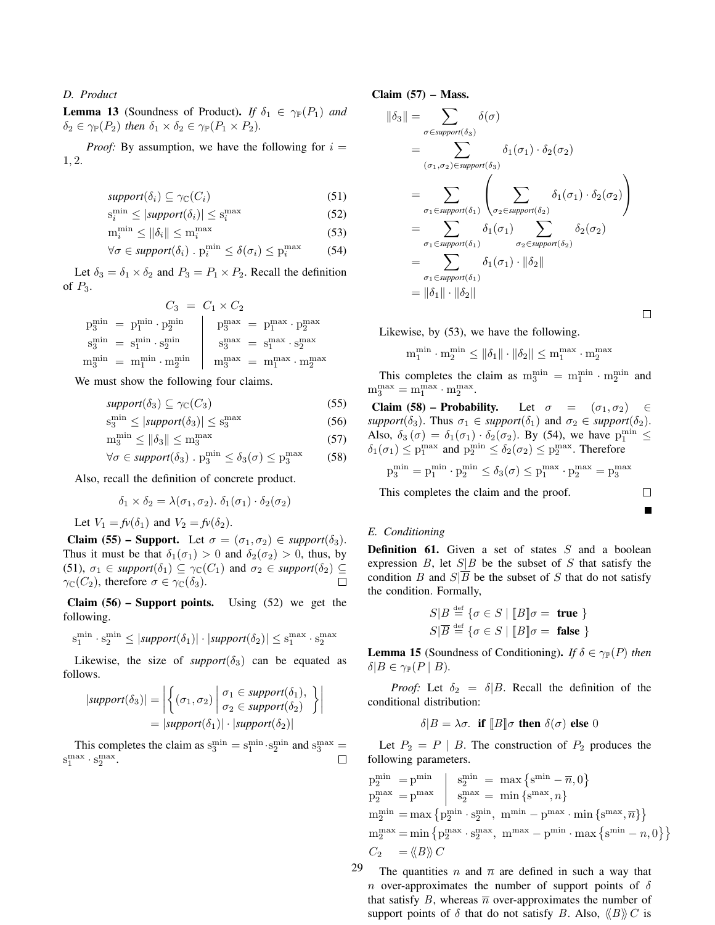# *D. Product*

**Lemma 13** (Soundness of Product). *If*  $\delta_1 \in \gamma_{\mathbb{P}}(P_1)$  *and*  $\delta_2 \in \gamma_{\mathbb{P}}(P_2)$  then  $\delta_1 \times \delta_2 \in \gamma_{\mathbb{P}}(P_1 \times P_2)$ .

*Proof:* By assumption, we have the following for  $i =$ 1, 2.

$$
support(\delta_i) \subseteq \gamma_{\mathbb{C}}(C_i) \tag{51}
$$

$$
\mathbf{s}_i^{\min} \le |\text{support}(\delta_i)| \le \mathbf{s}_i^{\max} \tag{52}
$$

$$
\mathbf{m}_i^{\min} \le \|\delta_i\| \le \mathbf{m}_i^{\max} \tag{53}
$$

$$
\forall \sigma \in support(\delta_i) \cdot p_i^{min} \leq \delta(\sigma_i) \leq p_i^{max} \qquad (54)
$$

Let  $\delta_3 = \delta_1 \times \delta_2$  and  $P_3 = P_1 \times P_2$ . Recall the definition of  $P_3$ .

$$
C_3 = C_1 \times C_2
$$
  
\n
$$
p_3^{\min} = p_1^{\min} \cdot p_2^{\min}
$$
  
\n
$$
s_3^{\min} = s_1^{\min} \cdot s_2^{\min}
$$
  
\n
$$
m_3^{\min} = m_1^{\min} \cdot m_2^{\min}
$$
  
\n
$$
p_3^{\max} = p_1^{\max} \cdot p_2^{\max}
$$
  
\n
$$
s_3^{\max} = s_1^{\max} \cdot s_2^{\max}
$$
  
\n
$$
m_3^{\max} = m_1^{\max} \cdot m_2^{\max}
$$

We must show the following four claims.

$$
support(\delta_3) \subseteq \gamma_{\mathbb{C}}(C_3) \tag{55}
$$
\n
$$
\min_{\mathcal{A} \in \mathcal{A}} \mathcal{A}(\mathcal{A}) \subseteq \max_{\mathcal{A} \in \mathcal{A}} \mathcal{A}(\mathcal{A}) \tag{56}
$$

$$
s_3^{\min} \le |support(\delta_3)| \le s_3^{\max} \tag{56}
$$

$$
m_3^{\min} \le \|\delta_3\| \le m_3^{\max} \tag{57}
$$

$$
\forall \sigma \in support(\delta_3) \cdot p_3^{min} \le \delta_3(\sigma) \le p_3^{max} \qquad (58)
$$

Also, recall the definition of concrete product.

$$
\delta_1 \times \delta_2 = \lambda(\sigma_1, \sigma_2). \ \delta_1(\sigma_1) \cdot \delta_2(\sigma_2)
$$

Let  $V_1 = f\nu(\delta_1)$  and  $V_2 = f\nu(\delta_2)$ .

**Claim (55) – Support.** Let  $\sigma = (\sigma_1, \sigma_2) \in support(\delta_3)$ . Thus it must be that  $\delta_1(\sigma_1) > 0$  and  $\delta_2(\sigma_2) > 0$ , thus, by (51),  $\sigma_1 \in support(\delta_1) \subseteq \gamma_{\mathbb{C}}(C_1)$  and  $\sigma_2 \in support(\delta_2) \subseteq$  $\gamma_{\mathbb{C}}(C_2)$ , therefore  $\sigma \in \gamma_{\mathbb{C}}(\delta_3)$ .  $\Box$ 

**Claim (56)** – **Support points.** Using (52) we get the following.

$$
s_1^{\min} \cdot s_2^{\min} \leq |support(\delta_1)| \cdot |support(\delta_2)| \leq s_1^{\max} \cdot s_2^{\max}
$$

Likewise, the size of *support*( $\delta_3$ ) can be equated as follows.  $\sim 10^7$ 

$$
|support(\delta_3)| = \left| \left\{ (\sigma_1, \sigma_2) \middle| \begin{array}{l} \sigma_1 \in support(\delta_1), \\ \sigma_2 \in support(\delta_2) \end{array} \right\} \right|
$$
  
= |support(\delta\_1)| \cdot |support(\delta\_2)|

This completes the claim as  $s_3^{\min} = s_1^{\min} \cdot s_2^{\min}$  and  $s_3^{\max} =$  $s_1^{\max} \cdot s_2^{\max}$ .

Claim (57) – Mass.

$$
\begin{aligned}\n\|\delta_3\| &= \sum_{\sigma \in support(\delta_3)} \delta(\sigma) \\
&= \sum_{(\sigma_1, \sigma_2) \in support(\delta_3)} \delta_1(\sigma_1) \cdot \delta_2(\sigma_2) \\
&= \sum_{\sigma_1 \in support(\delta_1)} \left( \sum_{\sigma_2 \in support(\delta_2)} \delta_1(\sigma_1) \cdot \delta_2(\sigma_2) \right) \\
&= \sum_{\sigma_1 \in support(\delta_1)} \delta_1(\sigma_1) \sum_{\sigma_2 \in support(\delta_2)} \delta_2(\sigma_2) \\
&= \sum_{\sigma_1 \in support(\delta_1)} \delta_1(\sigma_1) \cdot \|\delta_2\| \\
&= \|\delta_1\| \cdot \|\delta_2\|\n\end{aligned}
$$

Likewise, by (53), we have the following.

$$
m_1^{min} \cdot m_2^{min} \leq \|\delta_1\| \cdot \|\delta_2\| \leq m_1^{max} \cdot m_2^{max}
$$

This completes the claim as  $m_3^{min} = m_1^{min} \cdot m_2^{min}$  and  $m_3^{\text{max}} = m_1^{\text{max}} \cdot m_2^{\text{max}}.$ 

Claim (58) – Probability. Let  $\sigma = (\sigma_1, \sigma_2) \in$ *support*( $\delta_3$ ). Thus  $\sigma_1 \in support(\delta_1)$  and  $\sigma_2 \in support(\delta_2)$ . Also,  $\delta_3(\sigma) = \delta_1(\sigma_1) \cdot \delta_2(\sigma_2)$ . By (54), we have  $p_1^{\text{min}} \leq$  $\delta_1(\sigma_1) \leq p_1^{\max}$  and  $p_2^{\min} \leq \delta_2(\sigma_2) \leq p_2^{\max}$ . Therefore

$$
p_3^{\min}=p_1^{\min}\cdot p_2^{\min}\leq \delta_3(\sigma)\leq p_1^{\max}\cdot p_2^{\max}=p_3^{\max}
$$

This completes the claim and the proof.

# $\Box$  $\blacksquare$

 $\Box$ 

#### *E. Conditioning*

**Definition 61.** Given a set of states  $S$  and a boolean expression  $B$ , let  $S/B$  be the subset of S that satisfy the condition B and  $S\overline{B}$  be the subset of S that do not satisfy the condition. Formally,

$$
S|B \stackrel{\text{def}}{=} \{ \sigma \in S \mid [B] \sigma = \text{ true } \}
$$
  

$$
S|\overline{B} \stackrel{\text{def}}{=} \{ \sigma \in S \mid [B] \sigma = \text{ false } \}
$$

**Lemma 15** (Soundness of Conditioning). *If*  $\delta \in \gamma_{\mathbb{P}}(P)$  *then*  $\delta |B \in \gamma_{\mathbb{P}}(P | B).$ 

*Proof:* Let  $\delta_2 = \delta |B|$ . Recall the definition of the conditional distribution:

$$
\delta|B = \lambda \sigma
$$
. if  $\llbracket B \rrbracket \sigma$  then  $\delta(\sigma)$  else 0

Let  $P_2 = P \mid B$ . The construction of  $P_2$  produces the following parameters.

$$
p_2^{\min} = p^{\min} \n\begin{cases} \n\operatorname{s}_2^{\min} = \max \left\{ \operatorname{s}^{\min} - \overline{n}, 0 \right\} \\
\operatorname{p}_2^{\max} = p^{\max} \n\end{cases}
$$
\n
$$
m_2^{\min} = \max \left\{ p_2^{\min} \cdot \operatorname{s}_2^{\min}, \, m^{\min} - p^{\max} \cdot \min \left\{ \operatorname{s}^{\max}, \overline{n} \right\} \right\}
$$
\n
$$
m_2^{\max} = \min \left\{ p_2^{\max} \cdot \operatorname{s}_2^{\max}, \, m^{\max} - p^{\min} \cdot \max \left\{ \operatorname{s}^{\min} - n, 0 \right\} \right\}
$$
\n
$$
C_2 = \langle\!\langle B \rangle\rangle C
$$

The quantities n and  $\overline{n}$  are defined in such a way that n over-approximates the number of support points of  $\delta$ that satisfy B, whereas  $\overline{n}$  over-approximates the number of support points of  $\delta$  that do not satisfy B. Also,  $\langle \langle B \rangle \rangle C$  is 29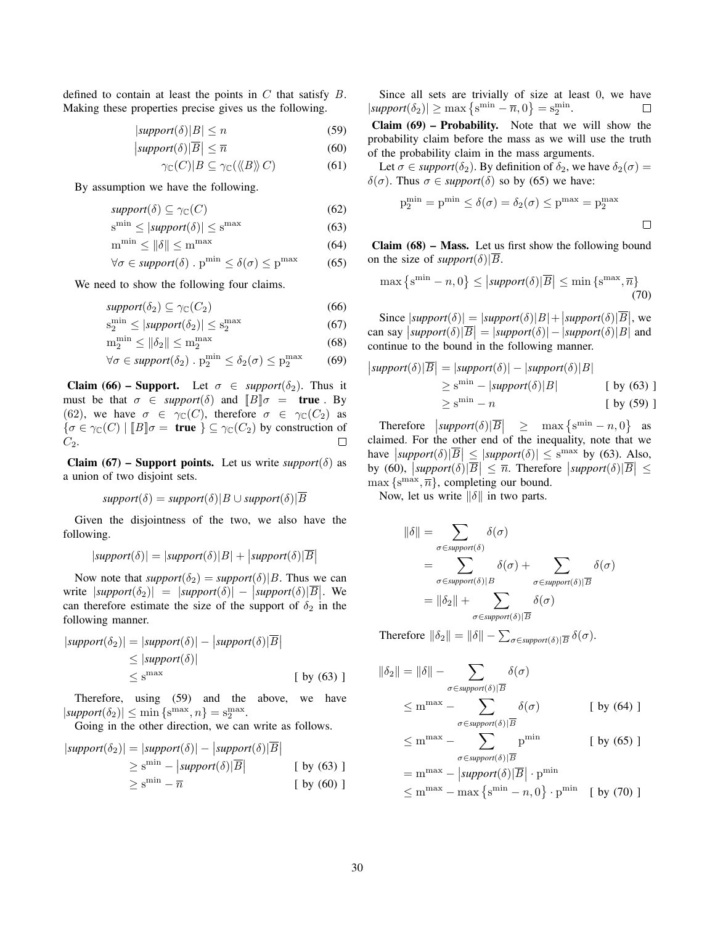defined to contain at least the points in  $C$  that satisfy  $B$ . Making these properties precise gives us the following.

$$
|support(\delta)|B| \le n \tag{59}
$$

$$
\left| support(\delta) \right| \overline{B} \right| \le \overline{n} \tag{60}
$$

$$
\gamma_{\mathbb{C}}(C)|B \subseteq \gamma_{\mathbb{C}}(\langle\!\langle B \rangle\!\rangle C) \tag{61}
$$

By assumption we have the following.

$$
support(\delta) \subseteq \gamma_{\mathbb{C}}(C) \tag{62}
$$

$$
s^{\min} \le |support(\delta)| \le s^{\max} \tag{63}
$$

$$
m^{\min} \le \|\delta\| \le m^{\max} \tag{64}
$$

$$
\forall \sigma \in support(\delta) \cdot p^{min} \le \delta(\sigma) \le p^{max} \tag{65}
$$

We need to show the following four claims.

$$
support(\delta_2) \subseteq \gamma_{\mathbb{C}}(C_2) \tag{66}
$$

$$
s_2^{\min} \le |support(\delta_2)| \le s_2^{\max} \tag{67}
$$

$$
m_2^{\min} \le \|\delta_2\| \le m_2^{\max} \tag{68}
$$

$$
\forall \sigma \in \text{support}(\delta_2) \cdot p_2^{min} \le \delta_2(\sigma) \le p_2^{max} \qquad (69)
$$

**Claim (66) – Support.** Let  $\sigma \in support(\delta_2)$ . Thus it must be that  $\sigma \in support(\delta)$  and  $||B||\sigma = true$ . By (62), we have  $\sigma \in \gamma_{\mathbb{C}}(C)$ , therefore  $\sigma \in \gamma_{\mathbb{C}}(C_2)$  as  $\{\sigma \in \gamma_{\mathbb{C}}(C) \mid [B]\sigma = \text{ true } \} \subseteq \gamma_{\mathbb{C}}(C_2)$  by construction of  $C_2$ .  $\Box$ 

**Claim (67) – Support points.** Let us write  $support(\delta)$  as a union of two disjoint sets.

$$
support(\delta) = support(\delta)|B \cup support(\delta)|\overline{B}
$$

Given the disjointness of the two, we also have the following.

$$
|support(\delta)| = |support(\delta)|B| + |support(\delta)|\overline{B}|
$$

Now note that  $support(\delta_2) = support(\delta)|B$ . Thus we can write  $|support(\delta_2)| = |support(\delta)| - |support(\delta)|\overline{B}|$ . We can therefore estimate the size of the support of  $\delta_2$  in the following manner.

$$
|support(\delta_2)| = |support(\delta)| - |support(\delta)|\overline{B}|
$$
  
\n
$$
\leq |support(\delta)|
$$
  
\n
$$
\leq s^{\max}
$$
 [ by (63) ]

Therefore, using (59) and the above, we have  $|support(\delta_2)| \leq \min\{s^{\max}, n\} = s_2^{\max}.$ 

Going in the other direction, we can write as follows.

$$
|support(\delta_2)| = |support(\delta)| - |support(\delta)|\overline{B}|
$$
  
\n
$$
\geq s^{\min} - |support(\delta)|\overline{B}| \qquad [ by (63) ]
$$
  
\n
$$
\geq s^{\min} - \overline{n} \qquad [ by (60) ]
$$

Since all sets are trivially of size at least 0, we have  $|support(\delta_2)| \geq \max\left\{ \text{s}^{\min} - \overline{n}, 0 \right\} = \text{s}_2^{\min}.$  $\Box$ 

**Claim (69)** – **Probability.** Note that we will show the probability claim before the mass as we will use the truth of the probability claim in the mass arguments.

Let  $\sigma \in support(\delta_2)$ . By definition of  $\delta_2$ , we have  $\delta_2(\sigma)$  = δ(σ). Thus σ ∈ *support*(δ) so by (65) we have:

$$
p_2^{\min} = p^{\min} \le \delta(\sigma) = \delta_2(\sigma) \le p^{\max} = p_2^{\max}
$$

Claim (68) – Mass. Let us first show the following bound on the size of  $support(\delta)|B$ .

$$
\max\left\{\mathbf{s}^{\min} - n, 0\right\} \le \left| support(\delta) | \overline{B} \right| \le \min\left\{\mathbf{s}^{\max}, \overline{n}\right\} \tag{70}
$$

Since  $|support(\delta)| = |support(\delta)|B| + |support(\delta)|\overline{B}|$ , we can say  $|support(\delta)|\overline{B}| = |support(\delta)| - |support(\delta)|B|$  and continue to the bound in the following manner.

$$
|support(\delta)|\overline{B}| = |support(\delta)| - |support(\delta)|B|
$$
  
\n
$$
\geq s^{\min} - |support(\delta)|B| \qquad \text{[ by (63) ]}
$$
  
\n
$$
\geq s^{\min} - n \qquad \text{[ by (59) ]}
$$

Therefore  $\left| support(\delta)| \overline{B} \right| \ge \max \left\{ \mathbf{s}^{\min} - n, 0 \right\}$  as claimed. For the other end of the inequality, note that we  $|\text{super}( \delta)| \overline{B}| \leq |\text{support}( \delta)| \leq s^{\text{max}}$  by (63). Also, by (60),  $\left|\text{support}(\delta)|\overline{B}\right| \leq \overline{n}$ . Therefore  $\left|\text{support}(\delta)|\overline{B}\right| \leq$  $\max\{s^{\max}, \overline{n}\},$  completing our bound.

Now, let us write  $\|\delta\|$  in two parts.

$$
\|\delta\| = \sum_{\sigma \in support(\delta)} \delta(\sigma)
$$
  
= 
$$
\sum_{\sigma \in support(\delta)|B} \delta(\sigma) + \sum_{\sigma \in support(\delta)|\overline{B}} \delta(\sigma)
$$
  
= 
$$
\|\delta_2\| + \sum_{\sigma \in support(\delta)|\overline{B}} \delta(\sigma)
$$

Therefore  $\|\delta_2\| = \|\delta\| - \sum_{\sigma \in support(\delta)|} \overline{B} \delta(\sigma)$ .

$$
\|\delta_2\| = \|\delta\| - \sum_{\sigma \in support(\delta) \mid \overline{B}} \delta(\sigma)
$$
  
\$\leq\$ m<sup>max</sup> -  $\sum_{\sigma \in support(\delta) \mid \overline{B}} \delta(\sigma)$  [by (64)]

$$
\leq m^{\max} - \sum_{\sigma \in support(\delta) | \overline{B}} p^{\min} \qquad \qquad [ by (65) ]
$$

$$
= \mathbf{m}^{\max} - |\text{support}(\delta)| \overline{B}| \cdot \mathbf{p}^{\min}
$$
  

$$
\leq \mathbf{m}^{\max} - \max \{ \mathbf{s}^{\min} - n, 0 \} \cdot \mathbf{p}^{\min} \quad [\text{ by (70)}]
$$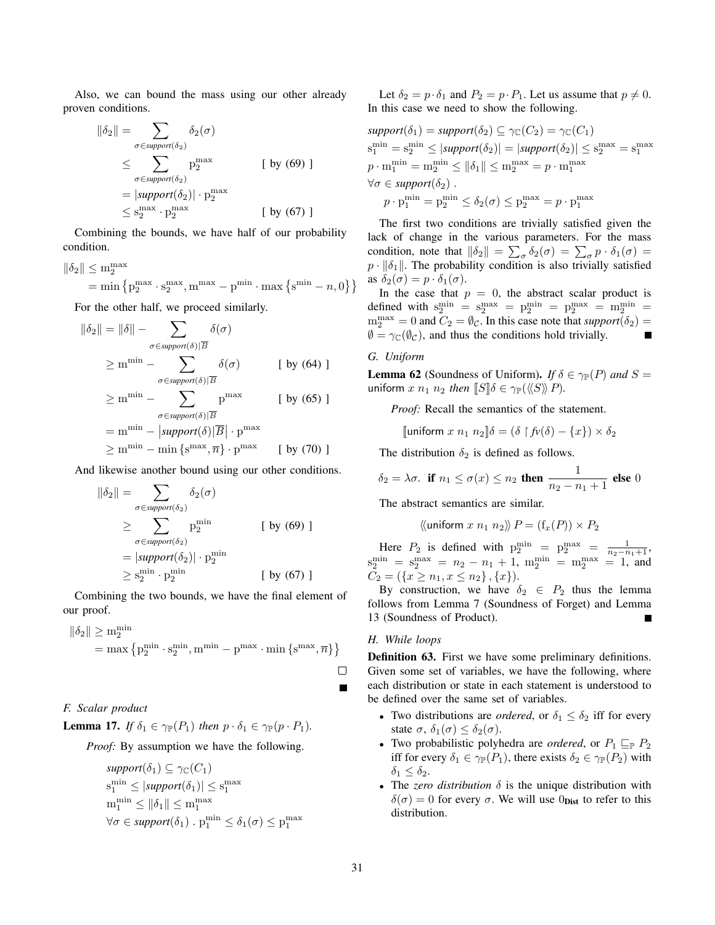Also, we can bound the mass using our other already proven conditions.

$$
\|\delta_2\| = \sum_{\sigma \in support(\delta_2)} \delta_2(\sigma)
$$
  
\n
$$
\leq \sum_{\sigma \in support(\delta_2)} p_2^{\max} \qquad \text{[ by (69) ]}
$$
  
\n
$$
= |support(\delta_2)| \cdot p_2^{\max}
$$
  
\n
$$
\leq s_2^{\max} \cdot p_2^{\max} \qquad \text{[ by (67) ]}
$$

Combining the bounds, we have half of our probability condition.

$$
\|\delta_2\| \le m_2^{\max}
$$
  
= min  $\{p_2^{\max} \cdot s_2^{\max}, m^{\max} - p^{\min} \cdot \max \{s^{\min} - n, 0\}\}\$ 

For the other half, we proceed similarly.

$$
\|\delta_2\| = \|\delta\| - \sum_{\sigma \in support(\delta)|\overline{B}} \delta(\sigma)
$$
  
\n
$$
\ge \text{m}^{\min} - \sum_{\sigma \in support(\delta)|\overline{B}} \delta(\sigma) \qquad \text{[ by (64)]}
$$
  
\n
$$
> \text{m}^{\min} - \sum_{\sigma \in support(\delta)|\overline{B}} \text{m}^{\max} \qquad \text{[ by (65)]}
$$

$$
\geq m^{min} - \sum_{\sigma \in support(\delta) | \overline{B}} p^{max} \qquad \text{[ by (65) ]}
$$

$$
= m^{min} - |support(\delta) | \overline{B}| \cdot p^{max}
$$

$$
\geq m^{min} - min \{s^{max}, \overline{n}\} \cdot p^{max} \qquad \text{[ by (70) ]}
$$

And likewise another bound using our other conditions.

$$
\|\delta_2\| = \sum_{\sigma \in support(\delta_2)} \delta_2(\sigma)
$$
  
\n
$$
\geq \sum_{\sigma \in support(\delta_2)} p_2^{\min} \qquad \text{[ by (69)]}
$$
  
\n
$$
= |support(\delta_2)| \cdot p_2^{\min}
$$
  
\n
$$
\geq s_2^{\min} \cdot p_2^{\min} \qquad \text{[ by (67)]}
$$

Combining the two bounds, we have the final element of our proof.

$$
\begin{aligned} \|\delta_2\| &\geq m_2^{\min} \\ &= \max\left\{p_2^{\min}\cdot s_2^{\min}, m^{\min}-p^{\max}\cdot \min\left\{s^{\max}, \overline{n}\right\}\right\} \end{aligned}
$$

*F. Scalar product*

**Lemma 17.** *If*  $\delta_1 \in \gamma_{\mathbb{P}}(P_1)$  *then*  $p \cdot \delta_1 \in \gamma_{\mathbb{P}}(p \cdot P_1)$ *.* 

*Proof:* By assumption we have the following.

$$
support(\delta_1) \subseteq \gamma_{\mathbb{C}}(C_1)
$$
  
\n
$$
s_1^{\min} \le |support(\delta_1)| \le s_1^{\max}
$$
  
\n
$$
m_1^{\min} \le ||\delta_1|| \le m_1^{\max}
$$
  
\n
$$
\forall \sigma \in support(\delta_1) \cdot p_1^{\min} \le \delta_1(\sigma) \le p_1^{\max}
$$

Let  $\delta_2 = p \cdot \delta_1$  and  $P_2 = p \cdot P_1$ . Let us assume that  $p \neq 0$ . In this case we need to show the following.

$$
support(\delta_1) = support(\delta_2) \subseteq \gamma_{\mathbb{C}}(C_2) = \gamma_{\mathbb{C}}(C_1)
$$
  
\n
$$
s_1^{\min} = s_2^{\min} \le |support(\delta_2)| = |support(\delta_2)| \le s_2^{\max} = s_1^{\max}
$$
  
\n
$$
p \cdot m_1^{\min} = m_2^{\min} \le ||\delta_1|| \le m_2^{\max} = p \cdot m_1^{\max}
$$
  
\n
$$
\forall \sigma \in support(\delta_2) .
$$
  
\n
$$
p \cdot p_1^{\min} = p_2^{\min} \le \delta_2(\sigma) \le p_2^{\max} = p \cdot p_1^{\max}
$$

The first two conditions are trivially satisfied given the lack of change in the various parameters. For the mass condition, note that  $\|\delta_2\| = \sum_{\sigma} \delta_2(\sigma) = \sum_{\sigma} p \cdot \delta_1(\sigma) =$  $p \cdot ||\delta_1||$ . The probability condition is also trivially satisfied as  $\delta_2(\sigma) = p \cdot \delta_1(\sigma)$ .

In the case that  $p = 0$ , the abstract scalar product is defined with  $s_2^{min} = s_2^{max} = p_2^{min} = p_2^{max} = m_2^{min} =$  $m_2^{\text{max}} = 0$  and  $C_2 = \emptyset_c$ . In this case note that *support*( $\delta_2$ ) =  $\emptyset = \gamma_{\mathbb{C}}(\emptyset_{\mathcal{C}})$ , and thus the conditions hold trivially.

#### *G. Uniform*

**Lemma 62** (Soundness of Uniform). *If*  $\delta \in \gamma_{\mathbb{P}}(P)$  *and*  $S =$ uniform  $x \, n_1 \, n_2$  *then*  $\llbracket S \rrbracket \delta \in \gamma_{\mathbb{P}}(\langle\!\langle S \rangle\!\rangle P)$ *.* 

*Proof:* Recall the semantics of the statement.

$$
[\![\text{uniform } x \; n_1 \; n_2]\!] \delta = (\delta \upharpoonright f \mathcal{V}(\delta) - \{x\}) \times \delta_2
$$

The distribution  $\delta_2$  is defined as follows.

$$
\delta_2=\lambda\sigma. \ \ \text{if} \ \ n_1\leq \sigma(x)\leq n_2 \ \ \text{then} \ \ \frac{1}{n_2-n_1+1} \ \ \text{else} \ \ 0
$$

The abstract semantics are similar.

$$
\langle\langle \text{uniform } x \; n_1 \; n_2 \rangle\rangle \; P = (\mathrm{f}_x(P)) \times P_2
$$

Here  $P_2$  is defined with  $p_2^{\min} = p_2^{\max} = \frac{1}{n_2 - n_1 + 1}$ ,  $\mathrm{s}_2^{\mathrm{min}} = \mathrm{s}_2^{\mathrm{max}} = n_2 - n_1 + 1, \ \mathrm{m}_2^{\mathrm{min}} = \mathrm{m}_2^{\mathrm{max}} = 1, \text{ and}$  $C_2 = (\{x \ge n_1, x \le n_2\}, \{x\}).$ 

By construction, we have  $\delta_2 \in P_2$  thus the lemma follows from Lemma 7 (Soundness of Forget) and Lemma 13 (Soundness of Product).

#### *H. While loops*

Definition 63. First we have some preliminary definitions. Given some set of variables, we have the following, where each distribution or state in each statement is understood to be defined over the same set of variables.

- Two distributions are *ordered*, or  $\delta_1 \leq \delta_2$  iff for every state  $\sigma$ ,  $\delta_1(\sigma) \leq \delta_2(\sigma)$ .
- Two probabilistic polyhedra are *ordered*, or  $P_1 \sqsubseteq_{\mathbb{P}} P_2$ iff for every  $\delta_1 \in \gamma_{\mathbb{P}}(P_1)$ , there exists  $\delta_2 \in \gamma_{\mathbb{P}}(P_2)$  with  $\delta_1 \leq \delta_2$ .
- The *zero distribution*  $\delta$  is the unique distribution with  $\delta(\sigma) = 0$  for every  $\sigma$ . We will use  $0_{\text{Dist}}$  to refer to this distribution.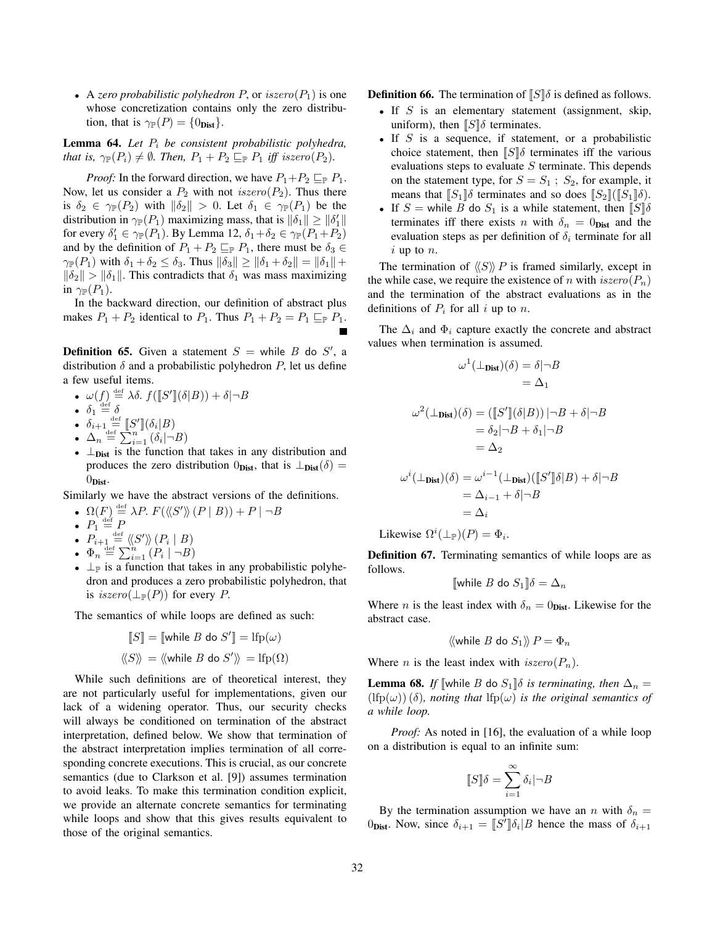• A *zero probabilistic polyhedron*  $P$ , or *iszero* $(P_1)$  is one whose concretization contains only the zero distribution, that is  $\gamma_{\mathbb{P}}(P) = \{0_{\text{Dist}}\}.$ 

Lemma 64. *Let* P<sup>i</sup> *be consistent probabilistic polyhedra, that is,*  $\gamma_{\mathbb{P}}(P_i) \neq \emptyset$ *. Then,*  $P_1 + P_2 \sqsubseteq_{\mathbb{P}} P_1$  *iff iszero*( $P_2$ )*.* 

*Proof:* In the forward direction, we have  $P_1+P_2 \sqsubseteq_{\mathbb{P}} P_1$ . Now, let us consider a  $P_2$  with not *iszero*( $P_2$ ). Thus there is  $\delta_2 \in \gamma_{\mathbb{P}}(P_2)$  with  $\|\delta_2\| > 0$ . Let  $\delta_1 \in \gamma_{\mathbb{P}}(P_1)$  be the distribution in  $\gamma_{\mathbb{P}}(P_1)$  maximizing mass, that is  $\|\delta_1\| \ge \|\delta_1'\|$ for every  $\delta_1' \in \gamma_{\mathbb{P}}(P_1)$ . By Lemma 12,  $\delta_1 + \delta_2 \in \gamma_{\mathbb{P}}(P_1 + P_2)$ and by the definition of  $P_1 + P_2 \sqsubseteq_{\mathbb{P}} P_1$ , there must be  $\delta_3 \in$  $\gamma_{\mathbb{P}}(P_1)$  with  $\delta_1 + \delta_2 \leq \delta_3$ . Thus  $\|\delta_3\| \geq \|\delta_1 + \delta_2\| = \|\delta_1\| +$  $\|\delta_2\| > \|\delta_1\|$ . This contradicts that  $\delta_1$  was mass maximizing in  $\gamma_{\mathbb{P}}(P_1)$ .

In the backward direction, our definition of abstract plus makes  $P_1 + P_2$  identical to  $P_1$ . Thus  $P_1 + P_2 = P_1 \sqsubseteq_{\mathbb{P}} P_1$ .

**Definition 65.** Given a statement  $S =$  while B do S', a distribution  $\delta$  and a probabilistic polyhedron P, let us define a few useful items.

- $\omega(f) \stackrel{\text{def}}{=} \lambda \delta$ .  $f(\llbracket S' \rrbracket(\delta | B)) + \delta |\neg B$
- $\delta_1 \stackrel{\text{def}}{=} \delta$
- $\delta_{i+1} \stackrel{\text{def}}{=} [S'](\delta_i|B)$
- $\Delta_n \stackrel{\text{def}}{=} \sum_{i=1}^n (\delta_i | \neg B)$
- $\perp_{\text{Dist}}$  is the function that takes in any distribution and produces the zero distribution 0<sub>Dist</sub>, that is  $\perp_{\text{Dist}}(\delta)$  =  $0_{\text{Dist}}$ .

Similarly we have the abstract versions of the definitions.

- $\Omega(F) \stackrel{\text{def}}{=} \lambda P. F(\langle\!\langle S'\rangle\!\rangle (P | B)) + P | \neg B$
- $P_1 \stackrel{\text{def}}{=} P$
- $P_{i+1} \stackrel{\text{def}}{=} \langle \langle S' \rangle \rangle (P_i \mid B)$
- $\Phi_n \stackrel{\text{def}}{=} \sum_{i=1}^n (P_i \mid \neg B)$
- $\perp_{\mathbb{P}}$  is a function that takes in any probabilistic polyhedron and produces a zero probabilistic polyhedron, that is  $iszero(\perp_{\mathbb{P}}(P))$  for every P.

The semantics of while loops are defined as such:

$$
\llbracket S \rrbracket = \llbracket \text{while } B \text{ do } S' \rrbracket = \text{Ifp}(\omega)
$$

$$
\langle\!\langle S \rangle\!\rangle = \langle\!\langle \text{while } B \text{ do } S' \rangle\!\rangle = \text{Ifp}(\Omega)
$$

While such definitions are of theoretical interest, they are not particularly useful for implementations, given our lack of a widening operator. Thus, our security checks will always be conditioned on termination of the abstract interpretation, defined below. We show that termination of the abstract interpretation implies termination of all corresponding concrete executions. This is crucial, as our concrete semantics (due to Clarkson et al. [9]) assumes termination to avoid leaks. To make this termination condition explicit, we provide an alternate concrete semantics for terminating while loops and show that this gives results equivalent to those of the original semantics.

**Definition 66.** The termination of  $\llbracket S \rrbracket \delta$  is defined as follows.

- If  $S$  is an elementary statement (assignment, skip, uniform), then  $\llbracket S \rrbracket \delta$  terminates.
- If  $S$  is a sequence, if statement, or a probabilistic choice statement, then  $\llbracket S \rrbracket \delta$  terminates iff the various evaluations steps to evaluate  $S$  terminate. This depends on the statement type, for  $S = S_1$ ;  $S_2$ , for example, it means that  $[[S_1]]\delta$  terminates and so does  $[[S_2]][[S_1]]\delta$ ).
- If  $S =$  while B do  $S_1$  is a while statement, then  $\llbracket S \rrbracket \delta$ terminates iff there exists n with  $\delta_n = 0$  Dist and the evaluation steps as per definition of  $\delta_i$  terminate for all  $i$  up to  $n$ .

The termination of  $\langle S \rangle$  P is framed similarly, except in the while case, we require the existence of n with  $iszero(P_n)$ and the termination of the abstract evaluations as in the definitions of  $P_i$  for all i up to n.

The  $\Delta_i$  and  $\Phi_i$  capture exactly the concrete and abstract values when termination is assumed.

$$
\omega^1(\perp_{\text{Dist}})(\delta) = \delta | \neg B
$$
  
\n
$$
= \Delta_1
$$
  
\n
$$
\omega^2(\perp_{\text{Dist}})(\delta) = (\llbracket S' \rrbracket(\delta | B)) | \neg B + \delta | \neg B
$$
  
\n
$$
= \delta_2 | \neg B + \delta_1 | \neg B
$$
  
\n
$$
= \Delta_2
$$
  
\n
$$
(\perp_{\text{Dist}})(\delta) = \omega^{i-1}(\perp_{\text{Dist}})(\llbracket S' \rrbracket \delta | B) + \delta | \neg B
$$
  
\n
$$
= \Delta_{i-1} + \delta | \neg B
$$

Likewise  $\Omega^i(\perp_{\mathbb{P}})(P) = \Phi_i$ .

 $\omega^i$ 

Definition 67. Terminating semantics of while loops are as follows.

$$
[while B do S_1] \delta = \Delta_n
$$

Where *n* is the least index with  $\delta_n = 0$  pist. Likewise for the abstract case.

$$
\langle\!\langle \text{while }B\text{ do }S_1\rangle\!\rangle P = \Phi_n
$$

Where *n* is the least index with  $iszero(P_n)$ .

 $=\Delta_i$ 

**Lemma 68.** *If* [while *B* do  $S_1$ ]  $\delta$  *is terminating, then*  $\Delta_n =$  $(\text{lfp}(\omega))(\delta)$ *, noting that*  $\text{lfp}(\omega)$  *is the original semantics of a while loop.*

*Proof:* As noted in [16], the evaluation of a while loop on a distribution is equal to an infinite sum:

$$
[\![S]\!]\delta = \sum_{i=1}^\infty \delta_i | \neg B
$$

By the termination assumption we have an n with  $\delta_n =$  $0_{\text{Dist}}$ . Now, since  $\delta_{i+1} = [S'] \delta_i | B$  hence the mass of  $\delta_{i+1}$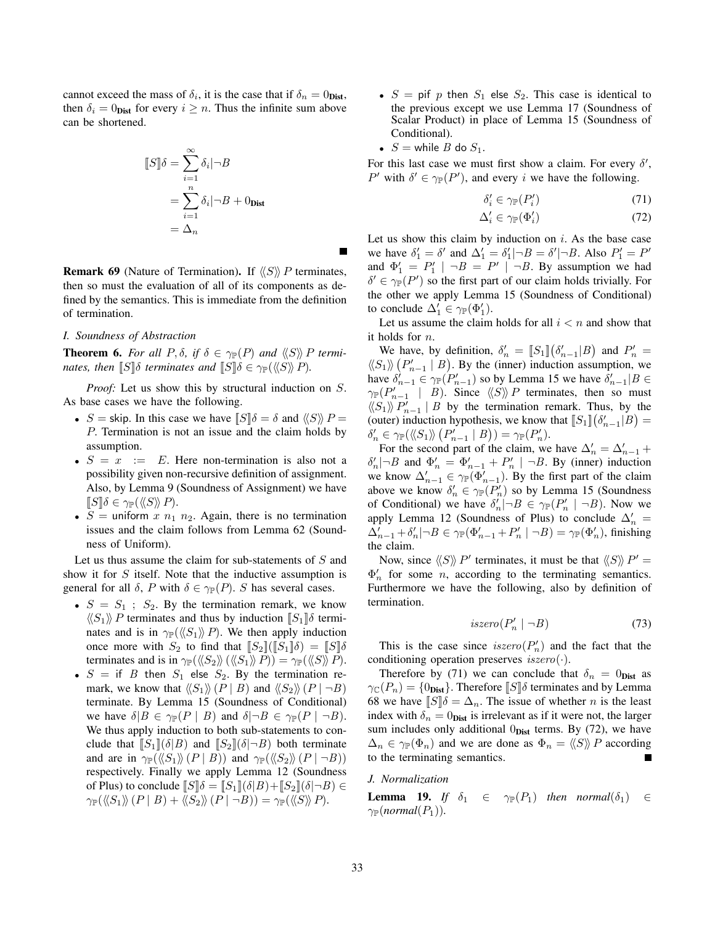cannot exceed the mass of  $\delta_i$ , it is the case that if  $\delta_n = 0$  pist, then  $\delta_i = 0$ **p**ist for every  $i \geq n$ . Thus the infinite sum above can be shortened.

$$
[\![S]\!] \delta = \sum_{i=1}^{\infty} \delta_i | \neg B
$$

$$
= \sum_{i=1}^{n} \delta_i | \neg B + 0_{\text{Dist}}
$$

$$
= \Delta_n
$$

**Remark 69** (Nature of Termination). If  $\langle S \rangle$  P terminates, then so must the evaluation of all of its components as defined by the semantics. This is immediate from the definition of termination.

#### *I. Soundness of Abstraction*

**Theorem 6.** For all P,  $\delta$ , if  $\delta \in \gamma_{\mathbb{P}}(P)$  and  $\langle\langle S \rangle\rangle$  P termi*nates, then*  $\llbracket S \rrbracket \delta$  *terminates and*  $\llbracket S \rrbracket \delta \in \gamma_{\mathbb{P}}(\langle \langle S \rangle \rangle P)$ *.* 

*Proof:* Let us show this by structural induction on S. As base cases we have the following.

- S = skip. In this case we have  $\llbracket S \rrbracket \delta = \delta$  and  $\langle\langle S \rangle \rangle$  P = P. Termination is not an issue and the claim holds by assumption.
- $S = x := E$ . Here non-termination is also not a possibility given non-recursive definition of assignment. Also, by Lemma 9 (Soundness of Assignment) we have  $\llbracket S \rrbracket \delta \in \gamma_{\mathbb{P}}(\langle\!\langle S \rangle\!\rangle P).$
- $S =$  uniform  $x \nvert n_1 \nvert n_2$ . Again, there is no termination issues and the claim follows from Lemma 62 (Soundness of Uniform).

Let us thus assume the claim for sub-statements of S and show it for S itself. Note that the inductive assumption is general for all  $\delta$ , P with  $\delta \in \gamma_{\mathbb{P}}(P)$ . S has several cases.

- $S = S_1$ ;  $S_2$ . By the termination remark, we know  $\langle S_1 \rangle$  P terminates and thus by induction  $\llbracket S_1 \rrbracket \delta$  terminates and is in  $\gamma_{\mathbb{P}}(\langle\langle S_1 \rangle\rangle P)$ . We then apply induction once more with  $S_2$  to find that  $[[S_2]([S_1]\delta) = [[S]]\delta$ terminates and is in  $\gamma_{\mathbb{P}}(\langle\langle S_2 \rangle\rangle(\langle\langle S_1 \rangle\rangle P)) = \gamma_{\mathbb{P}}(\langle\langle S \rangle\rangle P).$
- $S =$  if B then  $S_1$  else  $S_2$ . By the termination remark, we know that  $\langle S_1 \rangle \rangle (P | B)$  and  $\langle S_2 \rangle \rangle (P | \neg B)$ terminate. By Lemma 15 (Soundness of Conditional) we have  $\delta |B \in \gamma_{\mathbb{P}}(P | B)$  and  $\delta | \neg B \in \gamma_{\mathbb{P}}(P | \neg B)$ . We thus apply induction to both sub-statements to conclude that  $[[S_1]](\delta|B)$  and  $[[S_2]](\delta|\neg B)$  both terminate and are in  $\gamma_{\mathbb{P}}(\langle\!\langle S_1 \rangle\!\rangle(P | B))$  and  $\gamma_{\mathbb{P}}(\langle\!\langle S_2 \rangle\!\rangle(P | \neg B))$ respectively. Finally we apply Lemma 12 (Soundness of Plus) to conclude  $\llbracket S \rrbracket \delta = \llbracket S_1 \rrbracket (\delta | B) + \llbracket S_2 \rrbracket (\delta | \neg B) \in$  $\gamma_{\mathbb{P}}(\langle\!\langle S_1 \rangle\!\rangle (P | B) + \langle\!\langle S_2 \rangle\!\rangle (P | \neg B)) = \gamma_{\mathbb{P}}(\langle\!\langle S \rangle\!\rangle P).$
- $S = \text{pif } p \text{ then } S_1$  else  $S_2$ . This case is identical to the previous except we use Lemma 17 (Soundness of Scalar Product) in place of Lemma 15 (Soundness of Conditional).
- $S =$  while B do  $S_1$ .

For this last case we must first show a claim. For every  $\delta'$ , P' with  $\delta' \in \gamma_{\mathbb{P}}(P')$ , and every i we have the following.

$$
\delta_i' \in \gamma_{\mathbb{P}}(P_i') \tag{71}
$$

$$
\Delta_i' \in \gamma_{\mathbb{P}}(\Phi_i') \tag{72}
$$

Let us show this claim by induction on  $i$ . As the base case we have  $\delta_1' = \delta'$  and  $\Delta_1' = \delta_1' | \neg B = \delta' | \neg B$ . Also  $P_1' = P'$ and  $\Phi'_1 = P'_1 | \neg B = P' | \neg B$ . By assumption we had  $\delta' \in \gamma_{\mathbb{P}}(P')$  so the first part of our claim holds trivially. For the other we apply Lemma 15 (Soundness of Conditional) to conclude  $\Delta'_1 \in \gamma_{\mathbb{P}}(\Phi'_1)$ .

Let us assume the claim holds for all  $i < n$  and show that it holds for n.

We have, by definition,  $\delta'_n = [S_1] \delta'_{n-1} |B|$  and  $P'_n =$  $\langle S_1 \rangle \rangle$   $(P'_{n-1} | B)$ . By the (inner) induction assumption, we have  $\delta_{n-1}^{\prime} \in \gamma_{\mathbb{P}}(P_{n-1}^{\prime})$  so by Lemma 15 we have  $\delta_{n-1}^{\prime} | B \in$  $\gamma_{\mathbb{P}}(P'_{n-1} \mid B)$ . Since  $\langle\langle S \rangle\rangle P$  terminates, then so must  $\langle S_1 \rangle P'_{n-1}$  | B by the termination remark. Thus, by the (outer) induction hypothesis, we know that  $[[S_1]](\delta'_{n-1}|B) =$  $\delta'_n \in \gamma_{\mathbb{P}}(\langle\!\langle S_1 \rangle\!\rangle \left(P'_{n-1} \mid B\right)) = \gamma_{\mathbb{P}}(P'_n).$ 

For the second part of the claim, we have  $\Delta'_n = \Delta'_{n-1}$  +  $\delta'_n$   $\neg B$  and  $\Phi'_n = \Phi'_{n-1} + P'_n$   $\neg B$ . By (inner) induction we know  $\Delta'_{n-1} \in \gamma_{\mathbb{P}}(\Phi'_{n-1})$ . By the first part of the claim above we know  $\delta'_n \in \gamma_{\mathbb{P}}(P'_n)$  so by Lemma 15 (Soundness of Conditional) we have  $\delta'_n | \neg B \in \gamma_{\mathbb{P}}(P'_n | \neg B)$ . Now we apply Lemma 12 (Soundness of Plus) to conclude  $\Delta'_n =$  $\Delta'_{n-1} + \delta'_n \vert \neg B \in \gamma_{\mathbb{P}}(\Phi'_{n-1} + P'_n \vert \neg B) = \gamma_{\mathbb{P}}(\Phi'_n)$ , finishing the claim.

Now, since  $\langle S \rangle P'$  terminates, it must be that  $\langle S \rangle P' =$  $\Phi'_n$  for some *n*, according to the terminating semantics. Furthermore we have the following, also by definition of termination.

$$
iszero(P'_n \mid \neg B) \tag{73}
$$

This is the case since  $iszero(P_n')$  and the fact that the conditioning operation preserves  $iszero(\cdot)$ .

Therefore by (71) we can conclude that  $\delta_n = 0$ <sub>Dist</sub> as  $\gamma_{\mathbb{C}}(P_n) = \{0_{\text{Dist}}\}$ . Therefore [S] δ terminates and by Lemma 68 we have  $\llbracket S \rrbracket \delta = \Delta_n$ . The issue of whether *n* is the least index with  $\delta_n = 0$  is irrelevant as if it were not, the larger sum includes only additional  $0_{Dist}$  terms. By (72), we have  $\Delta_n \in \gamma_{\mathbb{P}}(\Phi_n)$  and we are done as  $\Phi_n = \langle\langle S \rangle\rangle$  P according to the terminating semantics. Ξ

#### *J. Normalization*

**Lemma 19.** *If*  $\delta_1 \in \gamma_{\mathbb{P}}(P_1)$  *then normal* $(\delta_1) \in$  $\gamma_{\mathbb{P}}(normal(P_1)).$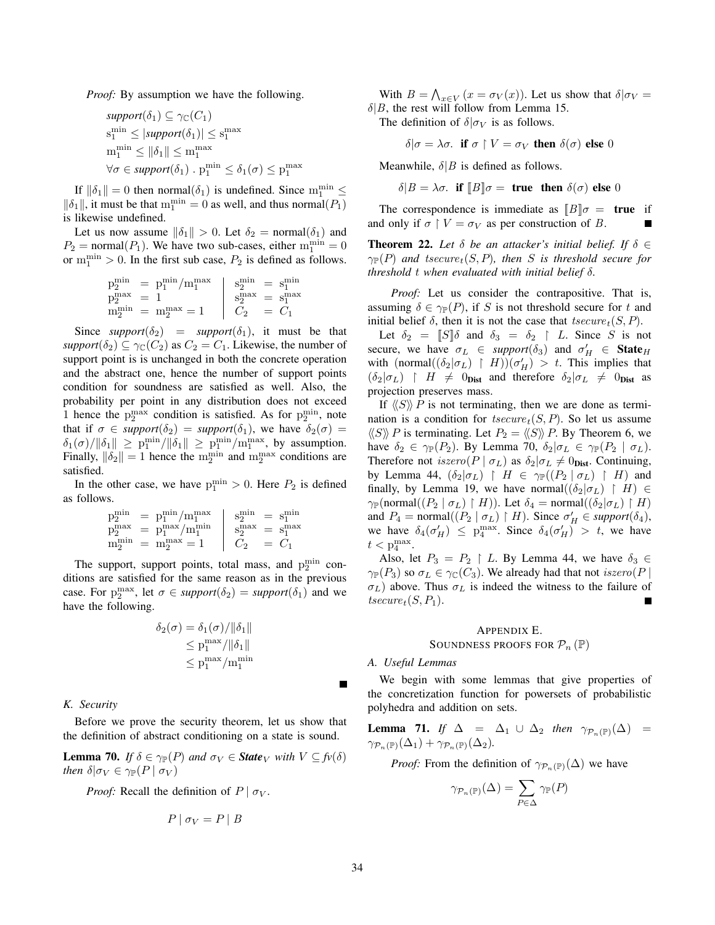*Proof:* By assumption we have the following.

$$
support(\delta_1) \subseteq \gamma_{\mathbb{C}}(C_1)
$$
  
\n
$$
s_1^{\min} \le |support(\delta_1)| \le s_1^{\max}
$$
  
\n
$$
m_1^{\min} \le ||\delta_1|| \le m_1^{\max}
$$
  
\n
$$
\forall \sigma \in support(\delta_1) \cdot p_1^{\min} \le \delta_1(\sigma) \le p_1^{\max}
$$

If  $\|\delta_1\| = 0$  then normal $(\delta_1)$  is undefined. Since  $m_1^{min} \le$  $\|\delta_1\|$ , it must be that  $m_1^{\min} = 0$  as well, and thus normal $(P_1)$ is likewise undefined.

Let us now assume  $\|\delta_1\| > 0$ . Let  $\delta_2$  = normal( $\delta_1$ ) and  $P_2 = \text{normal}(P_1)$ . We have two sub-cases, either  $m_1^{\text{min}} = 0$ or  $m_1^{\text{min}} > 0$ . In the first sub case,  $P_2$  is defined as follows.

$$
p_2^{\min} = p_1^{\min} / m_1^{\max} \n\begin{array}{c} \n\text{s}_2^{\min} = \text{s}_1^{\min} \\
\text{s}_2^{\min} = \text{s}_1^{\max} \\
\text{m}_2^{\min} = \text{m}_2^{\max} = 1 \n\end{array}
$$
\n
$$
\begin{array}{c} \n\text{s}_2^{\min} = \text{s}_1^{\min} \\
\text{s}_2^{\max} = \text{s}_1^{\max} \\
\text{C}_2 = \text{C}_1\n\end{array}
$$

Since  $support(\delta_2)$  =  $support(\delta_1)$ , it must be that  $support(\delta_2) \subseteq \gamma_{\mathbb{C}}(C_2)$  as  $C_2 = C_1$ . Likewise, the number of support point is is unchanged in both the concrete operation and the abstract one, hence the number of support points condition for soundness are satisfied as well. Also, the probability per point in any distribution does not exceed 1 hence the  $p_2^{\max}$  condition is satisfied. As for  $p_2^{\min}$ , note that if  $\sigma \in support(\delta_2) = support(\delta_1)$ , we have  $\delta_2(\sigma) =$  $\delta_1(\sigma)/\|\delta_1\| \ge p_1^{\min}/\|\delta_1\| \ge p_1^{\min}/m_1^{\max}$ , by assumption. Finally,  $\|\delta_2\| = 1$  hence the  $m_2^{\text{min}}$  and  $m_2^{\text{max}}$  conditions are satisfied.

In the other case, we have  $p_1^{\text{min}} > 0$ . Here  $P_2$  is defined as follows.

$$
p_2^{\min} = p_1^{\min} / m_1^{\max} \n\begin{array}{c} \n\text{s}_2^{\min} = \text{s}_1^{\min} \\
\text{s}_2^{\min} = \text{s}_1^{\min} \\
\text{m}_2^{\min} = \text{m}_2^{\max} = 1 \n\end{array}
$$
\n
$$
s_2^{\min} = s_1^{\min}
$$
\n
$$
s_2^{\max} = s_1^{\max}
$$

The support, support points, total mass, and  $p_2^{\min}$  conditions are satisfied for the same reason as in the previous case. For  $p_2^{\text{max}}$ , let  $\sigma \in support(\delta_2) = support(\delta_1)$  and we have the following.

$$
\delta_2(\sigma) = \delta_1(\sigma) / \|\delta_1\|
$$
  
\n
$$
\leq p_1^{\max} / \|\delta_1\|
$$
  
\n
$$
\leq p_1^{\max} / m_1^{\min}
$$

### *K. Security*

Before we prove the security theorem, let us show that the definition of abstract conditioning on a state is sound.

**Lemma 70.** *If*  $\delta \in \gamma_{\mathbb{P}}(P)$  *and*  $\sigma_V \in$  *State*<sub>V</sub> *with*  $V \subseteq f_V(\delta)$ *then*  $\delta | \sigma_V \in \gamma_{\mathbb{P}}(P | \sigma_V)$ 

*Proof:* Recall the definition of  $P | \sigma_V$ .

$$
P \mid \sigma_V = P \mid B
$$

With  $B = \bigwedge_{x \in V} (x = \sigma_V(x))$ . Let us show that  $\delta | \sigma_V =$  $\delta|B$ , the rest will follow from Lemma 15.

The definition of  $\delta|\sigma_V$  is as follows.

$$
\delta|\sigma = \lambda\sigma.
$$
 if  $\sigma \restriction V = \sigma_V$  then  $\delta(\sigma)$  else 0

Meanwhile,  $\delta |B|$  is defined as follows.

 $\delta |B| = \lambda \sigma$ . if  $||B||\sigma| =$  true then  $\delta(\sigma)$  else 0

The correspondence is immediate as  $||B||_{\sigma} =$  true if and only if  $\sigma \restriction V = \sigma_V$  as per construction of B.

**Theorem 22.** Let  $\delta$  be an attacker's initial belief. If  $\delta \in$  $\gamma_{\mathbb{P}}(P)$  *and tsecure<sub>t</sub>*(*S, P*)*, then S is threshold secure for threshold* t *when evaluated with initial belief* δ*.*

*Proof:* Let us consider the contrapositive. That is, assuming  $\delta \in \gamma_{\mathbb{P}}(P)$ , if S is not threshold secure for t and initial belief  $\delta$ , then it is not the case that  $tsecure_t(S, P)$ .

Let  $\delta_2 = [S]\delta$  and  $\delta_3 = \delta_2 \restriction L$ . Since S is not secure, we have  $\sigma_L \in support(\delta_3)$  and  $\sigma'_H \in State_H$ with  $(\text{normal}((\delta_2 | \sigma_L) \restriction H))(\sigma'_H) > t$ . This implies that  $(\delta_2|\sigma_L)$  |  $H \neq 0$ Dist and therefore  $\delta_2|\sigma_L \neq 0$ Dist as projection preserves mass.

If  $\langle S \rangle$  P is not terminating, then we are done as termination is a condition for  $tsecure_t(S, P)$ . So let us assume  $\langle S \rangle$  P is terminating. Let  $P_2 = \langle S \rangle$  P. By Theorem 6, we have  $\delta_2 \in \gamma_{\mathbb{P}}(P_2)$ . By Lemma 70,  $\delta_2 | \sigma_L \in \gamma_{\mathbb{P}}(P_2 | \sigma_L)$ . Therefore not *iszero*( $P | \sigma_L$ ) as  $\delta_2 | \sigma_L \neq 0$ <sub>Dist</sub>. Continuing, by Lemma 44,  $(\delta_2 | \sigma_L)$  |  $H \in \gamma_{\mathbb{P}}((P_2 | \sigma_L) | H)$  and finally, by Lemma 19, we have normal $((\delta_2 | \sigma_L) \restriction H) \in$  $\gamma_{\mathbb{P}}(\text{normal}((P_2 \mid \sigma_L) \upharpoonright H))$ . Let  $\delta_4 = \text{normal}((\delta_2 | \sigma_L) \upharpoonright H)$ and  $P_4 = \text{normal}((P_2 | \sigma_L) | H)$ . Since  $\sigma'_H \in support(\delta_4)$ , we have  $\delta_4(\sigma'_H) \leq p_4^{\max}$ . Since  $\delta_4(\sigma'_H) > t$ , we have  $t < p_4^{\max}$ .

Also, let  $P_3 = P_2 \restriction L$ . By Lemma 44, we have  $\delta_3 \in$  $\gamma_{\mathbb{P}}(P_3)$  so  $\sigma_L \in \gamma_{\mathbb{C}}(C_3)$ . We already had that not *iszero*(P)  $\sigma_L$ ) above. Thus  $\sigma_L$  is indeed the witness to the failure of  $tsecure_t(S, P_1)$ .

### APPENDIX E.

# SOUNDNESS PROOFS FOR  $\mathcal{P}_n(\mathbb{P})$

#### *A. Useful Lemmas*

We begin with some lemmas that give properties of the concretization function for powersets of probabilistic polyhedra and addition on sets.

**Lemma 71.** *If*  $\Delta = \Delta_1 \cup \Delta_2$  *then*  $\gamma_{\mathcal{P}_n(\mathbb{P})}(\Delta)$  =  $\gamma_{\mathcal{P}_n(\mathbb{P})}(\Delta_1) + \gamma_{\mathcal{P}_n(\mathbb{P})}(\Delta_2)$ .

*Proof:* From the definition of  $\gamma_{\mathcal{P}_n(\mathbb{P})}(\Delta)$  we have

$$
\gamma_{\mathcal{P}_n(\mathbb{P})}(\Delta) = \sum_{P \in \Delta} \gamma_{\mathbb{P}}(P)
$$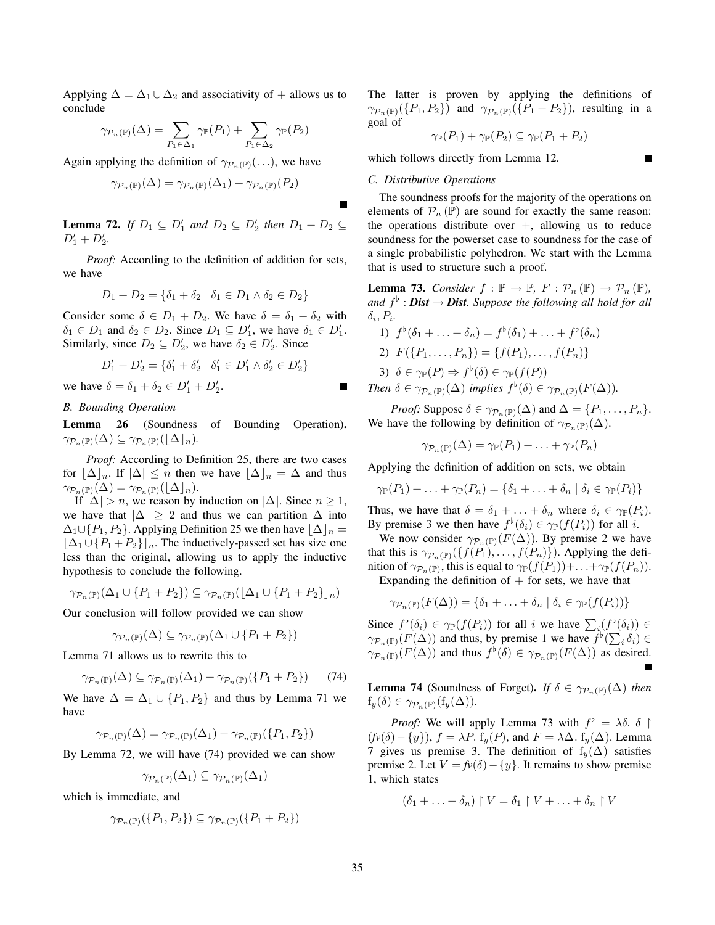Applying  $\Delta = \Delta_1 \cup \Delta_2$  and associativity of + allows us to conclude

$$
\gamma_{\mathcal{P}_n(\mathbb{P})}(\Delta) = \sum_{P_1 \in \Delta_1} \gamma_{\mathbb{P}}(P_1) + \sum_{P_1 \in \Delta_2} \gamma_{\mathbb{P}}(P_2)
$$

Again applying the definition of  $\gamma_{\mathcal{P}_n(\mathbb{P})}(\ldots)$ , we have

$$
\gamma_{\mathcal{P}_n(\mathbb{P})}(\Delta) = \gamma_{\mathcal{P}_n(\mathbb{P})}(\Delta_1) + \gamma_{\mathcal{P}_n(\mathbb{P})}(P_2)
$$

**Lemma 72.** *If*  $D_1 \subseteq D'_1$  *and*  $D_2 \subseteq D'_2$  *then*  $D_1 + D_2 \subseteq D'_2$  $D'_1 + D'_2.$ 

*Proof:* According to the definition of addition for sets, we have

$$
D_1 + D_2 = \{ \delta_1 + \delta_2 \mid \delta_1 \in D_1 \land \delta_2 \in D_2 \}
$$

Consider some  $\delta \in D_1 + D_2$ . We have  $\delta = \delta_1 + \delta_2$  with  $\delta_1 \in D_1$  and  $\delta_2 \in D_2$ . Since  $D_1 \subseteq D'_1$ , we have  $\delta_1 \in D'_1$ . Similarly, since  $D_2 \subseteq D'_2$ , we have  $\delta_2 \in D'_2$ . Since

$$
D'_1 + D'_2 = \{ \delta'_1 + \delta'_2 \mid \delta'_1 \in D'_1 \land \delta'_2 \in D'_2 \}
$$
  
we have  $\delta = \delta_1 + \delta_2 \in D'_1 + D'_2$ .

*B. Bounding Operation*

Lemma 26 (Soundness of Bounding Operation).  $\gamma_{\mathcal{P}_n(\mathbb{P})}(\Delta) \subseteq \gamma_{\mathcal{P}_n(\mathbb{P})}(\lfloor \Delta \rfloor_n).$ 

*Proof:* According to Definition 25, there are two cases for  $\lfloor \Delta \rfloor_n$ . If  $|\Delta| \leq n$  then we have  $\lfloor \Delta \rfloor_n = \Delta$  and thus  $\gamma_{\mathcal{P}_n(\mathbb{P})}(\Delta) = \gamma_{\mathcal{P}_n(\mathbb{P})}(\lfloor \Delta \rfloor_n).$ 

If  $|\Delta| > n$ , we reason by induction on  $|\Delta|$ . Since  $n \geq 1$ , we have that  $|\Delta| \geq 2$  and thus we can partition  $\Delta$  into  $\Delta_1 \cup \{P_1, P_2\}$ . Applying Definition 25 we then have  $\Delta \vert_n =$  $\Delta_1 \cup \{P_1 + P_2\}\vert_n$ . The inductively-passed set has size one less than the original, allowing us to apply the inductive hypothesis to conclude the following.

$$
\gamma_{\mathcal{P}_n(\mathbb{P})}(\Delta_1 \cup \{P_1 + P_2\}) \subseteq \gamma_{\mathcal{P}_n(\mathbb{P})}(\lfloor \Delta_1 \cup \{P_1 + P_2\} \rfloor_n)
$$

Our conclusion will follow provided we can show

$$
\gamma_{\mathcal{P}_n(\mathbb{P})}(\Delta) \subseteq \gamma_{\mathcal{P}_n(\mathbb{P})}(\Delta_1 \cup \{P_1 + P_2\})
$$

Lemma 71 allows us to rewrite this to

$$
\gamma_{\mathcal{P}_n(\mathbb{P})}(\Delta) \subseteq \gamma_{\mathcal{P}_n(\mathbb{P})}(\Delta_1) + \gamma_{\mathcal{P}_n(\mathbb{P})}(\{P_1 + P_2\}) \tag{74}
$$

We have  $\Delta = \Delta_1 \cup \{P_1, P_2\}$  and thus by Lemma 71 we have

$$
\gamma_{\mathcal{P}_n(\mathbb{P})}(\Delta) = \gamma_{\mathcal{P}_n(\mathbb{P})}(\Delta_1) + \gamma_{\mathcal{P}_n(\mathbb{P})}(\{P_1, P_2\})
$$

By Lemma 72, we will have (74) provided we can show

$$
\gamma_{\mathcal{P}_n(\mathbb{P})}(\Delta_1) \subseteq \gamma_{\mathcal{P}_n(\mathbb{P})}(\Delta_1)
$$

which is immediate, and

$$
\gamma_{\mathcal{P}_n(\mathbb{P})}(\{P_1, P_2\}) \subseteq \gamma_{\mathcal{P}_n(\mathbb{P})}(\{P_1 + P_2\})
$$

The latter is proven by applying the definitions of  $\gamma_{\mathcal{P}_n(\mathbb{P})}(\lbrace P_1, P_2 \rbrace)$  and  $\gamma_{\mathcal{P}_n(\mathbb{P})}(\lbrace P_1 + P_2 \rbrace)$ , resulting in a goal of

$$
\gamma_{\mathbb{P}}(P_1) + \gamma_{\mathbb{P}}(P_2) \subseteq \gamma_{\mathbb{P}}(P_1 + P_2)
$$

П

which follows directly from Lemma 12.

# *C. Distributive Operations*

The soundness proofs for the majority of the operations on elements of  $\mathcal{P}_n(\mathbb{P})$  are sound for exactly the same reason: the operations distribute over  $+$ , allowing us to reduce soundness for the powerset case to soundness for the case of a single probabilistic polyhedron. We start with the Lemma that is used to structure such a proof.

**Lemma 73.** *Consider*  $f : \mathbb{P} \to \mathbb{P}$ ,  $F : \mathcal{P}_n(\mathbb{P}) \to \mathcal{P}_n(\mathbb{P})$ , and  $f^{\flat}$  : **Dist**  $\rightarrow$  **Dist**. Suppose the following all hold for all  $\delta_i, P_i$ .

1)  $f^{\flat}(\delta_1 + \ldots + \delta_n) = f^{\flat}(\delta_1) + \ldots + f^{\flat}(\delta_n)$ 2)  $F({P_1, \ldots, P_n}) = {f(P_1), \ldots, f(P_n)}$ 3)  $\delta \in \gamma_{\mathbb{P}}(P) \Rightarrow f^{\flat}(\delta) \in \gamma_{\mathbb{P}}(f(P))$ *Then*  $\delta \in \gamma_{\mathcal{P}_n(\mathbb{P})}(\Delta)$  *implies*  $f^{\flat}(\delta) \in \gamma_{\mathcal{P}_n(\mathbb{P})}(F(\Delta)).$ 

*Proof:* Suppose  $\delta \in \gamma_{\mathcal{P}_n(\mathbb{P})}(\Delta)$  and  $\Delta = \{P_1, \ldots, P_n\}.$ 

We have the following by definition of  $\gamma_{\mathcal{P}_n(\mathbb{P})}(\Delta)$ .

$$
\gamma_{\mathcal{P}_n(\mathbb{P})}(\Delta) = \gamma_{\mathbb{P}}(P_1) + \ldots + \gamma_{\mathbb{P}}(P_n)
$$

Applying the definition of addition on sets, we obtain

$$
\gamma_{\mathbb{P}}(P_1) + \ldots + \gamma_{\mathbb{P}}(P_n) = \{\delta_1 + \ldots + \delta_n \mid \delta_i \in \gamma_{\mathbb{P}}(P_i)\}\
$$

Thus, we have that  $\delta = \delta_1 + \ldots + \delta_n$  where  $\delta_i \in \gamma_{\mathbb{P}}(P_i)$ . By premise 3 we then have  $f^{\flat}(\delta_i) \in \gamma_{\mathbb{P}}(f(P_i))$  for all *i*.

We now consider  $\gamma_{\mathcal{P}_n(\mathbb{P})}(F(\Delta))$ . By premise 2 we have that this is  $\gamma_{\mathcal{P}_n(\mathbb{P})}(\{f(P_1), \ldots, f(P_n)\})$ . Applying the definition of  $\gamma_{\mathcal{P}_n(\mathbb{P})}$ , this is equal to  $\gamma_{\mathbb{P}}(f(P_1)) + \ldots + \gamma_{\mathbb{P}}(f(P_n))$ .

Expanding the definition of  $+$  for sets, we have that

$$
\gamma_{\mathcal{P}_n(\mathbb{P})}(F(\Delta)) = \{\delta_1 + \ldots + \delta_n \mid \delta_i \in \gamma_{\mathbb{P}}(f(P_i))\}
$$

Since  $f^{\flat}(\delta_i) \in \gamma_{\mathbb{P}}(f(P_i))$  for all i we have  $\sum_i (f^{\flat}(\delta_i)) \in$  $\gamma_{\mathcal{P}_n(\mathbb{P})}(F(\Delta))$  and thus, by premise 1 we have  $f^{\flat}(\sum_i \delta_i) \in$  $\gamma_{\mathcal{P}_n(\mathbb{P})}(F(\Delta))$  and thus  $f^{\flat}(\delta) \in \gamma_{\mathcal{P}_n(\mathbb{P})}(F(\Delta))$  as desired.

**Lemma 74** (Soundness of Forget). *If*  $\delta \in \gamma_{\mathcal{P}_n(\mathbb{P})}(\Delta)$  *then*  $f_y(\delta) \in \gamma_{\mathcal{P}_n(\mathbb{P})}(f_y(\Delta)).$ 

*Proof:* We will apply Lemma 73 with  $f^{\flat} = \lambda \delta$ .  $\delta \upharpoonright$  $(fv(\delta) - \{y\})$ ,  $f = \lambda P$ .  $f_y(P)$ , and  $F = \lambda \Delta$ .  $f_y(\Delta)$ . Lemma 7 gives us premise 3. The definition of  $f_y(\Delta)$  satisfies premise 2. Let  $V = f\nu(\delta) - \{y\}$ . It remains to show premise 1, which states

$$
(\delta_1 + \ldots + \delta_n) \restriction V = \delta_1 \restriction V + \ldots + \delta_n \restriction V
$$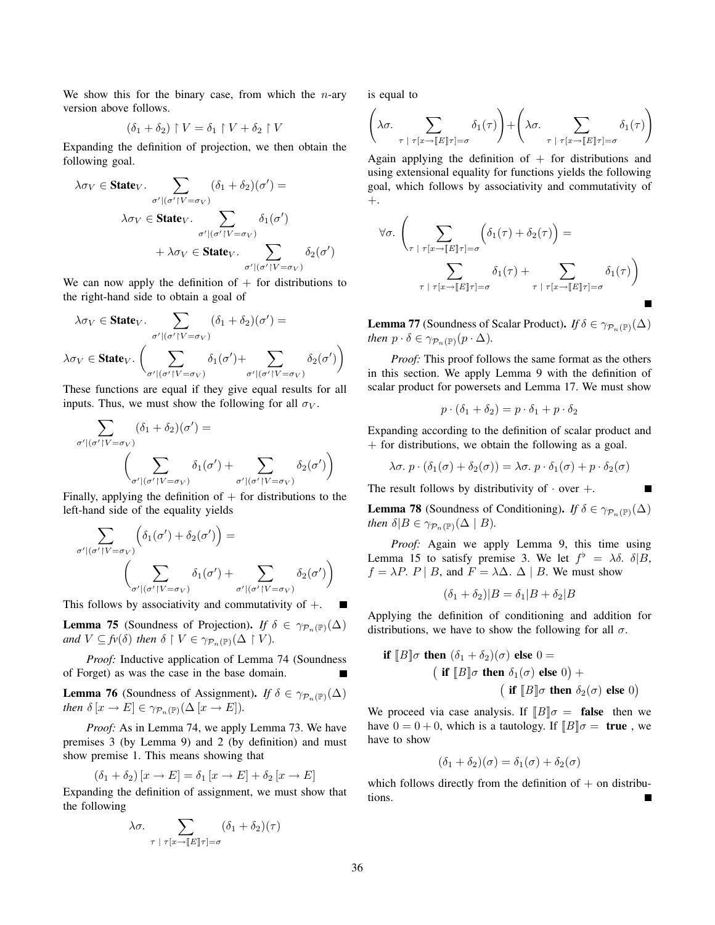We show this for the binary case, from which the  $n$ -ary version above follows.

$$
(\delta_1 + \delta_2) \restriction V = \delta_1 \restriction V + \delta_2 \restriction V
$$

Expanding the definition of projection, we then obtain the following goal.

$$
\lambda \sigma_V \in \text{State}_V. \sum_{\sigma' \mid (\sigma' \upharpoonright V = \sigma_V)} (\delta_1 + \delta_2)(\sigma') =
$$

$$
\lambda \sigma_V \in \text{State}_V. \sum_{\sigma' \mid (\sigma' \upharpoonright V = \sigma_V)} \delta_1(\sigma')
$$

$$
+ \lambda \sigma_V \in \text{State}_V. \sum_{\sigma' \mid (\sigma' \upharpoonright V = \sigma_V)} \delta_2(\sigma')
$$

We can now apply the definition of  $+$  for distributions to the right-hand side to obtain a goal of

$$
\lambda \sigma_V \in \text{State}_V. \sum_{\sigma' \mid (\sigma' \upharpoonright V = \sigma_V)} (\delta_1 + \delta_2)(\sigma') =
$$

$$
\lambda \sigma_V \in \text{State}_V. \left( \sum_{\sigma' \mid (\sigma' \upharpoonright V = \sigma_V)} \delta_1(\sigma') + \sum_{\sigma' \mid (\sigma' \upharpoonright V = \sigma_V)} \delta_2(\sigma') \right)
$$

These functions are equal if they give equal results for all inputs. Thus, we must show the following for all  $\sigma_V$ .

$$
\sum_{\sigma' \mid (\sigma' \mid V = \sigma_V)} (\delta_1 + \delta_2)(\sigma') =
$$

$$
\left( \sum_{\sigma' \mid (\sigma' \mid V = \sigma_V)} \delta_1(\sigma') + \sum_{\sigma' \mid (\sigma' \mid V = \sigma_V)} \delta_2(\sigma') \right)
$$

Finally, applying the definition of  $+$  for distributions to the left-hand side of the equality yields

$$
\sum_{\sigma' \mid (\sigma' \upharpoonright V = \sigma_V)} \left( \delta_1(\sigma') + \delta_2(\sigma') \right) = \left( \sum_{\sigma' \mid (\sigma' \upharpoonright V = \sigma_V)} \delta_1(\sigma') + \sum_{\sigma' \mid (\sigma' \upharpoonright V = \sigma_V)} \delta_2(\sigma') \right)
$$

This follows by associativity and commutativity of  $+$ .

**Lemma 75** (Soundness of Projection). *If*  $\delta \in \gamma_{\mathcal{P}_n(\mathbb{P})}(\Delta)$ *and*  $V \subseteq f_{\mathcal{V}}(\delta)$  *then*  $\delta \restriction V \in \gamma_{\mathcal{P}_n(\mathbb{P})}(\Delta \restriction V)$ *.* 

*Proof:* Inductive application of Lemma 74 (Soundness of Forget) as was the case in the base domain.

**Lemma 76** (Soundness of Assignment). *If*  $\delta \in \gamma_{\mathcal{P}_n(\mathbb{P})}(\Delta)$ *then*  $\delta[x \to E] \in \gamma_{\mathcal{P}_n(\mathbb{P})}(\Delta[x \to E]).$ 

*Proof:* As in Lemma 74, we apply Lemma 73. We have premises 3 (by Lemma 9) and 2 (by definition) and must show premise 1. This means showing that

$$
(\delta_1 + \delta_2) [x \to E] = \delta_1 [x \to E] + \delta_2 [x \to E]
$$

Expanding the definition of assignment, we must show that the following

$$
\lambda \sigma. \sum_{\tau \; | \; \tau[x \to [E] | \tau] = \sigma} (\delta_1 + \delta_2)(\tau)
$$

is equal to

$$
\left(\lambda \sigma. \sum_{\tau \; | \; \tau[x \to \llbracket E \rrbracket \tau \rrbracket = \sigma} \delta_1(\tau) \right) + \left(\lambda \sigma. \sum_{\tau \; | \; \tau[x \to \llbracket E \rrbracket \tau \rrbracket = \sigma} \delta_1(\tau) \right)
$$

Again applying the definition of  $+$  for distributions and using extensional equality for functions yields the following goal, which follows by associativity and commutativity of  $+$ .

$$
\forall \sigma. \left( \sum_{\tau \;|\; \tau[x \to \llbracket E \rrbracket \tau \rrbracket = \sigma} \left( \delta_1(\tau) + \delta_2(\tau) \right) = \\ \sum_{\tau \;|\; \tau[x \to \llbracket E \rrbracket \tau \rrbracket = \sigma} \delta_1(\tau) + \sum_{\tau \;|\; \tau[x \to \llbracket E \rrbracket \tau \rrbracket = \sigma} \delta_1(\tau) \right)
$$

**Lemma 77** (Soundness of Scalar Product). *If*  $\delta \in \gamma_{\mathcal{P}_n(\mathbb{P})}(\Delta)$ *then*  $p \cdot \delta \in \gamma_{\mathcal{P}_n(\mathbb{P})}(p \cdot \Delta)$ *.* 

*Proof:* This proof follows the same format as the others in this section. We apply Lemma 9 with the definition of scalar product for powersets and Lemma 17. We must show

$$
p \cdot (\delta_1 + \delta_2) = p \cdot \delta_1 + p \cdot \delta_2
$$

Expanding according to the definition of scalar product and  $+$  for distributions, we obtain the following as a goal.

$$
\lambda \sigma. p \cdot (\delta_1(\sigma) + \delta_2(\sigma)) = \lambda \sigma. p \cdot \delta_1(\sigma) + p \cdot \delta_2(\sigma)
$$

The result follows by distributivity of  $\cdot$  over  $+$ .

**Lemma 78** (Soundness of Conditioning). *If*  $\delta \in \gamma_{\mathcal{P}_n(\mathbb{P})}(\Delta)$ *then*  $\delta | B \in \gamma_{\mathcal{P}_n(\mathbb{P})}(\Delta | B)$ *.* 

*Proof:* Again we apply Lemma 9, this time using Lemma 15 to satisfy premise 3. We let  $f^{\flat} = \lambda \delta$ .  $\delta |B,$  $f = \lambda P$ . P | B, and  $F = \lambda \Delta$ .  $\Delta$  | B. We must show

$$
(\delta_1 + \delta_2)|B = \delta_1|B + \delta_2|B
$$

Applying the definition of conditioning and addition for distributions, we have to show the following for all  $\sigma$ .

if

\n
$$
\begin{aligned}\n\text{if } [B] \sigma \text{ then } (\delta_1 + \delta_2)(\sigma) \text{ else } 0 &= \\
&\quad \text{( if } [B] \sigma \text{ then } \delta_1(\sigma) \text{ else } 0) + \\
&\quad \text{( if } [B] \sigma \text{ then } \delta_2(\sigma) \text{ else } 0)\n\end{aligned}
$$

We proceed via case analysis. If  $||B||\sigma =$  false then we have  $0 = 0 + 0$ , which is a tautology. If  $||B||\sigma =$  true, we have to show

$$
(\delta_1 + \delta_2)(\sigma) = \delta_1(\sigma) + \delta_2(\sigma)
$$

which follows directly from the definition of  $+$  on distributions.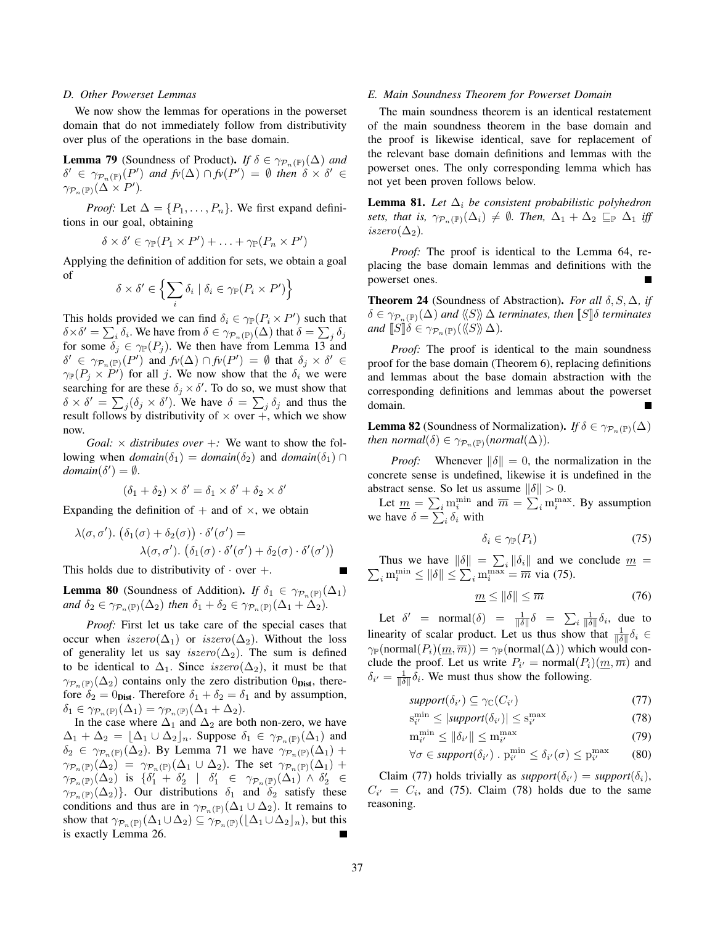### *D. Other Powerset Lemmas*

We now show the lemmas for operations in the powerset domain that do not immediately follow from distributivity over plus of the operations in the base domain.

**Lemma 79** (Soundness of Product). *If*  $\delta \in \gamma_{\mathcal{P}_n(\mathbb{P})}(\Delta)$  *and*  $\delta' \in \gamma_{\mathcal{P}_n(\mathbb{P})}(P')$  and  $f\nu(\Delta) \cap f\nu(P') = \emptyset$  then  $\delta \times \delta' \in$  $\gamma_{\mathcal{P}_n(\mathbb{P})}(\widetilde{\Delta \times P'}).$ 

*Proof:* Let  $\Delta = \{P_1, \ldots, P_n\}$ . We first expand definitions in our goal, obtaining

$$
\delta \times \delta' \in \gamma_{\mathbb{P}}(P_1 \times P') + \ldots + \gamma_{\mathbb{P}}(P_n \times P')
$$

Applying the definition of addition for sets, we obtain a goal of

$$
\delta \times \delta' \in \left\{ \sum_i \delta_i \mid \delta_i \in \gamma_{\mathbb{P}}(P_i \times P') \right\}
$$

This holds provided we can find  $\delta_i \in \gamma_{\mathbb{P}}(P_i \times P')$  such that  $\delta \times \delta' = \sum_i \delta_i$ . We have from  $\delta \in \gamma_{\mathcal{P}_n(\mathbb{P})}(\Delta)$  that  $\delta = \sum_j \delta_j$ for some  $\delta_j \in \gamma_{\mathbb{P}}(P_j)$ . We then have from Lemma 13 and  $\delta' \in \gamma_{\mathcal{P}_n(\mathbb{P})}(P')$  and  $f\nu(\Delta) \cap f\nu(P') = \emptyset$  that  $\delta_j \times \delta' \in$  $\gamma_{\mathbb{P}}(P_j \times P')$  for all j. We now show that the  $\delta_i$  we were searching for are these  $\delta_j \times \delta'$ . To do so, we must show that  $\delta \times \delta' = \sum_j (\delta_j \times \delta')$ . We have  $\delta = \sum_j \delta_j$  and thus the result follows by distributivity of  $\times$  over  $+$ , which we show now.

*Goal:*  $\times$  *distributes over* +*:* We want to show the following when  $domain(\delta_1) = domain(\delta_2)$  and  $domain(\delta_1) \cap$  $domain(\delta') = \emptyset$ .

$$
(\delta_1+\delta_2)\times\delta'=\delta_1\times\delta'+\delta_2\times\delta'
$$

Expanding the definition of  $+$  and of  $\times$ , we obtain

$$
\lambda(\sigma,\sigma'). (\delta_1(\sigma) + \delta_2(\sigma)) \cdot \delta'(\sigma') =
$$
  
 
$$
\lambda(\sigma,\sigma'). (\delta_1(\sigma) \cdot \delta'(\sigma') + \delta_2(\sigma) \cdot \delta'(\sigma'))
$$

This holds due to distributivity of  $\cdot$  over  $+$ .

**Lemma 80** (Soundness of Addition). *If*  $\delta_1 \in \gamma_{\mathcal{P}_n(\mathbb{P})}(\Delta_1)$ *and*  $\delta_2 \in \gamma_{\mathcal{P}_n(\mathbb{P})}(\Delta_2)$  *then*  $\delta_1 + \delta_2 \in \gamma_{\mathcal{P}_n(\mathbb{P})}(\Delta_1 + \Delta_2)$ *.* 

*Proof:* First let us take care of the special cases that occur when  $iszero(\Delta_1)$  or  $iszero(\Delta_2)$ . Without the loss of generality let us say *iszero*( $\Delta_2$ ). The sum is defined to be identical to  $\Delta_1$ . Since *iszero*( $\Delta_2$ ), it must be that  $\gamma_{\mathcal{P}_n(\mathbb{P})}(\Delta_2)$  contains only the zero distribution  $0_{\text{Dist}}$ , therefore  $\delta_2 = 0$ <sub>Dist</sub>. Therefore  $\delta_1 + \delta_2 = \delta_1$  and by assumption,  $\delta_1 \in \gamma_{\mathcal{P}_n(\mathbb{P})}(\Delta_1) = \gamma_{\mathcal{P}_n(\mathbb{P})}(\Delta_1 + \Delta_2).$ 

In the case where  $\Delta_1$  and  $\Delta_2$  are both non-zero, we have  $\Delta_1 + \Delta_2 = \lfloor \Delta_1 \cup \Delta_2 \rfloor_n$ . Suppose  $\delta_1 \in \gamma_{\mathcal{P}_n(\mathbb{P})}(\Delta_1)$  and  $\delta_2 \in \gamma_{\mathcal{P}_n(\mathbb{P})}(\Delta_2)$ . By Lemma 71 we have  $\gamma_{\mathcal{P}_n(\mathbb{P})}(\Delta_1)$  +  $\gamma_{\mathcal{P}_n(\mathbb{P})}(\Delta_2) = \gamma_{\mathcal{P}_n(\mathbb{P})}(\Delta_1 \cup \Delta_2)$ . The set  $\gamma_{\mathcal{P}_n(\mathbb{P})}(\Delta_1)$  +  $\gamma_{\mathcal{P}_n(\mathbb{P})}(\Delta_2)$  is  $\{\delta_1' + \delta_2' \mid \delta_1' \in \gamma_{\mathcal{P}_n(\mathbb{P})}(\Delta_1) \wedge \delta_2' \in$  $\gamma_{\mathcal{P}_n(\mathbb{P})}(\Delta_2)$ . Our distributions  $\delta_1$  and  $\delta_2$  satisfy these conditions and thus are in  $\gamma_{\mathcal{P}_n(\mathbb{P})}(\Delta_1 \cup \Delta_2)$ . It remains to show that  $\gamma_{\mathcal{P}_n(\mathbb{P})}(\Delta_1 \cup \Delta_2) \subseteq \gamma_{\mathcal{P}_n(\mathbb{P})}(\lfloor \Delta_1 \cup \Delta_2 \rfloor_n)$ , but this is exactly Lemma 26.

# *E. Main Soundness Theorem for Powerset Domain*

The main soundness theorem is an identical restatement of the main soundness theorem in the base domain and the proof is likewise identical, save for replacement of the relevant base domain definitions and lemmas with the powerset ones. The only corresponding lemma which has not yet been proven follows below.

**Lemma 81.** Let  $\Delta_i$  be consistent probabilistic polyhedron *sets, that is,*  $\gamma_{\mathcal{P}_n(\mathbb{P})}(\Delta_i) \neq \emptyset$ *. Then,*  $\Delta_1 + \Delta_2 \subseteq_{\mathbb{P}} \Delta_1$  *iff*  $iszero(\Delta_2)$ .

*Proof:* The proof is identical to the Lemma 64, replacing the base domain lemmas and definitions with the powerset ones.

Theorem 24 (Soundness of Abstraction). *For all* δ, S, ∆*, if*  $\delta \in \gamma_{\mathcal{P}_n(\mathbb{P})}(\Delta)$  *and*  $\langle S \rangle \rangle \Delta$  *terminates, then* [S]] $\delta$  *terminates and*  $[S] \delta \in \gamma_{\mathcal{P}_n(\mathbb{P})}(\langle \langle S \rangle \rangle \Delta)$ *.* 

*Proof:* The proof is identical to the main soundness proof for the base domain (Theorem 6), replacing definitions and lemmas about the base domain abstraction with the corresponding definitions and lemmas about the powerset domain. П

**Lemma 82** (Soundness of Normalization). *If*  $\delta \in \gamma_{\mathcal{P}_n(\mathbb{P})}(\Delta)$ *then normal*( $\delta$ ) ∈  $\gamma_{\mathcal{P}_n(\mathbb{P})}(normal(\Delta)).$ 

*Proof:* Whenever  $\|\delta\| = 0$ , the normalization in the concrete sense is undefined, likewise it is undefined in the abstract sense. So let us assume  $\|\delta\| > 0$ .

Let  $\underline{m} = \sum_i m_i^{\text{min}}$  and  $\overline{m} = \sum_i m_i^{\text{max}}$ . By assumption we have  $\delta = \sum_i \delta_i$  with

$$
\delta_i \in \gamma_{\mathbb{P}}(P_i) \tag{75}
$$

Thus we have  $\|\delta\| = \sum_i$ <br> $\sum_i \min_i \leq \|\delta\| \leq \sum_i \min_i \max_i$  $\|\delta_i\|$  and we conclude  $m =$  $\lim_{i \to i} \min_{i} \leq ||\delta|| \leq \sum_{i} \max_{i} \max_{i} = \overline{m}$  via (75).

$$
\underline{m} \le \|\delta\| \le \overline{m} \tag{76}
$$

Let  $\delta'$  = normal $(\delta)$  =  $\frac{1}{\|\delta\|}\delta$  =  $\sum_i \frac{1}{\|\delta\|}\delta_i$ , due to linearity of scalar product. Let us thus show that  $\frac{1}{\|\delta\|} \delta_i \in$  $\gamma_{\mathbb{P}}(\text{normal}(P_i)(\underline{m}, \overline{m})) = \gamma_{\mathbb{P}}(\text{normal}(\Delta))$  which would conclude the proof. Let us write  $P_{i'} = \text{normal}(P_i)(\underline{m}, \overline{m})$  and  $\delta_{i'} = \frac{1}{\|\delta\|} \delta_i$ . We must thus show the following.

$$
support(\delta_{i'}) \subseteq \gamma_{\mathbb{C}}(C_{i'}) \tag{77}
$$

$$
s_{i'}^{\min} \le |support(\delta_{i'})| \le s_{i'}^{\max} \tag{78}
$$

$$
\mathbf{m}_{i'}^{\min} \le \|\delta_{i'}\| \le \mathbf{m}_{i'}^{\max} \tag{79}
$$

$$
\forall \sigma \in support(\delta_{i'}) \ . \ \mathbf{p}_{i'}^{\min} \leq \delta_{i'}(\sigma) \leq \mathbf{p}_{i'}^{\max} \qquad (80)
$$

Claim (77) holds trivially as  $support(\delta_{i'}) = support(\delta_i)$ ,  $C_{i'} = C_i$ , and (75). Claim (78) holds due to the same reasoning.

s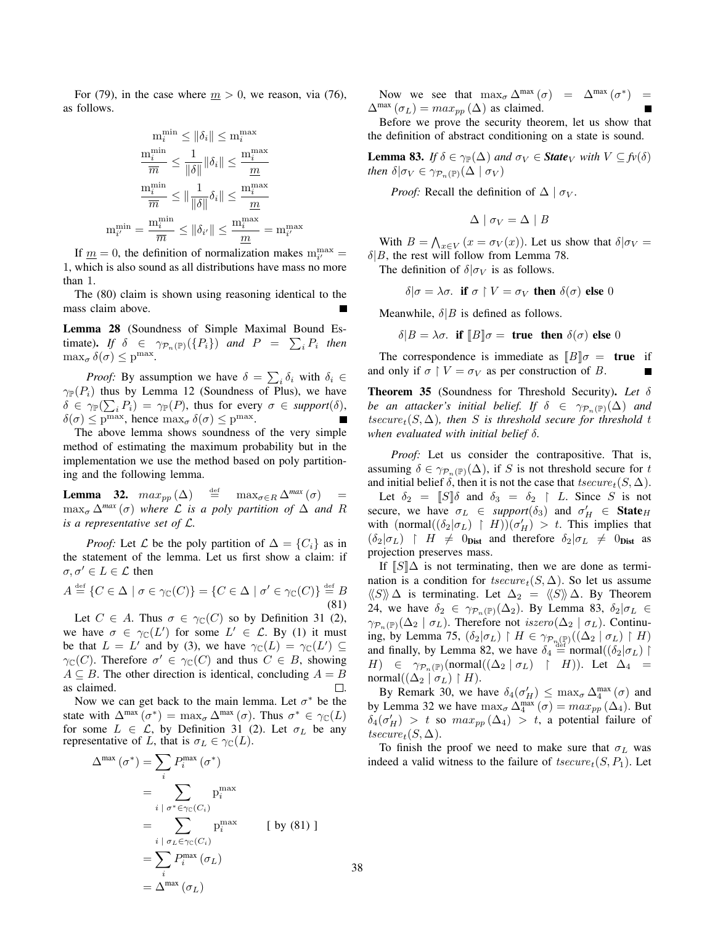For (79), in the case where  $m > 0$ , we reason, via (76), as follows.

$$
\begin{aligned} \mathbf{m}_i^{\text{min}} &\leq \lVert \delta_i \rVert \leq \mathbf{m}_i^{\text{max}}\\ \frac{\mathbf{m}_i^{\text{min}}}{\overline{m}} &\leq \frac{1}{\lVert \delta \rVert} \lVert \delta_i \rVert \leq \frac{\mathbf{m}_i^{\text{max}}}{\underline{m}}\\ \frac{\mathbf{m}_i^{\text{min}}}{\overline{m}} &\leq \lVert \frac{1}{\lVert \delta \rVert} \delta_i \rVert \leq \frac{\mathbf{m}_i^{\text{max}}}{\underline{m}}\\ \mathbf{m}_{i'}^{\text{min}} & = \frac{\mathbf{m}_i^{\text{min}}}{\overline{m}} \leq \lVert \delta_{i'} \rVert \leq \frac{\mathbf{m}_i^{\text{max}}}{\underline{m}} = \mathbf{m}_{i'}^{\text{max}} \end{aligned}
$$

If  $\underline{m} = 0$ , the definition of normalization makes  $m_{i'}^{max} =$ 1, which is also sound as all distributions have mass no more than 1.

The (80) claim is shown using reasoning identical to the mass claim above.

Lemma 28 (Soundness of Simple Maximal Bound Estimate). *If*  $\delta \in \gamma_{\mathcal{P}_n(\mathbb{P})}(\{P_i\})$  and  $P = \sum_i P_i$  then  $\max_{\sigma} \delta(\sigma) \leq p^{\max}$ .

*Proof:* By assumption we have  $\delta = \sum_i \delta_i$  with  $\delta_i \in$  $\gamma_{\mathbb{P}}(P_i)$  thus by Lemma 12 (Soundness of Plus), we have  $\delta \in \gamma_{\mathbb{P}}(\sum_{i} P_{i}) = \gamma_{\mathbb{P}}(P)$ , thus for every  $\sigma \in support(\delta)$ ,  $\delta(\sigma) \leq p^{\max}$ , hence  $\max_{\sigma} \delta(\sigma) \leq p^{\max}$ .

The above lemma shows soundness of the very simple method of estimating the maximum probability but in the implementation we use the method based on poly partitioning and the following lemma.

**Lemma** 32.  $max_{pp} (\Delta) \stackrel{\text{def}}{=} \max_{\sigma \in R} \Delta^{max} (\sigma)$  $\max_{\sigma} \Delta^{max}(\sigma)$  *where*  $\mathcal L$  *is a poly partition of*  $\Delta$  *and* R *is a representative set of* L*.*

*Proof:* Let  $\mathcal L$  be the poly partition of  $\Delta = \{C_i\}$  as in the statement of the lemma. Let us first show a claim: if  $\sigma, \sigma' \in L \in \mathcal{L}$  then

$$
A \stackrel{\text{def}}{=} \{ C \in \Delta \mid \sigma \in \gamma_{\mathbb{C}}(C) \} = \{ C \in \Delta \mid \sigma' \in \gamma_{\mathbb{C}}(C) \} \stackrel{\text{def}}{=} B
$$
\n(81)

Let  $C \in A$ . Thus  $\sigma \in \gamma_{\mathbb{C}}(C)$  so by Definition 31 (2), we have  $\sigma \in \gamma_{\mathbb{C}}(L')$  for some  $L' \in \mathcal{L}$ . By (1) it must be that  $L = L'$  and by (3), we have  $\gamma_{\mathbb{C}}(L) = \gamma_{\mathbb{C}}(L') \subseteq$  $\gamma_{\mathbb{C}}(C)$ . Therefore  $\sigma' \in \gamma_{\mathbb{C}}(C)$  and thus  $C \in B$ , showing  $A \subseteq B$ . The other direction is identical, concluding  $A = B$ as claimed.  $\Box$ .

Now we can get back to the main lemma. Let  $\sigma^*$  be the state with  $\Delta^{\max}(\sigma^*) = \max_{\sigma} \Delta^{\max}(\sigma)$ . Thus  $\sigma^* \in \gamma_{\mathbb{C}}(L)$ for some  $L \in \mathcal{L}$ , by Definition 31 (2). Let  $\sigma_L$  be any representative of L, that is  $\sigma_L \in \gamma_{\mathbb{C}}(L)$ .

$$
\Delta^{\max}(\sigma^*) = \sum_{i} P_i^{\max}(\sigma^*)
$$
  
= 
$$
\sum_{i \mid \sigma^* \in \gamma_C(C_i)} p_i^{\max}
$$
  
= 
$$
\sum_{i \mid \sigma_L \in \gamma_C(C_i)} p_i^{\max} \qquad \text{[ by (81) ]}
$$
  
= 
$$
\sum_{i} P_i^{\max}(\sigma_L)
$$
  
= 
$$
\Delta^{\max}(\sigma_L)
$$

Now we see that  $\max_{\sigma} \Delta^{\max}(\sigma) = \Delta^{\max}(\sigma^*)$  $\equiv$  $\Delta^{\max}(\sigma_L) = max_{pp} (\Delta)$  as claimed.  $\blacksquare$ 

Before we prove the security theorem, let us show that the definition of abstract conditioning on a state is sound.

**Lemma 83.** *If*  $\delta \in \gamma_{\mathbb{P}}(\Delta)$  *and*  $\sigma_V \in$  *State*<sub>V</sub> *with*  $V \subseteq f_v(\delta)$ *then*  $\delta | \sigma_V \in \gamma_{\mathcal{P}_n(\mathbb{P})}(\Delta | \sigma_V)$ 

*Proof:* Recall the definition of  $\Delta \mid \sigma_V$ .

$$
\Delta \mid \sigma_V = \Delta \mid B
$$

With  $B = \bigwedge_{x \in V} (x = \sigma_V(x))$ . Let us show that  $\delta | \sigma_V =$  $\delta|B$ , the rest will follow from Lemma 78.

The definition of  $\delta|\sigma_V$  is as follows.

 $\delta|\sigma = \lambda\sigma$ . if  $\sigma \restriction V = \sigma_V$  then  $\delta(\sigma)$  else 0

Meanwhile,  $\delta |B|$  is defined as follows.

$$
\delta |B = \lambda \sigma.
$$
 if  $[B] \sigma =$  true then  $\delta(\sigma)$  else 0

The correspondence is immediate as  $||B||_{\sigma} =$  true if and only if  $\sigma \restriction V = \sigma_V$  as per construction of B.

Theorem 35 (Soundness for Threshold Security). *Let* δ *be an attacker's initial belief. If*  $\delta \in \gamma_{\mathcal{P}_n(\mathbb{P})}(\Delta)$  *and*  $t$ secure $_t(S, \Delta)$ *, then* S *is threshold secure for threshold* t *when evaluated with initial belief* δ*.*

*Proof:* Let us consider the contrapositive. That is, assuming  $\delta \in \gamma_{\mathcal{P}_n(\mathbb{P})}(\Delta)$ , if S is not threshold secure for t and initial belief  $\delta$ , then it is not the case that  $tsecure_t(S, \Delta)$ .

Let  $\delta_2 = [S] \delta$  and  $\delta_3 = \delta_2 \restriction L$ . Since S is not secure, we have  $\sigma_L \in support(\delta_3)$  and  $\sigma'_H \in State_H$ with  $(\text{normal}((\delta_2 | \sigma_L) \restriction H))(\sigma'_H) > t$ . This implies that  $(\delta_2|\sigma_L)$  |  $H \neq 0$ <sub>Dist</sub> and therefore  $\delta_2|\sigma_L \neq 0$ <sub>Dist</sub> as projection preserves mass.

If  $\llbracket S \rrbracket \Delta$  is not terminating, then we are done as termination is a condition for  $tsecure_t(S, \Delta)$ . So let us assume  $\langle\langle S \rangle\rangle$   $\Delta$  is terminating. Let  $\Delta_2 = \langle\langle S \rangle\rangle$   $\Delta$ . By Theorem 24, we have  $\delta_2 \in \gamma_{\mathcal{P}_n(\mathbb{P})}(\Delta_2)$ . By Lemma 83,  $\delta_2 | \sigma_L \in$  $\gamma_{\mathcal{P}_n(\mathbb{P})}(\Delta_2 \mid \sigma_L)$ . Therefore not *iszero*( $\Delta_2 \mid \sigma_L$ ). Continuing, by Lemma 75,  $(\delta_2 | \sigma_L)$  |  $H \in \gamma_{\mathcal{P}_{n}(\mathbb{P})}((\Delta_2 | \sigma_L) | H)$ and finally, by Lemma 82, we have  $\delta_4 \stackrel{\text{def}}{=} \text{normal}((\delta_2 | \sigma_L) \upharpoonright$  $H$ )  $\in \gamma_{\mathcal{P}_n(\mathbb{P})}(\text{normal}((\Delta_2 \mid \sigma_L) \mid H))$ . Let  $\Delta_4$  = normal $((\Delta_2 | \sigma_L) | H)$ .

By Remark 30, we have  $\delta_4(\sigma'_H) \leq \max_{\sigma} \Delta_4^{\max}(\sigma)$  and by Lemma 32 we have  $\max_{\sigma} \Delta_4^{\max}(\sigma) = max_{pp} (\Delta_4)$ . But  $\delta_4(\sigma'_H) > t$  so  $max_{pp}(\Delta_4) > t$ , a potential failure of  $tsecure_t(S, \Delta).$ 

To finish the proof we need to make sure that  $\sigma_L$  was indeed a valid witness to the failure of  $tsecure_t(S, P_1)$ . Let